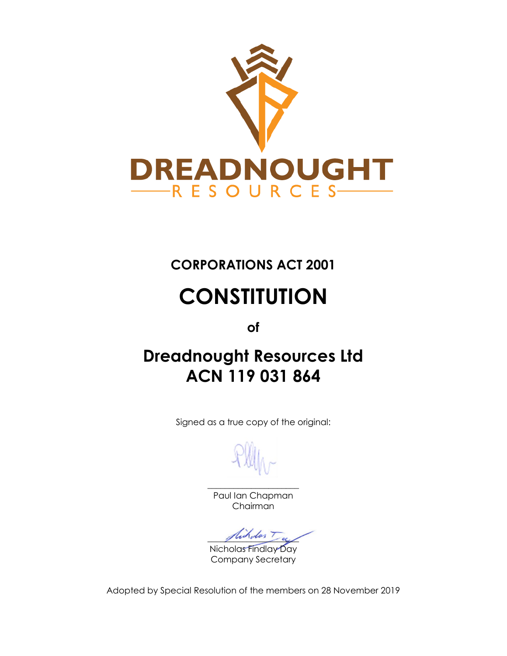

# **CORPORATIONS ACT 2001**

# **CONSTITUTION**

**of**

# **Dreadnought Resources Ltd ACN 119 031 864**

Signed as a true copy of the original:

\_\_\_\_\_\_\_\_\_\_\_\_\_\_\_\_\_\_\_\_\_ Paul Ian Chapman Chairman

dicholos T

Nicholas Findlay Day Company Secretary

Adopted by Special Resolution of the members on 28 November 2019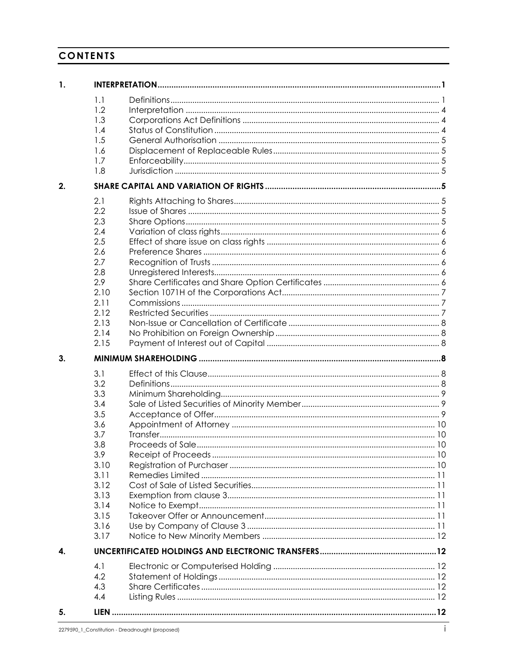# CONTENTS

| 1.           |      |  |
|--------------|------|--|
|              | 1.1  |  |
|              | 1.2  |  |
|              | 1.3  |  |
|              | 1.4  |  |
|              | 1.5  |  |
|              | 1.6  |  |
|              | 1.7  |  |
|              | 1.8  |  |
| 2.           |      |  |
|              | 2.1  |  |
|              | 2.2  |  |
|              | 2.3  |  |
|              | 2.4  |  |
|              | 2.5  |  |
|              | 2.6  |  |
|              | 2.7  |  |
|              | 2.8  |  |
|              | 2.9  |  |
|              | 2.10 |  |
|              | 2.11 |  |
|              | 2.12 |  |
|              | 2.13 |  |
|              | 2.14 |  |
|              | 2.15 |  |
|              |      |  |
|              |      |  |
| 3.           |      |  |
|              | 3.1  |  |
|              | 3.2  |  |
|              | 3.3  |  |
|              | 3.4  |  |
|              | 3.5  |  |
|              | 3.6  |  |
|              | 3.7  |  |
|              | 3.8  |  |
|              |      |  |
|              | 3.9  |  |
|              | 3.10 |  |
|              | 3.11 |  |
|              | 3.12 |  |
|              | 3.13 |  |
|              | 3.14 |  |
|              | 3.15 |  |
|              | 3.16 |  |
| $\mathbf{A}$ | 3.17 |  |
|              |      |  |
|              | 4.1  |  |
|              | 4.2  |  |
|              | 4.3  |  |
|              | 4.4  |  |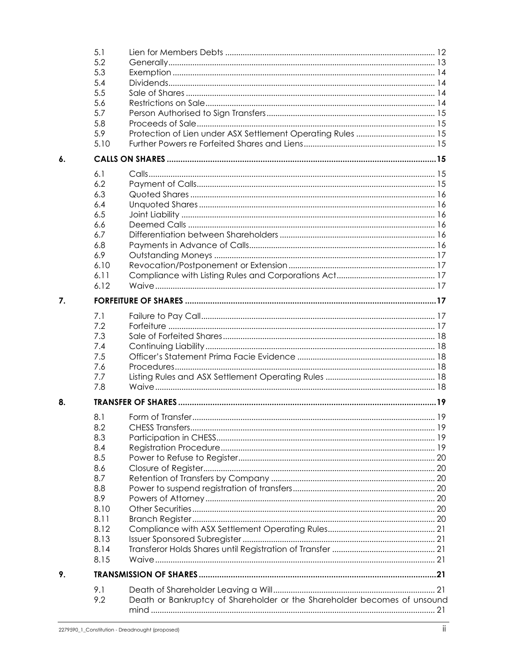|    | 5.1  |                                                                          |  |
|----|------|--------------------------------------------------------------------------|--|
|    | 5.2  |                                                                          |  |
|    | 5.3  |                                                                          |  |
|    | 5.4  |                                                                          |  |
|    | 5.5  |                                                                          |  |
|    | 5.6  |                                                                          |  |
|    | 5.7  |                                                                          |  |
|    | 5.8  |                                                                          |  |
|    | 5.9  |                                                                          |  |
|    | 5.10 |                                                                          |  |
| 6. |      |                                                                          |  |
|    | 6.1  |                                                                          |  |
|    | 6.2  |                                                                          |  |
|    |      |                                                                          |  |
|    | 6.3  |                                                                          |  |
|    | 6.4  |                                                                          |  |
|    | 6.5  |                                                                          |  |
|    | 6.6  |                                                                          |  |
|    | 6.7  |                                                                          |  |
|    | 6.8  |                                                                          |  |
|    | 6.9  |                                                                          |  |
|    | 6.10 |                                                                          |  |
|    | 6.11 |                                                                          |  |
|    | 6.12 |                                                                          |  |
| 7. |      |                                                                          |  |
|    | 7.1  |                                                                          |  |
|    | 7.2  |                                                                          |  |
|    | 7.3  |                                                                          |  |
|    | 7.4  |                                                                          |  |
|    | 7.5  |                                                                          |  |
|    |      |                                                                          |  |
|    | 7.6  |                                                                          |  |
|    | 7.7  |                                                                          |  |
|    | 7.8  |                                                                          |  |
| 8. |      |                                                                          |  |
|    | 8.1  |                                                                          |  |
|    | 8.2  |                                                                          |  |
|    | 8.3  |                                                                          |  |
|    | 8.4  |                                                                          |  |
|    | 8.5  |                                                                          |  |
|    | 8.6  |                                                                          |  |
|    | 8.7  |                                                                          |  |
|    | 8.8  |                                                                          |  |
|    | 8.9  |                                                                          |  |
|    | 8.10 |                                                                          |  |
|    |      |                                                                          |  |
|    | 8.11 |                                                                          |  |
|    | 8.12 |                                                                          |  |
|    | 8.13 |                                                                          |  |
|    | 8.14 |                                                                          |  |
|    | 8.15 |                                                                          |  |
| 9. |      |                                                                          |  |
|    | 9.1  |                                                                          |  |
|    | 9.2  | Death or Bankruptcy of Shareholder or the Shareholder becomes of unsound |  |
|    |      |                                                                          |  |
|    |      |                                                                          |  |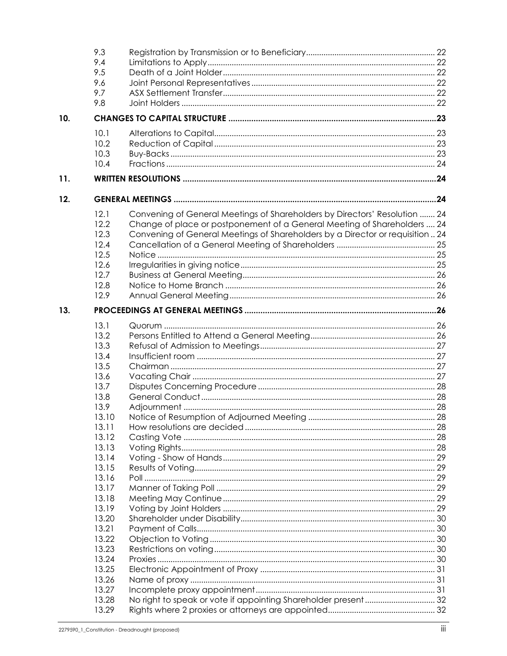|     | 9.3<br>9.4     |                                                                               |  |
|-----|----------------|-------------------------------------------------------------------------------|--|
|     | 9.5            |                                                                               |  |
|     | 9.6            |                                                                               |  |
|     | 9.7            |                                                                               |  |
|     | 9.8            |                                                                               |  |
| 10. |                |                                                                               |  |
|     | 10.1           |                                                                               |  |
|     | 10.2           |                                                                               |  |
|     | 10.3           |                                                                               |  |
|     | 10.4           |                                                                               |  |
| 11. |                |                                                                               |  |
| 12. |                |                                                                               |  |
|     | 12.1           | Convening of General Meetings of Shareholders by Directors' Resolution  24    |  |
|     | 12.2           | Change of place or postponement of a General Meeting of Shareholders  24      |  |
|     | 12.3           | Convening of General Meetings of Shareholders by a Director or requisition 24 |  |
|     | 12.4           |                                                                               |  |
|     | 12.5           |                                                                               |  |
|     | 12.6           |                                                                               |  |
|     | 12.7           |                                                                               |  |
|     | 12.8           |                                                                               |  |
|     | 12.9           |                                                                               |  |
| 13. |                |                                                                               |  |
|     | 13.1           |                                                                               |  |
|     | 13.2           |                                                                               |  |
|     | 13.3           |                                                                               |  |
|     | 13.4           |                                                                               |  |
|     | 13.5           |                                                                               |  |
|     | 13.6           |                                                                               |  |
|     | 13.7           |                                                                               |  |
|     | 13.8           |                                                                               |  |
|     | 13.9           |                                                                               |  |
|     | 13.10          |                                                                               |  |
|     | 13.11          |                                                                               |  |
|     | 13.12          |                                                                               |  |
|     | 13.13<br>13.14 |                                                                               |  |
|     | 13.15          |                                                                               |  |
|     | 13.16          |                                                                               |  |
|     | 13.17          |                                                                               |  |
|     | 13.18          |                                                                               |  |
|     | 13.19          |                                                                               |  |
|     | 13.20          |                                                                               |  |
|     | 13.21          |                                                                               |  |
|     | 13.22          |                                                                               |  |
|     | 13.23          |                                                                               |  |
|     | 13.24          |                                                                               |  |
|     | 13.25          |                                                                               |  |
|     | 13.26          |                                                                               |  |
|     | 13.27          |                                                                               |  |
|     | 13.28          | No right to speak or vote if appointing Shareholder present 32                |  |
|     | 13.29          |                                                                               |  |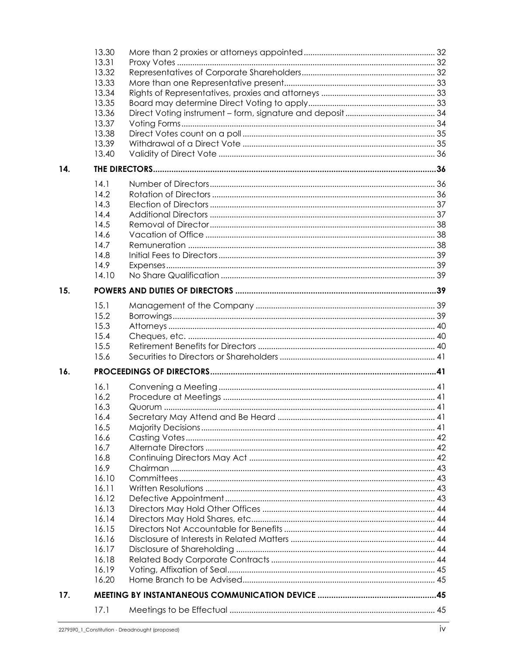|     | 13.30 |  |
|-----|-------|--|
|     | 13.31 |  |
|     | 13.32 |  |
|     | 13.33 |  |
|     | 13.34 |  |
|     | 13.35 |  |
|     | 13.36 |  |
|     | 13.37 |  |
|     | 13.38 |  |
|     | 13.39 |  |
|     | 13.40 |  |
| 14. |       |  |
|     | 14.1  |  |
|     | 14.2  |  |
|     | 14.3  |  |
|     | 14.4  |  |
|     | 14.5  |  |
|     | 14.6  |  |
|     | 14.7  |  |
|     | 14.8  |  |
|     | 14.9  |  |
|     | 14.10 |  |
|     |       |  |
| 15. |       |  |
|     | 15.1  |  |
|     | 15.2  |  |
|     | 15.3  |  |
|     | 15.4  |  |
|     | 15.5  |  |
|     | 15.6  |  |
| 16. |       |  |
|     | 16.1  |  |
|     | 16.2  |  |
|     | 16.3  |  |
|     | 16.4  |  |
|     | 16.5  |  |
|     | 16.6  |  |
|     | 16.7  |  |
|     | 16.8  |  |
|     | 16.9  |  |
|     | 16.10 |  |
|     | 16.11 |  |
|     | 16.12 |  |
|     | 16.13 |  |
|     | 16.14 |  |
|     | 16.15 |  |
|     | 16.16 |  |
|     | 16.17 |  |
|     | 16.18 |  |
|     | 16.19 |  |
|     | 16.20 |  |
| 17. |       |  |
|     | 17.1  |  |
|     |       |  |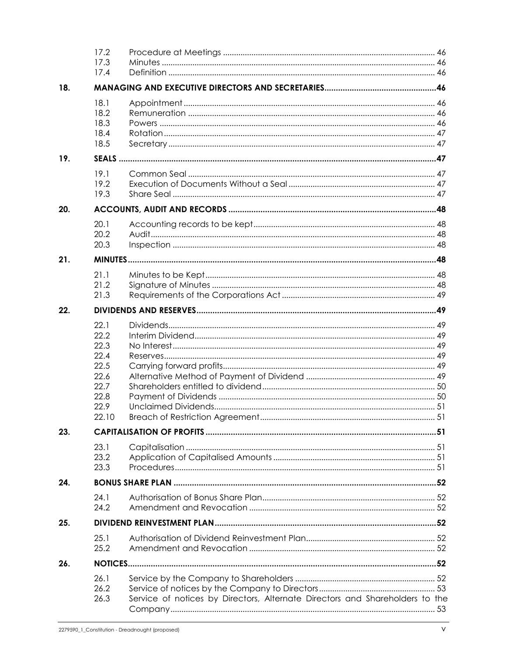|     | 17.2<br>17.3<br>17.4                                                          |                                                                              |  |
|-----|-------------------------------------------------------------------------------|------------------------------------------------------------------------------|--|
| 18. |                                                                               |                                                                              |  |
|     | 18.1<br>18.2<br>18.3<br>18.4<br>18.5                                          |                                                                              |  |
| 19. |                                                                               |                                                                              |  |
|     | 19.1<br>19.2<br>19.3                                                          |                                                                              |  |
| 20. |                                                                               |                                                                              |  |
|     | 20.1<br>20.2<br>20.3                                                          |                                                                              |  |
| 21. |                                                                               |                                                                              |  |
|     | 21.1<br>21.2<br>21.3                                                          |                                                                              |  |
| 22. |                                                                               |                                                                              |  |
|     | 22.1<br>22.2<br>22.3<br>22.4<br>22.5<br>22.6<br>22.7<br>22.8<br>22.9<br>22.10 |                                                                              |  |
| 23. |                                                                               |                                                                              |  |
|     | 23.1<br>23.2<br>23.3                                                          |                                                                              |  |
| 24. |                                                                               |                                                                              |  |
|     | 24.1<br>24.2                                                                  |                                                                              |  |
| 25. |                                                                               |                                                                              |  |
|     | 25.1<br>25.2                                                                  |                                                                              |  |
| 26. |                                                                               |                                                                              |  |
|     | 26.1<br>26.2<br>26.3                                                          | Service of notices by Directors, Alternate Directors and Shareholders to the |  |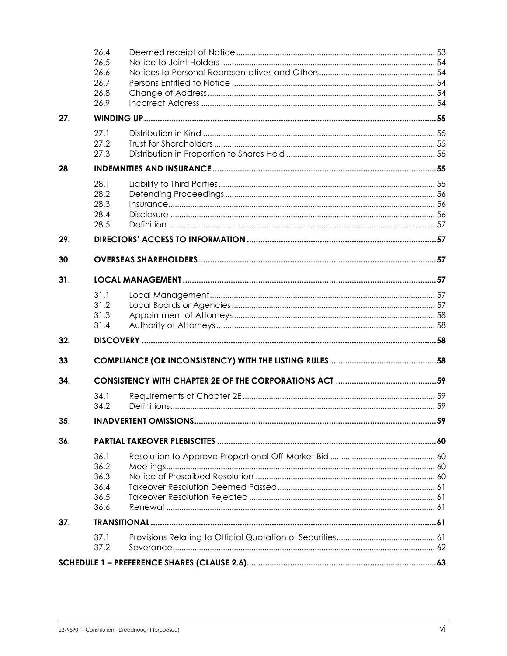|     | 26.4         |  |
|-----|--------------|--|
|     | 26.5         |  |
|     | 26.6         |  |
|     | 26.7<br>26.8 |  |
|     | 26.9         |  |
| 27. |              |  |
|     | 27.1         |  |
|     | 27.2         |  |
|     | 27.3         |  |
| 28. |              |  |
|     | 28.1         |  |
|     | 28.2         |  |
|     | 28.3         |  |
|     | 28.4         |  |
|     | 28.5         |  |
| 29. |              |  |
| 30. |              |  |
| 31. |              |  |
|     | 31.1         |  |
|     | 31.2         |  |
|     | 31.3         |  |
|     | 31.4         |  |
| 32. |              |  |
| 33. |              |  |
| 34. |              |  |
|     | 34.1         |  |
|     | 34.2         |  |
| 35. |              |  |
| 36. |              |  |
|     | 36.1         |  |
|     | 36.2         |  |
|     | 36.3         |  |
|     | 36.4         |  |
|     | 36.5         |  |
|     | 36.6         |  |
| 37. |              |  |
|     | 37.1         |  |
|     | 37.2         |  |
|     |              |  |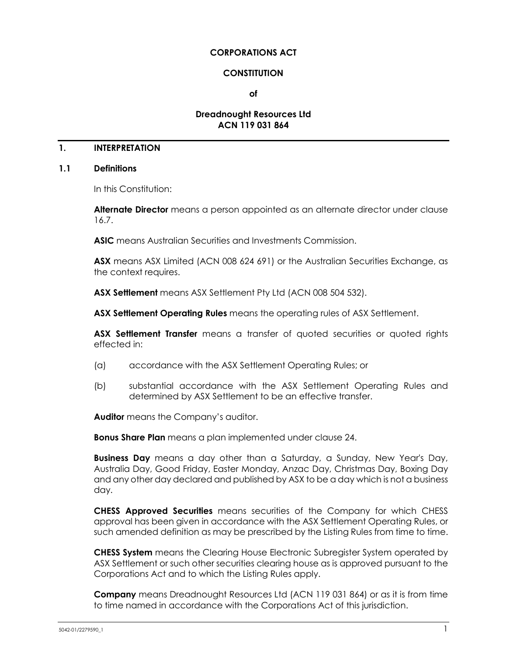#### **CORPORATIONS ACT**

#### **CONSTITUTION**

**of**

#### **Dreadnought Resources Ltd ACN 119 031 864**

#### **1. INTERPRETATION**

#### <span id="page-7-0"></span>**1.1 Definitions**

In this Constitution:

**Alternate Director** means a person appointed as an alternate director under clause [16.7.](#page-48-0)

**ASIC** means Australian Securities and Investments Commission.

**ASX** means ASX Limited (ACN 008 624 691) or the Australian Securities Exchange, as the context requires.

**ASX Settlement** means ASX Settlement Pty Ltd (ACN 008 504 532).

**ASX Settlement Operating Rules** means the operating rules of ASX Settlement.

**ASX Settlement Transfer** means a transfer of quoted securities or quoted rights effected in:

- (a) accordance with the ASX Settlement Operating Rules; or
- (b) substantial accordance with the ASX Settlement Operating Rules and determined by ASX Settlement to be an effective transfer.

**Auditor** means the Company's auditor.

**Bonus Share Plan** means a plan implemented under clause [24.](#page-58-0)

**Business Day** means a day other than a Saturday, a Sunday, New Year's Day, Australia Day, Good Friday, Easter Monday, Anzac Day, Christmas Day, Boxing Day and any other day declared and published by ASX to be a day which is not a business day.

**CHESS Approved Securities** means securities of the Company for which CHESS approval has been given in accordance with the ASX Settlement Operating Rules, or such amended definition as may be prescribed by the Listing Rules from time to time.

**CHESS System** means the Clearing House Electronic Subregister System operated by ASX Settlement or such other securities clearing house as is approved pursuant to the Corporations Act and to which the Listing Rules apply.

**Company** means Dreadnought Resources Ltd (ACN 119 031 864) or as it is from time to time named in accordance with the Corporations Act of this jurisdiction.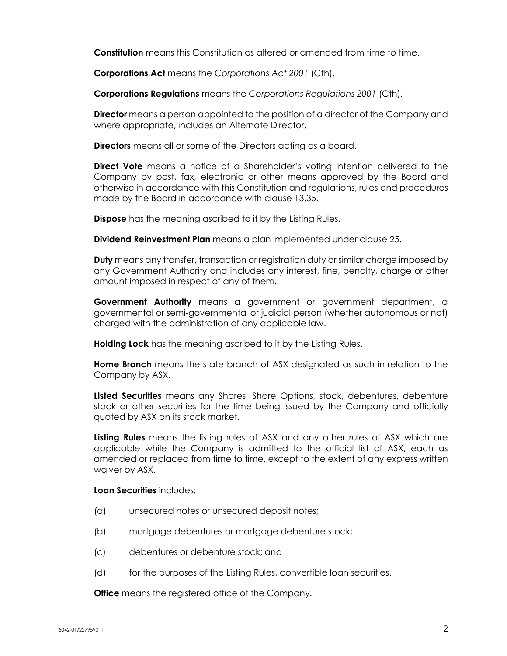**Constitution** means this Constitution as altered or amended from time to time.

**Corporations Act** means the *Corporations Act 2001* (Cth).

**Corporations Regulations** means the *Corporations Regulations 2001* (Cth).

**Director** means a person appointed to the position of a director of the Company and where appropriate, includes an Alternate Director.

**Directors** means all or some of the Directors acting as a board.

**Direct Vote** means a notice of a Shareholder's voting intention delivered to the Company by post, fax, electronic or other means approved by the Board and otherwise in accordance with this Constitution and regulations, rules and procedures made by the Board in accordance with clause [13.35.](#page-39-0)

**Dispose** has the meaning ascribed to it by the Listing Rules.

**Dividend Reinvestment Plan** means a plan implemented under clause [25.](#page-58-1)

**Duty** means any transfer, transaction or registration duty or similar charge imposed by any Government Authority and includes any interest, fine, penalty, charge or other amount imposed in respect of any of them.

**Government Authority** means a government or government department, a governmental or semi-governmental or judicial person (whether autonomous or not) charged with the administration of any applicable law.

**Holding Lock** has the meaning ascribed to it by the Listing Rules.

**Home Branch** means the state branch of ASX designated as such in relation to the Company by ASX.

**Listed Securities** means any Shares, Share Options, stock, debentures, debenture stock or other securities for the time being issued by the Company and officially quoted by ASX on its stock market.

**Listing Rules** means the listing rules of ASX and any other rules of ASX which are applicable while the Company is admitted to the official list of ASX, each as amended or replaced from time to time, except to the extent of any express written waiver by ASX.

#### **Loan Securities** includes:

- (a) unsecured notes or unsecured deposit notes;
- (b) mortgage debentures or mortgage debenture stock;
- (c) debentures or debenture stock; and
- (d) for the purposes of the Listing Rules, convertible loan securities.

**Office** means the registered office of the Company.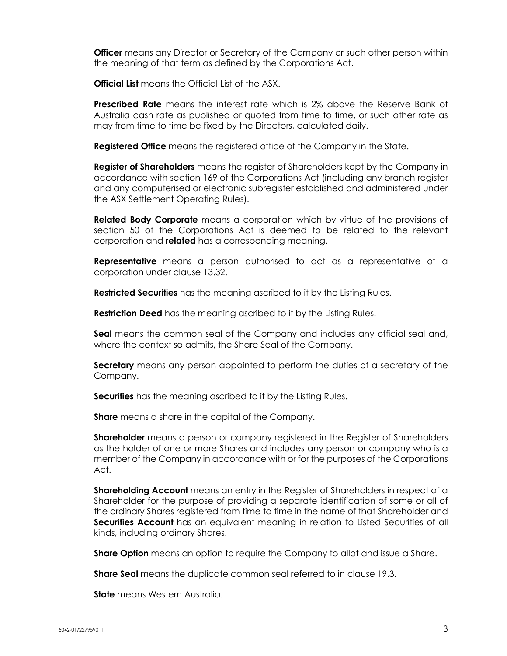**Officer** means any Director or Secretary of the Company or such other person within the meaning of that term as defined by the Corporations Act.

**Official List** means the Official List of the ASX.

**Prescribed Rate** means the interest rate which is 2% above the Reserve Bank of Australia cash rate as published or quoted from time to time, or such other rate as may from time to time be fixed by the Directors, calculated daily.

**Registered Office** means the registered office of the Company in the State.

**Register of Shareholders** means the register of Shareholders kept by the Company in accordance with section 169 of the Corporations Act (including any branch register and any computerised or electronic subregister established and administered under the ASX Settlement Operating Rules).

**Related Body Corporate** means a corporation which by virtue of the provisions of section 50 of the Corporations Act is deemed to be related to the relevant corporation and **related** has a corresponding meaning.

**Representative** means a person authorised to act as a representative of a corporation under clause [13.32.](#page-38-0)

**Restricted Securities** has the meaning ascribed to it by the Listing Rules.

**Restriction Deed** has the meaning ascribed to it by the Listing Rules.

**Seal** means the common seal of the Company and includes any official seal and, where the context so admits, the Share Seal of the Company.

**Secretary** means any person appointed to perform the duties of a secretary of the Company.

**Securities** has the meaning ascribed to it by the Listing Rules.

**Share** means a share in the capital of the Company.

**Shareholder** means a person or company registered in the Register of Shareholders as the holder of one or more Shares and includes any person or company who is a member of the Company in accordance with or for the purposes of the Corporations Act.

**Shareholding Account** means an entry in the Register of Shareholders in respect of a Shareholder for the purpose of providing a separate identification of some or all of the ordinary Shares registered from time to time in the name of that Shareholder and **Securities Account** has an equivalent meaning in relation to Listed Securities of all kinds, including ordinary Shares.

**Share Option** means an option to require the Company to allot and issue a Share.

**Share Seal** means the duplicate common seal referred to in clause [19.3.](#page-53-0)

**State** means Western Australia.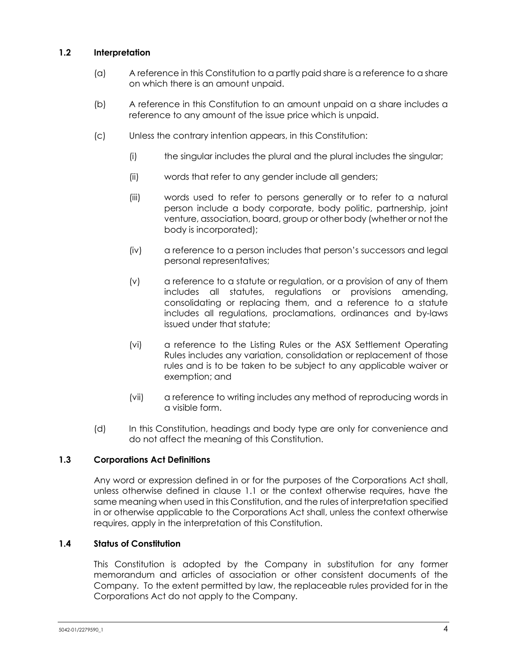# **1.2 Interpretation**

- (a) A reference in this Constitution to a partly paid share is a reference to a share on which there is an amount unpaid.
- (b) A reference in this Constitution to an amount unpaid on a share includes a reference to any amount of the issue price which is unpaid.
- (c) Unless the contrary intention appears, in this Constitution:
	- (i) the singular includes the plural and the plural includes the singular;
	- (ii) words that refer to any gender include all genders;
	- (iii) words used to refer to persons generally or to refer to a natural person include a body corporate, body politic, partnership, joint venture, association, board, group or other body (whether or not the body is incorporated);
	- (iv) a reference to a person includes that person's successors and legal personal representatives;
	- (v) a reference to a statute or regulation, or a provision of any of them includes all statutes, regulations or provisions amending, consolidating or replacing them, and a reference to a statute includes all regulations, proclamations, ordinances and by-laws issued under that statute;
	- (vi) a reference to the Listing Rules or the ASX Settlement Operating Rules includes any variation, consolidation or replacement of those rules and is to be taken to be subject to any applicable waiver or exemption; and
	- (vii) a reference to writing includes any method of reproducing words in a visible form.
- (d) In this Constitution, headings and body type are only for convenience and do not affect the meaning of this Constitution.

# **1.3 Corporations Act Definitions**

Any word or expression defined in or for the purposes of the Corporations Act shall, unless otherwise defined in clause [1.1](#page-7-0) or the context otherwise requires, have the same meaning when used in this Constitution, and the rules of interpretation specified in or otherwise applicable to the Corporations Act shall, unless the context otherwise requires, apply in the interpretation of this Constitution.

#### **1.4 Status of Constitution**

This Constitution is adopted by the Company in substitution for any former memorandum and articles of association or other consistent documents of the Company. To the extent permitted by law, the replaceable rules provided for in the Corporations Act do not apply to the Company.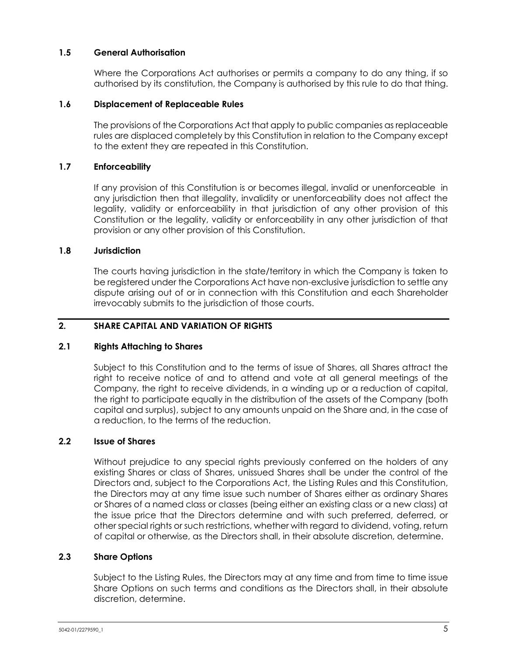# **1.5 General Authorisation**

Where the Corporations Act authorises or permits a company to do any thing, if so authorised by its constitution, the Company is authorised by this rule to do that thing.

# **1.6 Displacement of Replaceable Rules**

The provisions of the Corporations Act that apply to public companies as replaceable rules are displaced completely by this Constitution in relation to the Company except to the extent they are repeated in this Constitution.

# **1.7 Enforceability**

If any provision of this Constitution is or becomes illegal, invalid or unenforceable in any jurisdiction then that illegality, invalidity or unenforceability does not affect the legality, validity or enforceability in that jurisdiction of any other provision of this Constitution or the legality, validity or enforceability in any other jurisdiction of that provision or any other provision of this Constitution.

#### **1.8 Jurisdiction**

The courts having jurisdiction in the state/territory in which the Company is taken to be registered under the Corporations Act have non-exclusive jurisdiction to settle any dispute arising out of or in connection with this Constitution and each Shareholder irrevocably submits to the jurisdiction of those courts.

# <span id="page-11-0"></span>**2. SHARE CAPITAL AND VARIATION OF RIGHTS**

# **2.1 Rights Attaching to Shares**

Subject to this Constitution and to the terms of issue of Shares, all Shares attract the right to receive notice of and to attend and vote at all general meetings of the Company, the right to receive dividends, in a winding up or a reduction of capital, the right to participate equally in the distribution of the assets of the Company (both capital and surplus), subject to any amounts unpaid on the Share and, in the case of a reduction, to the terms of the reduction.

# **2.2 Issue of Shares**

Without prejudice to any special rights previously conferred on the holders of any existing Shares or class of Shares, unissued Shares shall be under the control of the Directors and, subject to the Corporations Act, the Listing Rules and this Constitution, the Directors may at any time issue such number of Shares either as ordinary Shares or Shares of a named class or classes (being either an existing class or a new class) at the issue price that the Directors determine and with such preferred, deferred, or other special rights or such restrictions, whether with regard to dividend, voting, return of capital or otherwise, as the Directors shall, in their absolute discretion, determine.

# **2.3 Share Options**

Subject to the Listing Rules, the Directors may at any time and from time to time issue Share Options on such terms and conditions as the Directors shall, in their absolute discretion, determine.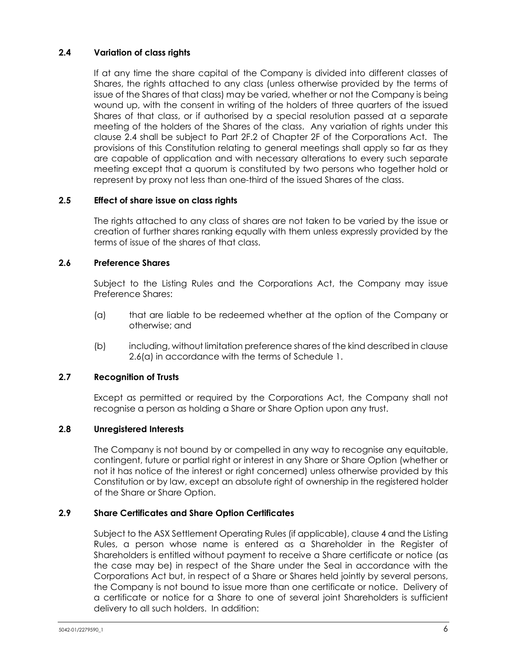# <span id="page-12-0"></span>**2.4 Variation of class rights**

If at any time the share capital of the Company is divided into different classes of Shares, the rights attached to any class (unless otherwise provided by the terms of issue of the Shares of that class) may be varied, whether or not the Company is being wound up, with the consent in writing of the holders of three quarters of the issued Shares of that class, or if authorised by a special resolution passed at a separate meeting of the holders of the Shares of the class. Any variation of rights under this clause [2.4](#page-12-0) shall be subject to Part 2F.2 of Chapter 2F of the Corporations Act. The provisions of this Constitution relating to general meetings shall apply so far as they are capable of application and with necessary alterations to every such separate meeting except that a quorum is constituted by two persons who together hold or represent by proxy not less than one-third of the issued Shares of the class.

# **2.5 Effect of share issue on class rights**

The rights attached to any class of shares are not taken to be varied by the issue or creation of further shares ranking equally with them unless expressly provided by the terms of issue of the shares of that class.

# **2.6 Preference Shares**

Subject to the Listing Rules and the Corporations Act, the Company may issue Preference Shares:

- <span id="page-12-1"></span>(a) that are liable to be redeemed whether at the option of the Company or otherwise; and
- (b) including, without limitation preference shares of the kind described in clause [2.6\(a\)](#page-12-1) in accordance with the terms of [Schedule](#page-69-0) 1.

# **2.7 Recognition of Trusts**

Except as permitted or required by the Corporations Act, the Company shall not recognise a person as holding a Share or Share Option upon any trust.

# **2.8 Unregistered Interests**

The Company is not bound by or compelled in any way to recognise any equitable, contingent, future or partial right or interest in any Share or Share Option (whether or not it has notice of the interest or right concerned) unless otherwise provided by this Constitution or by law, except an absolute right of ownership in the registered holder of the Share or Share Option.

# <span id="page-12-2"></span>**2.9 Share Certificates and Share Option Certificates**

Subject to the ASX Settlement Operating Rules (if applicable), claus[e 4](#page-18-0) and the Listing Rules, a person whose name is entered as a Shareholder in the Register of Shareholders is entitled without payment to receive a Share certificate or notice (as the case may be) in respect of the Share under the Seal in accordance with the Corporations Act but, in respect of a Share or Shares held jointly by several persons, the Company is not bound to issue more than one certificate or notice. Delivery of a certificate or notice for a Share to one of several joint Shareholders is sufficient delivery to all such holders. In addition: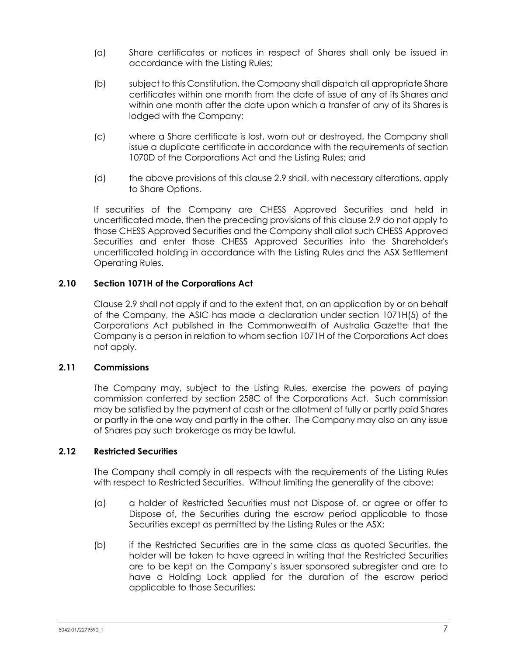- (a) Share certificates or notices in respect of Shares shall only be issued in accordance with the Listing Rules;
- (b) subject to this Constitution, the Company shall dispatch all appropriate Share certificates within one month from the date of issue of any of its Shares and within one month after the date upon which a transfer of any of its Shares is lodged with the Company;
- (c) where a Share certificate is lost, worn out or destroyed, the Company shall issue a duplicate certificate in accordance with the requirements of section 1070D of the Corporations Act and the Listing Rules; and
- (d) the above provisions of this clause [2.9](#page-12-2) shall, with necessary alterations, apply to Share Options.

If securities of the Company are CHESS Approved Securities and held in uncertificated mode, then the preceding provisions of this clause [2.9](#page-12-2) do not apply to those CHESS Approved Securities and the Company shall allot such CHESS Approved Securities and enter those CHESS Approved Securities into the Shareholder's uncertificated holding in accordance with the Listing Rules and the ASX Settlement Operating Rules.

# **2.10 Section 1071H of the Corporations Act**

Clause [2.9](#page-12-2) shall not apply if and to the extent that, on an application by or on behalf of the Company, the ASIC has made a declaration under section 1071H(5) of the Corporations Act published in the Commonwealth of Australia Gazette that the Company is a person in relation to whom section 1071H of the Corporations Act does not apply.

# **2.11 Commissions**

The Company may, subject to the Listing Rules, exercise the powers of paying commission conferred by section 258C of the Corporations Act. Such commission may be satisfied by the payment of cash or the allotment of fully or partly paid Shares or partly in the one way and partly in the other. The Company may also on any issue of Shares pay such brokerage as may be lawful.

# **2.12 Restricted Securities**

The Company shall comply in all respects with the requirements of the Listing Rules with respect to Restricted Securities. Without limiting the generality of the above:

- (a) a holder of Restricted Securities must not Dispose of, or agree or offer to Dispose of, the Securities during the escrow period applicable to those Securities except as permitted by the Listing Rules or the ASX;
- (b) if the Restricted Securities are in the same class as quoted Securities, the holder will be taken to have agreed in writing that the Restricted Securities are to be kept on the Company's issuer sponsored subregister and are to have a Holding Lock applied for the duration of the escrow period applicable to those Securities;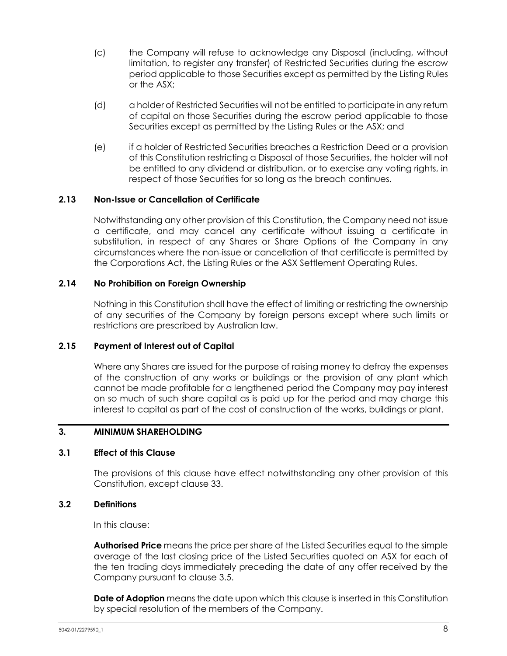- (c) the Company will refuse to acknowledge any Disposal (including, without limitation, to register any transfer) of Restricted Securities during the escrow period applicable to those Securities except as permitted by the Listing Rules or the ASX;
- (d) a holder of Restricted Securities will not be entitled to participate in any return of capital on those Securities during the escrow period applicable to those Securities except as permitted by the Listing Rules or the ASX; and
- (e) if a holder of Restricted Securities breaches a Restriction Deed or a provision of this Constitution restricting a Disposal of those Securities, the holder will not be entitled to any dividend or distribution, or to exercise any voting rights, in respect of those Securities for so long as the breach continues.

# **2.13 Non-Issue or Cancellation of Certificate**

Notwithstanding any other provision of this Constitution, the Company need not issue a certificate, and may cancel any certificate without issuing a certificate in substitution, in respect of any Shares or Share Options of the Company in any circumstances where the non-issue or cancellation of that certificate is permitted by the Corporations Act, the Listing Rules or the ASX Settlement Operating Rules.

#### **2.14 No Prohibition on Foreign Ownership**

Nothing in this Constitution shall have the effect of limiting or restricting the ownership of any securities of the Company by foreign persons except where such limits or restrictions are prescribed by Australian law.

#### **2.15 Payment of Interest out of Capital**

Where any Shares are issued for the purpose of raising money to defray the expenses of the construction of any works or buildings or the provision of any plant which cannot be made profitable for a lengthened period the Company may pay interest on so much of such share capital as is paid up for the period and may charge this interest to capital as part of the cost of construction of the works, buildings or plant.

#### <span id="page-14-0"></span>**3. MINIMUM SHAREHOLDING**

#### **3.1 Effect of this Clause**

The provisions of this clause have effect notwithstanding any other provision of this Constitution, except clause [33.](#page-64-0)

#### **3.2 Definitions**

In this clause:

**Authorised Price** means the price per share of the Listed Securities equal to the simple average of the last closing price of the Listed Securities quoted on ASX for each of the ten trading days immediately preceding the date of any offer received by the Company pursuant to clause 3.5.

**Date of Adoption** means the date upon which this clause is inserted in this Constitution by special resolution of the members of the Company.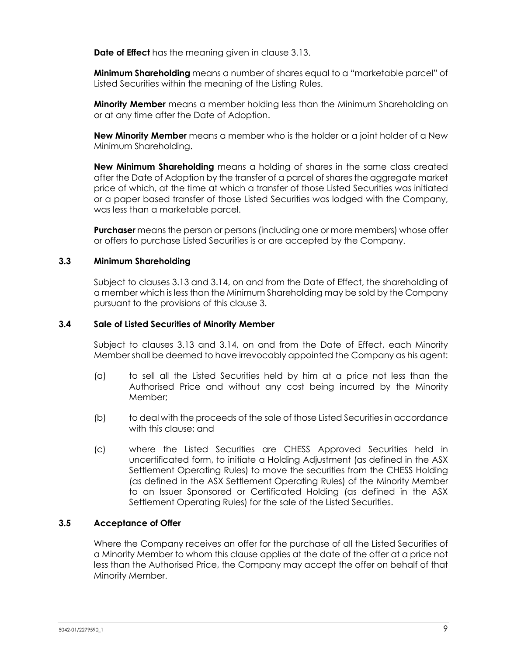**Date of Effect** has the meaning given in clause [3.13.](#page-17-0)

**Minimum Shareholding** means a number of shares equal to a "marketable parcel" of Listed Securities within the meaning of the Listing Rules.

**Minority Member** means a member holding less than the Minimum Shareholding on or at any time after the Date of Adoption.

**New Minority Member** means a member who is the holder or a joint holder of a New Minimum Shareholding.

**New Minimum Shareholding** means a holding of shares in the same class created after the Date of Adoption by the transfer of a parcel of shares the aggregate market price of which, at the time at which a transfer of those Listed Securities was initiated or a paper based transfer of those Listed Securities was lodged with the Company, was less than a marketable parcel.

**Purchaser** means the person or persons (including one or more members) whose offer or offers to purchase Listed Securities is or are accepted by the Company.

#### **3.3 Minimum Shareholding**

Subject to clauses [3.13](#page-17-0) and [3.14,](#page-17-1) on and from the Date of Effect, the shareholding of a member which is less than the Minimum Shareholding may be sold by the Company pursuant to the provisions of this clause [3.](#page-14-0)

#### **3.4 Sale of Listed Securities of Minority Member**

Subject to clauses [3.13](#page-17-0) and [3.14,](#page-17-1) on and from the Date of Effect, each Minority Member shall be deemed to have irrevocably appointed the Company as his agent:

- (a) to sell all the Listed Securities held by him at a price not less than the Authorised Price and without any cost being incurred by the Minority Member;
- (b) to deal with the proceeds of the sale of those Listed Securities in accordance with this clause; and
- (c) where the Listed Securities are CHESS Approved Securities held in uncertificated form, to initiate a Holding Adjustment (as defined in the ASX Settlement Operating Rules) to move the securities from the CHESS Holding (as defined in the ASX Settlement Operating Rules) of the Minority Member to an Issuer Sponsored or Certificated Holding (as defined in the ASX Settlement Operating Rules) for the sale of the Listed Securities.

# **3.5 Acceptance of Offer**

Where the Company receives an offer for the purchase of all the Listed Securities of a Minority Member to whom this clause applies at the date of the offer at a price not less than the Authorised Price, the Company may accept the offer on behalf of that Minority Member.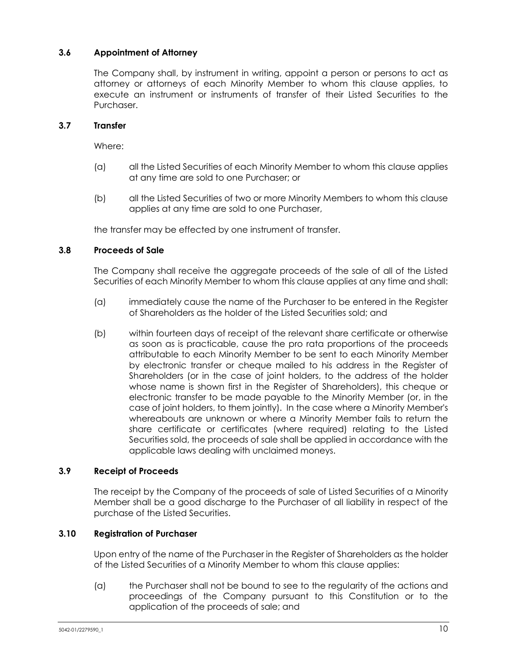# **3.6 Appointment of Attorney**

The Company shall, by instrument in writing, appoint a person or persons to act as attorney or attorneys of each Minority Member to whom this clause applies, to execute an instrument or instruments of transfer of their Listed Securities to the Purchaser.

# **3.7 Transfer**

Where:

- (a) all the Listed Securities of each Minority Member to whom this clause applies at any time are sold to one Purchaser; or
- (b) all the Listed Securities of two or more Minority Members to whom this clause applies at any time are sold to one Purchaser,

the transfer may be effected by one instrument of transfer.

#### <span id="page-16-0"></span>**3.8 Proceeds of Sale**

The Company shall receive the aggregate proceeds of the sale of all of the Listed Securities of each Minority Member to whom this clause applies at any time and shall:

- (a) immediately cause the name of the Purchaser to be entered in the Register of Shareholders as the holder of the Listed Securities sold; and
- (b) within fourteen days of receipt of the relevant share certificate or otherwise as soon as is practicable, cause the pro rata proportions of the proceeds attributable to each Minority Member to be sent to each Minority Member by electronic transfer or cheque mailed to his address in the Register of Shareholders (or in the case of joint holders, to the address of the holder whose name is shown first in the Register of Shareholders), this cheque or electronic transfer to be made payable to the Minority Member (or, in the case of joint holders, to them jointly). In the case where a Minority Member's whereabouts are unknown or where a Minority Member fails to return the share certificate or certificates (where required) relating to the Listed Securities sold, the proceeds of sale shall be applied in accordance with the applicable laws dealing with unclaimed moneys.

# **3.9 Receipt of Proceeds**

The receipt by the Company of the proceeds of sale of Listed Securities of a Minority Member shall be a good discharge to the Purchaser of all liability in respect of the purchase of the Listed Securities.

# **3.10 Registration of Purchaser**

Upon entry of the name of the Purchaser in the Register of Shareholders as the holder of the Listed Securities of a Minority Member to whom this clause applies:

(a) the Purchaser shall not be bound to see to the regularity of the actions and proceedings of the Company pursuant to this Constitution or to the application of the proceeds of sale; and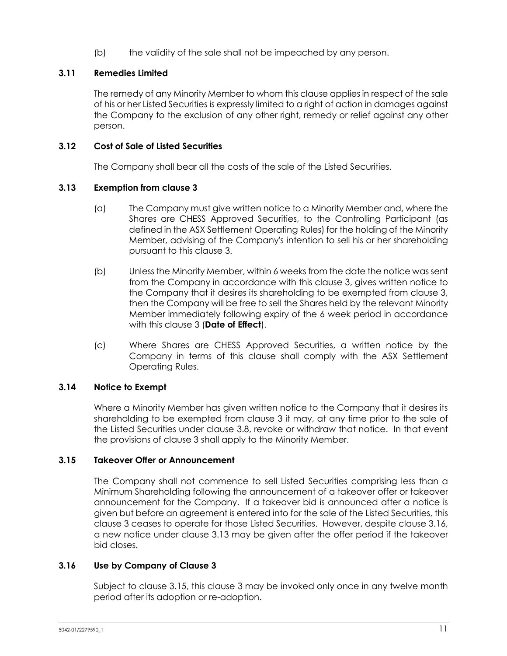(b) the validity of the sale shall not be impeached by any person.

# **3.11 Remedies Limited**

The remedy of any Minority Member to whom this clause applies in respect of the sale of his or her Listed Securities is expressly limited to a right of action in damages against the Company to the exclusion of any other right, remedy or relief against any other person.

# **3.12 Cost of Sale of Listed Securities**

The Company shall bear all the costs of the sale of the Listed Securities.

# <span id="page-17-0"></span>**3.13 Exemption from clause [3](#page-14-0)**

- (a) The Company must give written notice to a Minority Member and, where the Shares are CHESS Approved Securities, to the Controlling Participant (as defined in the ASX Settlement Operating Rules) for the holding of the Minority Member, advising of the Company's intention to sell his or her shareholding pursuant to this clause [3.](#page-14-0)
- (b) Unless the Minority Member, within 6 weeks from the date the notice was sent from the Company in accordance with this clause [3,](#page-14-0) gives written notice to the Company that it desires its shareholding to be exempted from clause [3,](#page-14-0) then the Company will be free to sell the Shares held by the relevant Minority Member immediately following expiry of the 6 week period in accordance with this clause [3](#page-14-0) (**Date of Effect**).
- (c) Where Shares are CHESS Approved Securities, a written notice by the Company in terms of this clause shall comply with the ASX Settlement Operating Rules.

# <span id="page-17-1"></span>**3.14 Notice to Exempt**

Where a Minority Member has given written notice to the Company that it desires its shareholding to be exempted from clause [3](#page-14-0) it may, at any time prior to the sale of the Listed Securities under clause [3.8,](#page-16-0) revoke or withdraw that notice. In that event the provisions of clause [3](#page-14-0) shall apply to the Minority Member.

# <span id="page-17-3"></span>**3.15 Takeover Offer or Announcement**

The Company shall not commence to sell Listed Securities comprising less than a Minimum Shareholding following the announcement of a takeover offer or takeover announcement for the Company. If a takeover bid is announced after a notice is given but before an agreement is entered into for the sale of the Listed Securities, this clause [3](#page-14-0) ceases to operate for those Listed Securities. However, despite clause [3.16,](#page-17-2) a new notice under clause [3.13](#page-17-0) may be given after the offer period if the takeover bid closes.

# <span id="page-17-2"></span>**3.16 Use by Company of Clause [3](#page-14-0)**

Subject to clause [3.15,](#page-17-3) this clause [3](#page-14-0) may be invoked only once in any twelve month period after its adoption or re-adoption.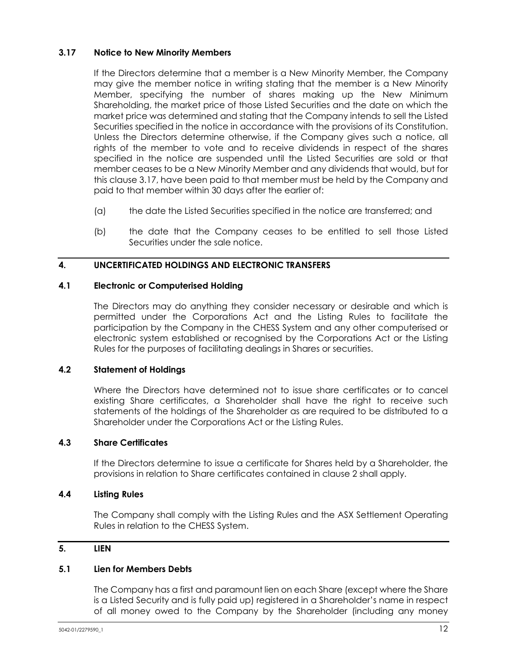# <span id="page-18-1"></span>**3.17 Notice to New Minority Members**

If the Directors determine that a member is a New Minority Member, the Company may give the member notice in writing stating that the member is a New Minority Member, specifying the number of shares making up the New Minimum Shareholding, the market price of those Listed Securities and the date on which the market price was determined and stating that the Company intends to sell the Listed Securities specified in the notice in accordance with the provisions of its Constitution. Unless the Directors determine otherwise, if the Company gives such a notice, all rights of the member to vote and to receive dividends in respect of the shares specified in the notice are suspended until the Listed Securities are sold or that member ceases to be a New Minority Member and any dividends that would, but for this clause [3.17,](#page-18-1) have been paid to that member must be held by the Company and paid to that member within 30 days after the earlier of:

- (a) the date the Listed Securities specified in the notice are transferred; and
- (b) the date that the Company ceases to be entitled to sell those Listed Securities under the sale notice.

# <span id="page-18-0"></span>**4. UNCERTIFICATED HOLDINGS AND ELECTRONIC TRANSFERS**

#### **4.1 Electronic or Computerised Holding**

The Directors may do anything they consider necessary or desirable and which is permitted under the Corporations Act and the Listing Rules to facilitate the participation by the Company in the CHESS System and any other computerised or electronic system established or recognised by the Corporations Act or the Listing Rules for the purposes of facilitating dealings in Shares or securities.

# **4.2 Statement of Holdings**

Where the Directors have determined not to issue share certificates or to cancel existing Share certificates, a Shareholder shall have the right to receive such statements of the holdings of the Shareholder as are required to be distributed to a Shareholder under the Corporations Act or the Listing Rules.

# **4.3 Share Certificates**

If the Directors determine to issue a certificate for Shares held by a Shareholder, the provisions in relation to Share certificates contained in clause [2](#page-11-0) shall apply.

#### **4.4 Listing Rules**

The Company shall comply with the Listing Rules and the ASX Settlement Operating Rules in relation to the CHESS System.

# <span id="page-18-2"></span>**5. LIEN**

# **5.1 Lien for Members Debts**

The Company has a first and paramount lien on each Share (except where the Share is a Listed Security and is fully paid up) registered in a Shareholder's name in respect of all money owed to the Company by the Shareholder (including any money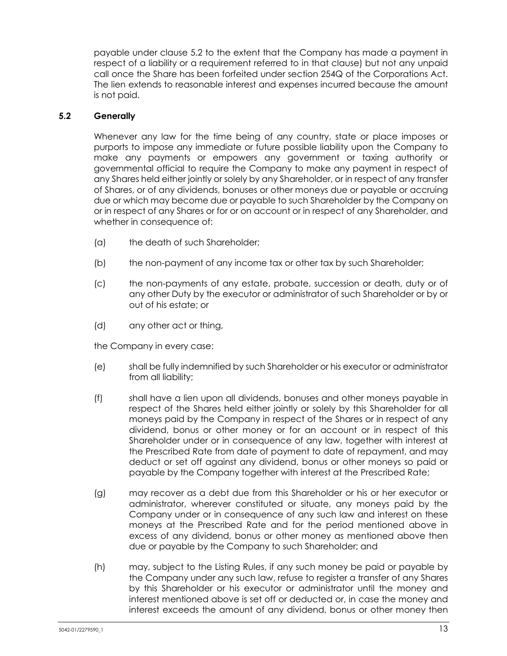payable under clause [5.2](#page-19-0) to the extent that the Company has made a payment in respect of a liability or a requirement referred to in that clause) but not any unpaid call once the Share has been forfeited under section 254Q of the Corporations Act. The lien extends to reasonable interest and expenses incurred because the amount is not paid.

# <span id="page-19-0"></span>**5.2 Generally**

Whenever any law for the time being of any country, state or place imposes or purports to impose any immediate or future possible liability upon the Company to make any payments or empowers any government or taxing authority or governmental official to require the Company to make any payment in respect of any Shares held either jointly or solely by any Shareholder, or in respect of any transfer of Shares, or of any dividends, bonuses or other moneys due or payable or accruing due or which may become due or payable to such Shareholder by the Company on or in respect of any Shares or for or on account or in respect of any Shareholder, and whether in consequence of:

- (a) the death of such Shareholder;
- (b) the non-payment of any income tax or other tax by such Shareholder;
- (c) the non-payments of any estate, probate, succession or death, duty or of any other Duty by the executor or administrator of such Shareholder or by or out of his estate; or
- (d) any other act or thing,

the Company in every case:

- (e) shall be fully indemnified by such Shareholder or his executor or administrator from all liability;
- (f) shall have a lien upon all dividends, bonuses and other moneys payable in respect of the Shares held either jointly or solely by this Shareholder for all moneys paid by the Company in respect of the Shares or in respect of any dividend, bonus or other money or for an account or in respect of this Shareholder under or in consequence of any law, together with interest at the Prescribed Rate from date of payment to date of repayment, and may deduct or set off against any dividend, bonus or other moneys so paid or payable by the Company together with interest at the Prescribed Rate;
- (g) may recover as a debt due from this Shareholder or his or her executor or administrator, wherever constituted or situate, any moneys paid by the Company under or in consequence of any such law and interest on these moneys at the Prescribed Rate and for the period mentioned above in excess of any dividend, bonus or other money as mentioned above then due or payable by the Company to such Shareholder; and
- (h) may, subject to the Listing Rules, if any such money be paid or payable by the Company under any such law, refuse to register a transfer of any Shares by this Shareholder or his executor or administrator until the money and interest mentioned above is set off or deducted or, in case the money and interest exceeds the amount of any dividend, bonus or other money then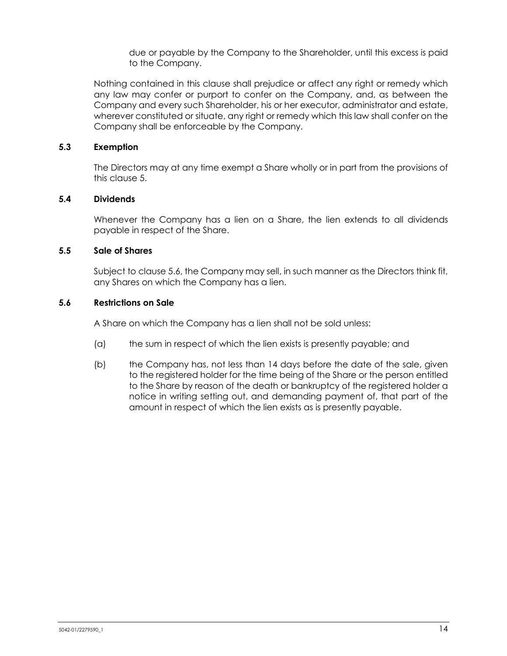due or payable by the Company to the Shareholder, until this excess is paid to the Company.

Nothing contained in this clause shall prejudice or affect any right or remedy which any law may confer or purport to confer on the Company, and, as between the Company and every such Shareholder, his or her executor, administrator and estate, wherever constituted or situate, any right or remedy which this law shall confer on the Company shall be enforceable by the Company.

# **5.3 Exemption**

The Directors may at any time exempt a Share wholly or in part from the provisions of this clause [5.](#page-18-2)

# **5.4 Dividends**

Whenever the Company has a lien on a Share, the lien extends to all dividends payable in respect of the Share.

# <span id="page-20-1"></span>**5.5 Sale of Shares**

Subject to clause [5.6,](#page-20-0) the Company may sell, in such manner as the Directors think fit, any Shares on which the Company has a lien.

#### <span id="page-20-0"></span>**5.6 Restrictions on Sale**

A Share on which the Company has a lien shall not be sold unless:

- (a) the sum in respect of which the lien exists is presently payable; and
- (b) the Company has, not less than 14 days before the date of the sale, given to the registered holder for the time being of the Share or the person entitled to the Share by reason of the death or bankruptcy of the registered holder a notice in writing setting out, and demanding payment of, that part of the amount in respect of which the lien exists as is presently payable.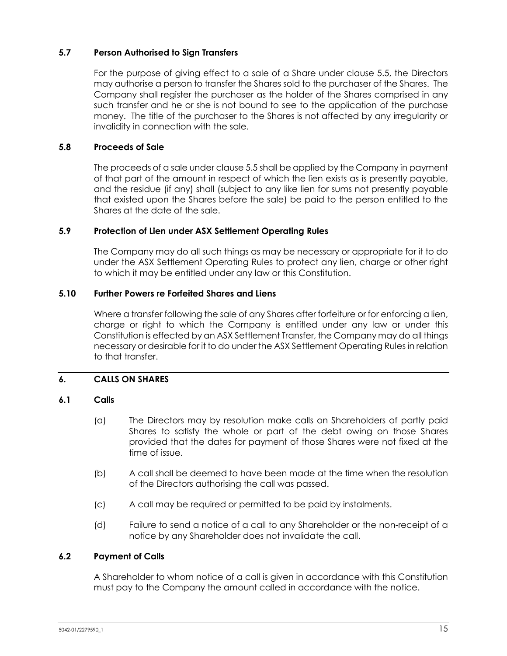# **5.7 Person Authorised to Sign Transfers**

For the purpose of giving effect to a sale of a Share under clause [5.5,](#page-20-1) the Directors may authorise a person to transfer the Shares sold to the purchaser of the Shares. The Company shall register the purchaser as the holder of the Shares comprised in any such transfer and he or she is not bound to see to the application of the purchase money. The title of the purchaser to the Shares is not affected by any irregularity or invalidity in connection with the sale.

#### **5.8 Proceeds of Sale**

The proceeds of a sale under claus[e 5.5](#page-20-1) shall be applied by the Company in payment of that part of the amount in respect of which the lien exists as is presently payable, and the residue (if any) shall (subject to any like lien for sums not presently payable that existed upon the Shares before the sale) be paid to the person entitled to the Shares at the date of the sale.

#### **5.9 Protection of Lien under ASX Settlement Operating Rules**

The Company may do all such things as may be necessary or appropriate for it to do under the ASX Settlement Operating Rules to protect any lien, charge or other right to which it may be entitled under any law or this Constitution.

#### **5.10 Further Powers re Forfeited Shares and Liens**

Where a transfer following the sale of any Shares after forfeiture or for enforcing a lien, charge or right to which the Company is entitled under any law or under this Constitution is effected by an ASX Settlement Transfer, the Company may do all things necessary or desirable for it to do under the ASX Settlement Operating Rulesin relation to that transfer.

# <span id="page-21-0"></span>**6. CALLS ON SHARES**

# **6.1 Calls**

- (a) The Directors may by resolution make calls on Shareholders of partly paid Shares to satisfy the whole or part of the debt owing on those Shares provided that the dates for payment of those Shares were not fixed at the time of issue.
- (b) A call shall be deemed to have been made at the time when the resolution of the Directors authorising the call was passed.
- (c) A call may be required or permitted to be paid by instalments.
- (d) Failure to send a notice of a call to any Shareholder or the non-receipt of a notice by any Shareholder does not invalidate the call.

# **6.2 Payment of Calls**

A Shareholder to whom notice of a call is given in accordance with this Constitution must pay to the Company the amount called in accordance with the notice.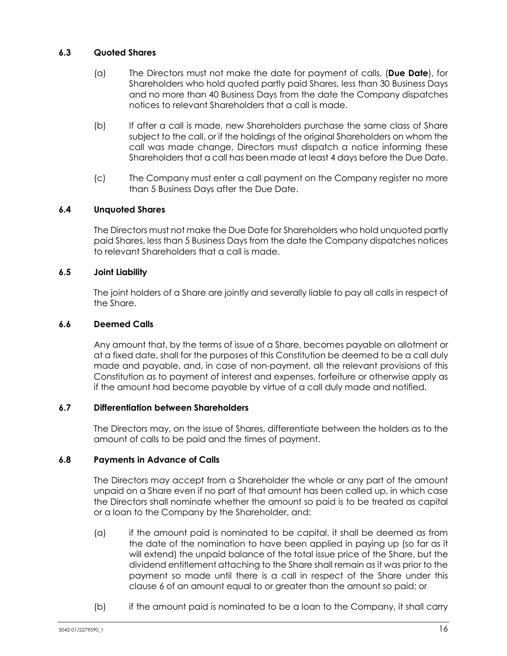# **6.3 Quoted Shares**

- (a) The Directors must not make the date for payment of calls, (**Due Date**), for Shareholders who hold quoted partly paid Shares, less than 30 Business Days and no more than 40 Business Days from the date the Company dispatches notices to relevant Shareholders that a call is made.
- (b) If after a call is made, new Shareholders purchase the same class of Share subject to the call, or if the holdings of the original Shareholders on whom the call was made change, Directors must dispatch a notice informing these Shareholders that a call has been made at least 4 days before the Due Date.
- (c) The Company must enter a call payment on the Company register no more than 5 Business Days after the Due Date.

# **6.4 Unquoted Shares**

The Directors must not make the Due Date for Shareholders who hold unquoted partly paid Shares, less than 5 Business Days from the date the Company dispatches notices to relevant Shareholders that a call is made.

# **6.5 Joint Liability**

The joint holders of a Share are jointly and severally liable to pay all calls in respect of the Share.

#### **6.6 Deemed Calls**

Any amount that, by the terms of issue of a Share, becomes payable on allotment or at a fixed date, shall for the purposes of this Constitution be deemed to be a call duly made and payable, and, in case of non-payment, all the relevant provisions of this Constitution as to payment of interest and expenses, forfeiture or otherwise apply as if the amount had become payable by virtue of a call duly made and notified.

# **6.7 Differentiation between Shareholders**

The Directors may, on the issue of Shares, differentiate between the holders as to the amount of calls to be paid and the times of payment.

# **6.8 Payments in Advance of Calls**

The Directors may accept from a Shareholder the whole or any part of the amount unpaid on a Share even if no part of that amount has been called up, in which case the Directors shall nominate whether the amount so paid is to be treated as capital or a loan to the Company by the Shareholder, and:

- (a) if the amount paid is nominated to be capital, it shall be deemed as from the date of the nomination to have been applied in paying up (so far as it will extend) the unpaid balance of the total issue price of the Share, but the dividend entitlement attaching to the Share shall remain as it was prior to the payment so made until there is a call in respect of the Share under this clause [6](#page-21-0) of an amount equal to or greater than the amount so paid; or
- (b) if the amount paid is nominated to be a loan to the Company, it shall carry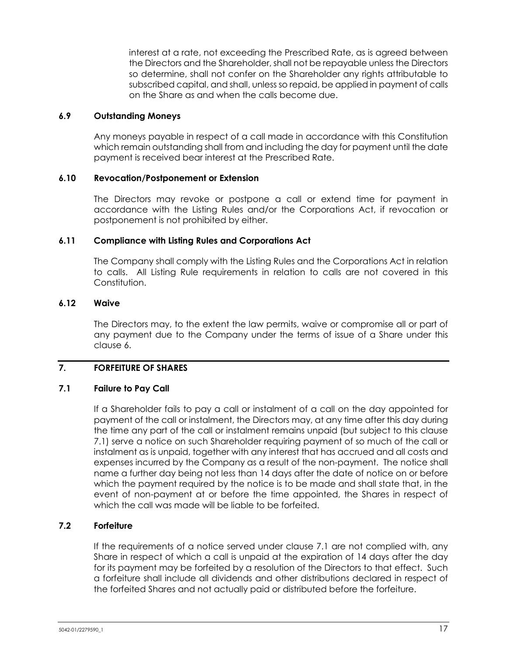interest at a rate, not exceeding the Prescribed Rate, as is agreed between the Directors and the Shareholder, shall not be repayable unless the Directors so determine, shall not confer on the Shareholder any rights attributable to subscribed capital, and shall, unless so repaid, be applied in payment of calls on the Share as and when the calls become due.

#### **6.9 Outstanding Moneys**

Any moneys payable in respect of a call made in accordance with this Constitution which remain outstanding shall from and including the day for payment until the date payment is received bear interest at the Prescribed Rate.

#### **6.10 Revocation/Postponement or Extension**

The Directors may revoke or postpone a call or extend time for payment in accordance with the Listing Rules and/or the Corporations Act, if revocation or postponement is not prohibited by either.

#### **6.11 Compliance with Listing Rules and Corporations Act**

The Company shall comply with the Listing Rules and the Corporations Act in relation to calls. All Listing Rule requirements in relation to calls are not covered in this Constitution.

#### **6.12 Waive**

The Directors may, to the extent the law permits, waive or compromise all or part of any payment due to the Company under the terms of issue of a Share under this claus[e 6.](#page-21-0)

# <span id="page-23-1"></span>**7. FORFEITURE OF SHARES**

# <span id="page-23-0"></span>**7.1 Failure to Pay Call**

If a Shareholder fails to pay a call or instalment of a call on the day appointed for payment of the call or instalment, the Directors may, at any time after this day during the time any part of the call or instalment remains unpaid (but subject to this clause [7.1\)](#page-23-0) serve a notice on such Shareholder requiring payment of so much of the call or instalment as is unpaid, together with any interest that has accrued and all costs and expenses incurred by the Company as a result of the non-payment. The notice shall name a further day being not less than 14 days after the date of notice on or before which the payment required by the notice is to be made and shall state that, in the event of non-payment at or before the time appointed, the Shares in respect of which the call was made will be liable to be forfeited.

# **7.2 Forfeiture**

If the requirements of a notice served under clause [7.1](#page-23-0) are not complied with, any Share in respect of which a call is unpaid at the expiration of 14 days after the day for its payment may be forfeited by a resolution of the Directors to that effect. Such a forfeiture shall include all dividends and other distributions declared in respect of the forfeited Shares and not actually paid or distributed before the forfeiture.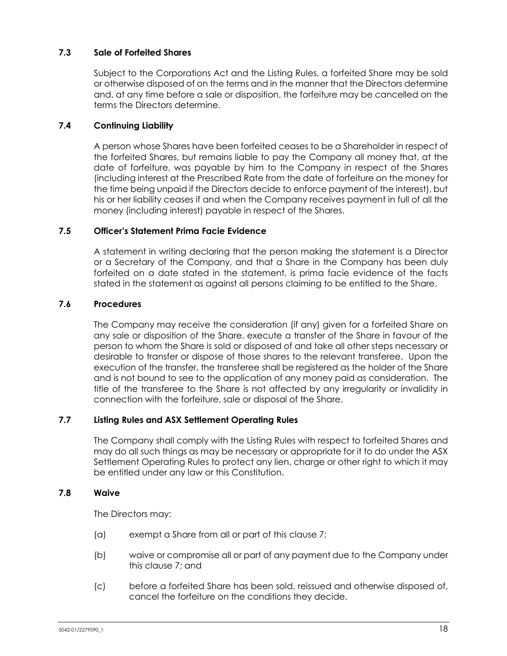# **7.3 Sale of Forfeited Shares**

Subject to the Corporations Act and the Listing Rules, a forfeited Share may be sold or otherwise disposed of on the terms and in the manner that the Directors determine and, at any time before a sale or disposition, the forfeiture may be cancelled on the terms the Directors determine.

# **7.4 Continuing Liability**

A person whose Shares have been forfeited ceases to be a Shareholder in respect of the forfeited Shares, but remains liable to pay the Company all money that, at the date of forfeiture, was payable by him to the Company in respect of the Shares (including interest at the Prescribed Rate from the date of forfeiture on the money for the time being unpaid if the Directors decide to enforce payment of the interest), but his or her liability ceases if and when the Company receives payment in full of all the money (including interest) payable in respect of the Shares.

# **7.5 Officer's Statement Prima Facie Evidence**

A statement in writing declaring that the person making the statement is a Director or a Secretary of the Company, and that a Share in the Company has been duly forfeited on a date stated in the statement, is prima facie evidence of the facts stated in the statement as against all persons claiming to be entitled to the Share.

# **7.6 Procedures**

The Company may receive the consideration (if any) given for a forfeited Share on any sale or disposition of the Share, execute a transfer of the Share in favour of the person to whom the Share is sold or disposed of and take all other steps necessary or desirable to transfer or dispose of those shares to the relevant transferee. Upon the execution of the transfer, the transferee shall be registered as the holder of the Share and is not bound to see to the application of any money paid as consideration. The title of the transferee to the Share is not affected by any irregularity or invalidity in connection with the forfeiture, sale or disposal of the Share.

# **7.7 Listing Rules and ASX Settlement Operating Rules**

The Company shall comply with the Listing Rules with respect to forfeited Shares and may do all such things as may be necessary or appropriate for it to do under the ASX Settlement Operating Rules to protect any lien, charge or other right to which it may be entitled under any law or this Constitution.

#### **7.8 Waive**

The Directors may:

- (a) exempt a Share from all or part of this clause [7;](#page-23-1)
- (b) waive or compromise all or part of any payment due to the Company under this clause [7;](#page-23-1) and
- (c) before a forfeited Share has been sold, reissued and otherwise disposed of, cancel the forfeiture on the conditions they decide.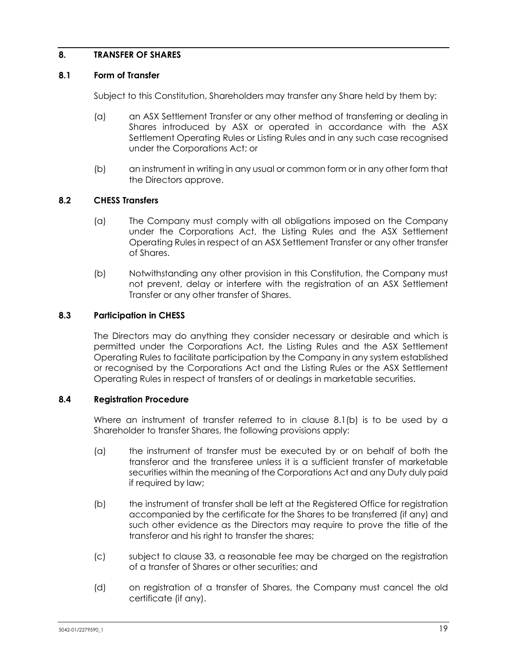# <span id="page-25-1"></span>**8. TRANSFER OF SHARES**

#### **8.1 Form of Transfer**

Subject to this Constitution, Shareholders may transfer any Share held by them by:

- (a) an ASX Settlement Transfer or any other method of transferring or dealing in Shares introduced by ASX or operated in accordance with the ASX Settlement Operating Rules or Listing Rules and in any such case recognised under the Corporations Act; or
- (b) an instrument in writing in any usual or common form or in any other form that the Directors approve.

#### <span id="page-25-0"></span>**8.2 CHESS Transfers**

- (a) The Company must comply with all obligations imposed on the Company under the Corporations Act, the Listing Rules and the ASX Settlement Operating Rules in respect of an ASX Settlement Transfer or any other transfer of Shares.
- (b) Notwithstanding any other provision in this Constitution, the Company must not prevent, delay or interfere with the registration of an ASX Settlement Transfer or any other transfer of Shares.

#### **8.3 Participation in CHESS**

The Directors may do anything they consider necessary or desirable and which is permitted under the Corporations Act, the Listing Rules and the ASX Settlement Operating Rules to facilitate participation by the Company in any system established or recognised by the Corporations Act and the Listing Rules or the ASX Settlement Operating Rules in respect of transfers of or dealings in marketable securities.

#### **8.4 Registration Procedure**

Where an instrument of transfer referred to in clause [8.1\(b\)](#page-25-0) is to be used by a Shareholder to transfer Shares, the following provisions apply:

- (a) the instrument of transfer must be executed by or on behalf of both the transferor and the transferee unless it is a sufficient transfer of marketable securities within the meaning of the Corporations Act and any Duty duly paid if required by law;
- (b) the instrument of transfer shall be left at the Registered Office for registration accompanied by the certificate for the Shares to be transferred (if any) and such other evidence as the Directors may require to prove the title of the transferor and his right to transfer the shares;
- (c) subject to clause [33,](#page-64-0) a reasonable fee may be charged on the registration of a transfer of Shares or other securities; and
- (d) on registration of a transfer of Shares, the Company must cancel the old certificate (if any).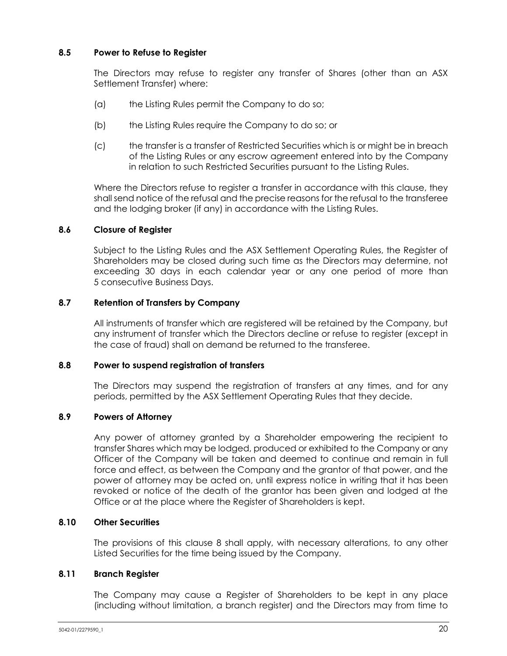# **8.5 Power to Refuse to Register**

The Directors may refuse to register any transfer of Shares (other than an ASX Settlement Transfer) where:

- (a) the Listing Rules permit the Company to do so;
- (b) the Listing Rules require the Company to do so; or
- (c) the transfer is a transfer of Restricted Securities which is or might be in breach of the Listing Rules or any escrow agreement entered into by the Company in relation to such Restricted Securities pursuant to the Listing Rules.

Where the Directors refuse to register a transfer in accordance with this clause, they shall send notice of the refusal and the precise reasons for the refusal to the transferee and the lodging broker (if any) in accordance with the Listing Rules.

# **8.6 Closure of Register**

Subject to the Listing Rules and the ASX Settlement Operating Rules, the Register of Shareholders may be closed during such time as the Directors may determine, not exceeding 30 days in each calendar year or any one period of more than 5 consecutive Business Days.

#### **8.7 Retention of Transfers by Company**

All instruments of transfer which are registered will be retained by the Company, but any instrument of transfer which the Directors decline or refuse to register (except in the case of fraud) shall on demand be returned to the transferee.

#### **8.8 Power to suspend registration of transfers**

The Directors may suspend the registration of transfers at any times, and for any periods, permitted by the ASX Settlement Operating Rules that they decide.

# **8.9 Powers of Attorney**

Any power of attorney granted by a Shareholder empowering the recipient to transfer Shares which may be lodged, produced or exhibited to the Company or any Officer of the Company will be taken and deemed to continue and remain in full force and effect, as between the Company and the grantor of that power, and the power of attorney may be acted on, until express notice in writing that it has been revoked or notice of the death of the grantor has been given and lodged at the Office or at the place where the Register of Shareholders is kept.

#### **8.10 Other Securities**

The provisions of this clause [8](#page-25-1) shall apply, with necessary alterations, to any other Listed Securities for the time being issued by the Company.

#### **8.11 Branch Register**

The Company may cause a Register of Shareholders to be kept in any place (including without limitation, a branch register) and the Directors may from time to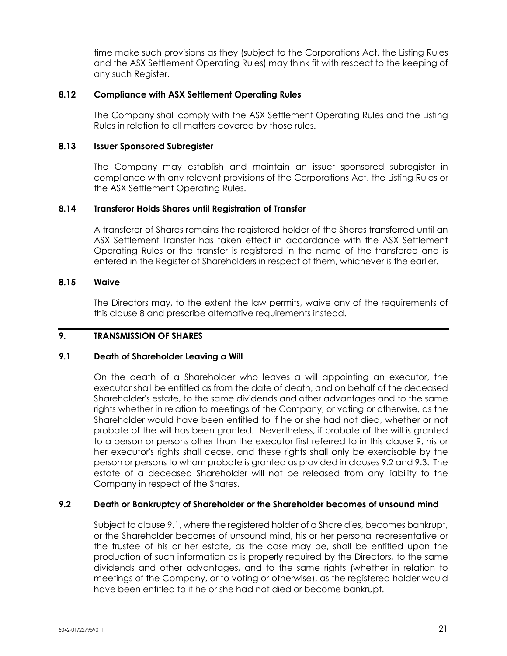time make such provisions as they (subject to the Corporations Act, the Listing Rules and the ASX Settlement Operating Rules) may think fit with respect to the keeping of any such Register.

#### **8.12 Compliance with ASX Settlement Operating Rules**

The Company shall comply with the ASX Settlement Operating Rules and the Listing Rules in relation to all matters covered by those rules.

#### **8.13 Issuer Sponsored Subregister**

The Company may establish and maintain an issuer sponsored subregister in compliance with any relevant provisions of the Corporations Act, the Listing Rules or the ASX Settlement Operating Rules.

#### **8.14 Transferor Holds Shares until Registration of Transfer**

A transferor of Shares remains the registered holder of the Shares transferred until an ASX Settlement Transfer has taken effect in accordance with the ASX Settlement Operating Rules or the transfer is registered in the name of the transferee and is entered in the Register of Shareholders in respect of them, whichever is the earlier.

#### **8.15 Waive**

The Directors may, to the extent the law permits, waive any of the requirements of this clause [8](#page-25-1) and prescribe alternative requirements instead.

#### <span id="page-27-0"></span>**9. TRANSMISSION OF SHARES**

#### <span id="page-27-2"></span>**9.1 Death of Shareholder Leaving a Will**

On the death of a Shareholder who leaves a will appointing an executor, the executor shall be entitled as from the date of death, and on behalf of the deceased Shareholder's estate, to the same dividends and other advantages and to the same rights whether in relation to meetings of the Company, or voting or otherwise, as the Shareholder would have been entitled to if he or she had not died, whether or not probate of the will has been granted. Nevertheless, if probate of the will is granted to a person or persons other than the executor first referred to in this clause [9,](#page-27-0) his or her executor's rights shall cease, and these rights shall only be exercisable by the person or persons to whom probate is granted as provided in clauses [9.2](#page-27-1) and [9.3.](#page-28-0) The estate of a deceased Shareholder will not be released from any liability to the Company in respect of the Shares.

# <span id="page-27-1"></span>**9.2 Death or Bankruptcy of Shareholder or the Shareholder becomes of unsound mind**

Subject to clause [9.1,](#page-27-2) where the registered holder of a Share dies, becomes bankrupt, or the Shareholder becomes of unsound mind, his or her personal representative or the trustee of his or her estate, as the case may be, shall be entitled upon the production of such information as is properly required by the Directors, to the same dividends and other advantages, and to the same rights (whether in relation to meetings of the Company, or to voting or otherwise), as the registered holder would have been entitled to if he or she had not died or become bankrupt.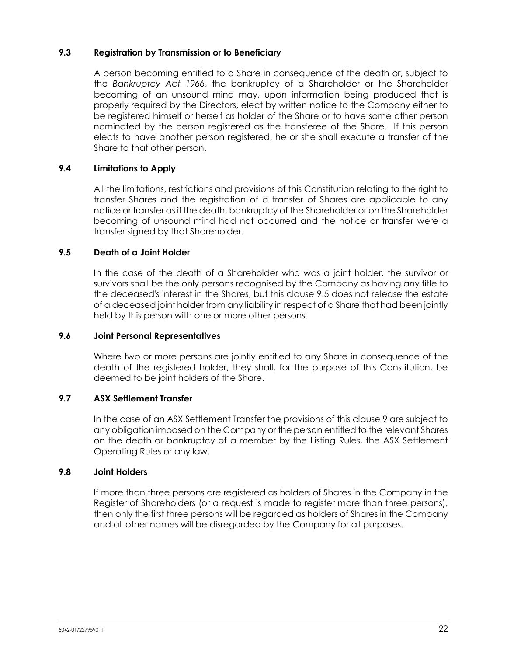# <span id="page-28-0"></span>**9.3 Registration by Transmission or to Beneficiary**

A person becoming entitled to a Share in consequence of the death or, subject to the *Bankruptcy Act 1966*, the bankruptcy of a Shareholder or the Shareholder becoming of an unsound mind may, upon information being produced that is properly required by the Directors, elect by written notice to the Company either to be registered himself or herself as holder of the Share or to have some other person nominated by the person registered as the transferee of the Share. If this person elects to have another person registered, he or she shall execute a transfer of the Share to that other person.

# **9.4 Limitations to Apply**

All the limitations, restrictions and provisions of this Constitution relating to the right to transfer Shares and the registration of a transfer of Shares are applicable to any notice or transfer as if the death, bankruptcy of the Shareholder or on the Shareholder becoming of unsound mind had not occurred and the notice or transfer were a transfer signed by that Shareholder.

# <span id="page-28-1"></span>**9.5 Death of a Joint Holder**

In the case of the death of a Shareholder who was a joint holder, the survivor or survivors shall be the only persons recognised by the Company as having any title to the deceased's interest in the Shares, but this clause [9.5](#page-28-1) does not release the estate of a deceased joint holder from any liability in respect of a Share that had been jointly held by this person with one or more other persons.

# **9.6 Joint Personal Representatives**

Where two or more persons are jointly entitled to any Share in consequence of the death of the registered holder, they shall, for the purpose of this Constitution, be deemed to be joint holders of the Share.

# **9.7 ASX Settlement Transfer**

In the case of an ASX Settlement Transfer the provisions of this clause [9](#page-27-0) are subject to any obligation imposed on the Company or the person entitled to the relevant Shares on the death or bankruptcy of a member by the Listing Rules, the ASX Settlement Operating Rules or any law.

# **9.8 Joint Holders**

If more than three persons are registered as holders of Shares in the Company in the Register of Shareholders (or a request is made to register more than three persons), then only the first three persons will be regarded as holders of Shares in the Company and all other names will be disregarded by the Company for all purposes.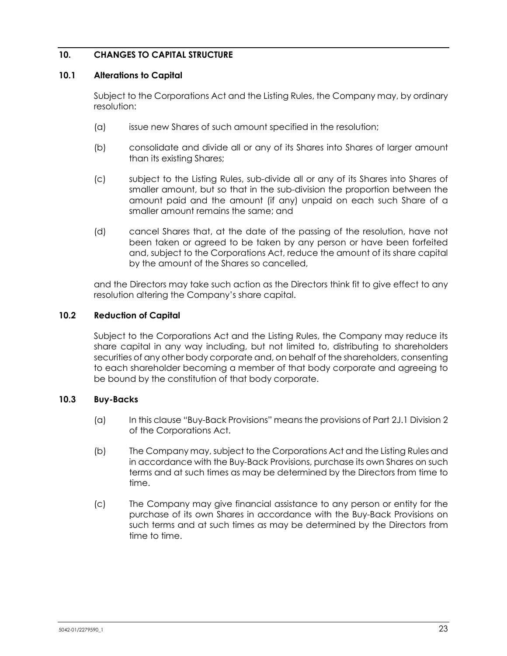# **10. CHANGES TO CAPITAL STRUCTURE**

#### **10.1 Alterations to Capital**

Subject to the Corporations Act and the Listing Rules, the Company may, by ordinary resolution:

- (a) issue new Shares of such amount specified in the resolution;
- (b) consolidate and divide all or any of its Shares into Shares of larger amount than its existing Shares;
- (c) subject to the Listing Rules, sub-divide all or any of its Shares into Shares of smaller amount, but so that in the sub-division the proportion between the amount paid and the amount (if any) unpaid on each such Share of a smaller amount remains the same; and
- (d) cancel Shares that, at the date of the passing of the resolution, have not been taken or agreed to be taken by any person or have been forfeited and, subject to the Corporations Act, reduce the amount of its share capital by the amount of the Shares so cancelled,

and the Directors may take such action as the Directors think fit to give effect to any resolution altering the Company's share capital.

#### **10.2 Reduction of Capital**

Subject to the Corporations Act and the Listing Rules, the Company may reduce its share capital in any way including, but not limited to, distributing to shareholders securities of any other body corporate and, on behalf of the shareholders, consenting to each shareholder becoming a member of that body corporate and agreeing to be bound by the constitution of that body corporate.

# **10.3 Buy-Backs**

- (a) In this clause "Buy-Back Provisions" means the provisions of Part 2J.1 Division 2 of the Corporations Act.
- (b) The Company may, subject to the Corporations Act and the Listing Rules and in accordance with the Buy-Back Provisions, purchase its own Shares on such terms and at such times as may be determined by the Directors from time to time.
- (c) The Company may give financial assistance to any person or entity for the purchase of its own Shares in accordance with the Buy-Back Provisions on such terms and at such times as may be determined by the Directors from time to time.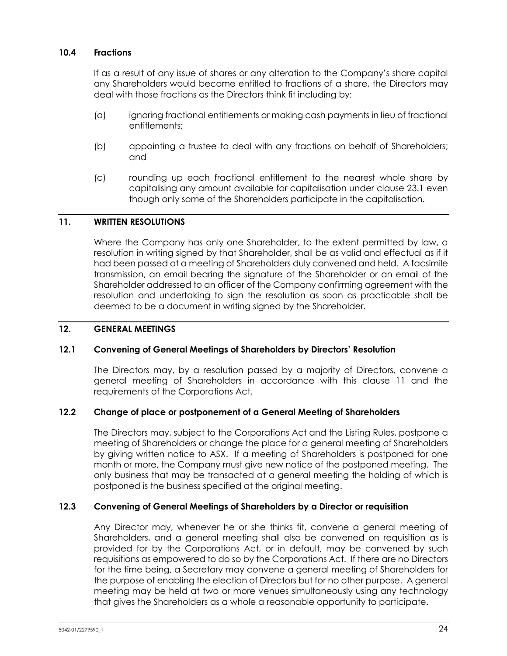# **10.4 Fractions**

If as a result of any issue of shares or any alteration to the Company's share capital any Shareholders would become entitled to fractions of a share, the Directors may deal with those fractions as the Directors think fit including by:

- (a) ignoring fractional entitlements or making cash payments in lieu of fractional entitlements;
- (b) appointing a trustee to deal with any fractions on behalf of Shareholders; and
- (c) rounding up each fractional entitlement to the nearest whole share by capitalising any amount available for capitalisation under clause [23.1](#page-57-0) even though only some of the Shareholders participate in the capitalisation.

# <span id="page-30-0"></span>**11. WRITTEN RESOLUTIONS**

Where the Company has only one Shareholder, to the extent permitted by law, a resolution in writing signed by that Shareholder, shall be as valid and effectual as if it had been passed at a meeting of Shareholders duly convened and held. A facsimile transmission, an email bearing the signature of the Shareholder or an email of the Shareholder addressed to an officer of the Company confirming agreement with the resolution and undertaking to sign the resolution as soon as practicable shall be deemed to be a document in writing signed by the Shareholder.

#### **12. GENERAL MEETINGS**

# <span id="page-30-1"></span>**12.1 Convening of General Meetings of Shareholders by Directors' Resolution**

The Directors may, by a resolution passed by a majority of Directors, convene a general meeting of Shareholders in accordance with this clause [11](#page-30-0) and the requirements of the Corporations Act.

# **12.2 Change of place or postponement of a General Meeting of Shareholders**

The Directors may, subject to the Corporations Act and the Listing Rules, postpone a meeting of Shareholders or change the place for a general meeting of Shareholders by giving written notice to ASX. If a meeting of Shareholders is postponed for one month or more, the Company must give new notice of the postponed meeting. The only business that may be transacted at a general meeting the holding of which is postponed is the business specified at the original meeting.

# **12.3 Convening of General Meetings of Shareholders by a Director or requisition**

Any Director may, whenever he or she thinks fit, convene a general meeting of Shareholders, and a general meeting shall also be convened on requisition as is provided for by the Corporations Act, or in default, may be convened by such requisitions as empowered to do so by the Corporations Act. If there are no Directors for the time being, a Secretary may convene a general meeting of Shareholders for the purpose of enabling the election of Directors but for no other purpose. A general meeting may be held at two or more venues simultaneously using any technology that gives the Shareholders as a whole a reasonable opportunity to participate.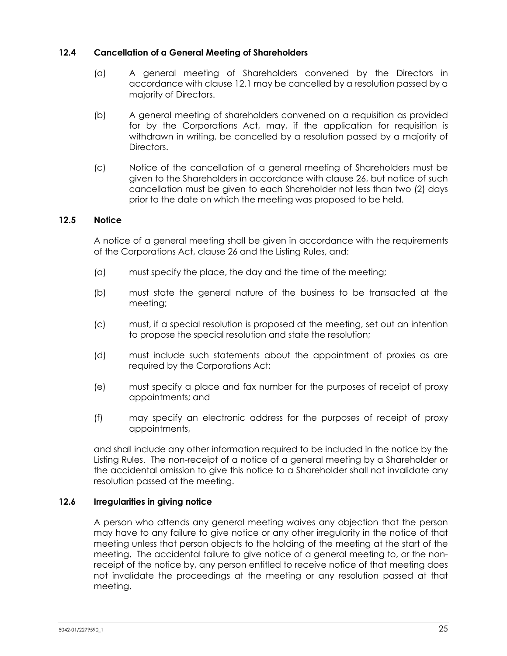# **12.4 Cancellation of a General Meeting of Shareholders**

- (a) A general meeting of Shareholders convened by the Directors in accordance with clause [12.1](#page-30-1) may be cancelled by a resolution passed by a majority of Directors.
- (b) A general meeting of shareholders convened on a requisition as provided for by the Corporations Act, may, if the application for requisition is withdrawn in writing, be cancelled by a resolution passed by a majority of Directors.
- (c) Notice of the cancellation of a general meeting of Shareholders must be given to the Shareholders in accordance with clause [26,](#page-58-2) but notice of such cancellation must be given to each Shareholder not less than two (2) days prior to the date on which the meeting was proposed to be held.

# **12.5 Notice**

A notice of a general meeting shall be given in accordance with the requirements of the Corporations Act, clause [26](#page-58-2) and the Listing Rules, and:

- (a) must specify the place, the day and the time of the meeting;
- (b) must state the general nature of the business to be transacted at the meeting;
- (c) must, if a special resolution is proposed at the meeting, set out an intention to propose the special resolution and state the resolution;
- (d) must include such statements about the appointment of proxies as are required by the Corporations Act;
- (e) must specify a place and fax number for the purposes of receipt of proxy appointments; and
- (f) may specify an electronic address for the purposes of receipt of proxy appointments,

and shall include any other information required to be included in the notice by the Listing Rules. The non-receipt of a notice of a general meeting by a Shareholder or the accidental omission to give this notice to a Shareholder shall not invalidate any resolution passed at the meeting.

# **12.6 Irregularities in giving notice**

A person who attends any general meeting waives any objection that the person may have to any failure to give notice or any other irregularity in the notice of that meeting unless that person objects to the holding of the meeting at the start of the meeting. The accidental failure to give notice of a general meeting to, or the nonreceipt of the notice by, any person entitled to receive notice of that meeting does not invalidate the proceedings at the meeting or any resolution passed at that meeting.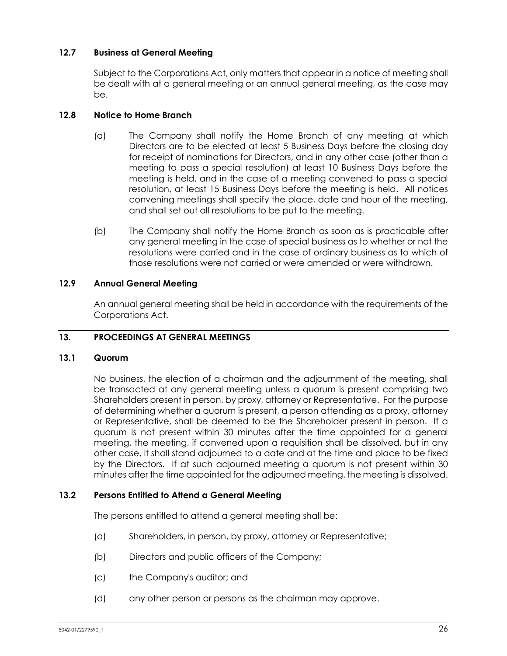# **12.7 Business at General Meeting**

Subject to the Corporations Act, only matters that appear in a notice of meeting shall be dealt with at a general meeting or an annual general meeting, as the case may be.

#### **12.8 Notice to Home Branch**

- (a) The Company shall notify the Home Branch of any meeting at which Directors are to be elected at least 5 Business Days before the closing day for receipt of nominations for Directors, and in any other case (other than a meeting to pass a special resolution) at least 10 Business Days before the meeting is held, and in the case of a meeting convened to pass a special resolution, at least 15 Business Days before the meeting is held. All notices convening meetings shall specify the place, date and hour of the meeting, and shall set out all resolutions to be put to the meeting.
- (b) The Company shall notify the Home Branch as soon as is practicable after any general meeting in the case of special business as to whether or not the resolutions were carried and in the case of ordinary business as to which of those resolutions were not carried or were amended or were withdrawn.

# **12.9 Annual General Meeting**

An annual general meeting shall be held in accordance with the requirements of the Corporations Act.

# **13. PROCEEDINGS AT GENERAL MEETINGS**

#### **13.1 Quorum**

No business, the election of a chairman and the adjournment of the meeting, shall be transacted at any general meeting unless a quorum is present comprising two Shareholders present in person, by proxy, attorney or Representative. For the purpose of determining whether a quorum is present, a person attending as a proxy, attorney or Representative, shall be deemed to be the Shareholder present in person. If a quorum is not present within 30 minutes after the time appointed for a general meeting, the meeting, if convened upon a requisition shall be dissolved, but in any other case, it shall stand adjourned to a date and at the time and place to be fixed by the Directors. If at such adjourned meeting a quorum is not present within 30 minutes after the time appointed for the adjourned meeting, the meeting is dissolved.

# **13.2 Persons Entitled to Attend a General Meeting**

The persons entitled to attend a general meeting shall be:

- (a) Shareholders, in person, by proxy, attorney or Representative;
- (b) Directors and public officers of the Company;
- (c) the Company's auditor; and
- (d) any other person or persons as the chairman may approve.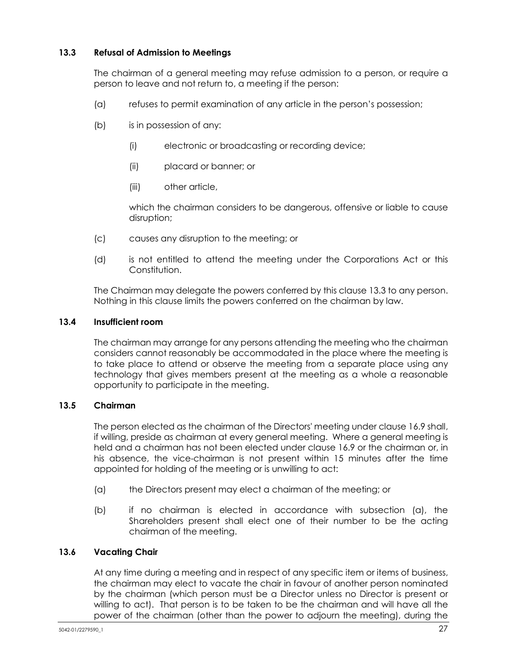# <span id="page-33-0"></span>**13.3 Refusal of Admission to Meetings**

The chairman of a general meeting may refuse admission to a person, or require a person to leave and not return to, a meeting if the person:

- (a) refuses to permit examination of any article in the person's possession;
- (b) is in possession of any:
	- (i) electronic or broadcasting or recording device;
	- (ii) placard or banner; or
	- (iii) other article,

which the chairman considers to be dangerous, offensive or liable to cause disruption;

- (c) causes any disruption to the meeting; or
- (d) is not entitled to attend the meeting under the Corporations Act or this Constitution.

The Chairman may delegate the powers conferred by this claus[e 13.3](#page-33-0) to any person. Nothing in this clause limits the powers conferred on the chairman by law.

# **13.4 Insufficient room**

The chairman may arrange for any persons attending the meeting who the chairman considers cannot reasonably be accommodated in the place where the meeting is to take place to attend or observe the meeting from a separate place using any technology that gives members present at the meeting as a whole a reasonable opportunity to participate in the meeting.

# **13.5 Chairman**

The person elected as the chairman of the Directors' meeting under clause [16.9](#page-49-0) shall, if willing, preside as chairman at every general meeting. Where a general meeting is held and a chairman has not been elected under clause [16.9](#page-49-0) or the chairman or, in his absence, the vice-chairman is not present within 15 minutes after the time appointed for holding of the meeting or is unwilling to act:

- (a) the Directors present may elect a chairman of the meeting; or
- (b) if no chairman is elected in accordance with subsection (a), the Shareholders present shall elect one of their number to be the acting chairman of the meeting.

# **13.6 Vacating Chair**

At any time during a meeting and in respect of any specific item or items of business, the chairman may elect to vacate the chair in favour of another person nominated by the chairman (which person must be a Director unless no Director is present or willing to act). That person is to be taken to be the chairman and will have all the power of the chairman (other than the power to adjourn the meeting), during the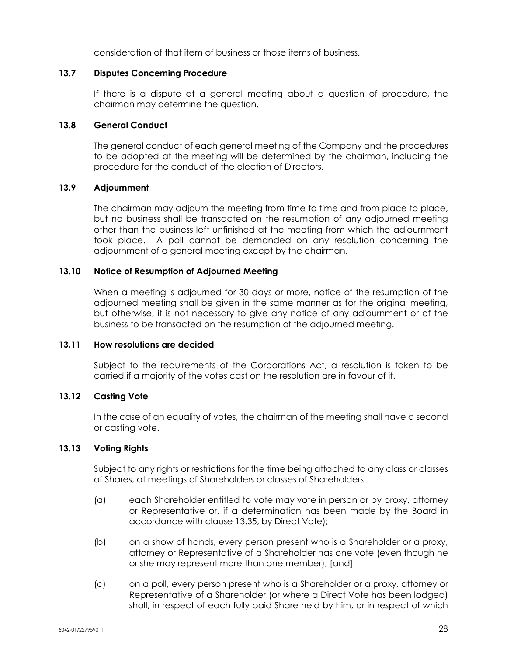consideration of that item of business or those items of business.

#### **13.7 Disputes Concerning Procedure**

If there is a dispute at a general meeting about a question of procedure, the chairman may determine the question.

#### **13.8 General Conduct**

The general conduct of each general meeting of the Company and the procedures to be adopted at the meeting will be determined by the chairman, including the procedure for the conduct of the election of Directors.

# **13.9 Adjournment**

The chairman may adjourn the meeting from time to time and from place to place, but no business shall be transacted on the resumption of any adjourned meeting other than the business left unfinished at the meeting from which the adjournment took place. A poll cannot be demanded on any resolution concerning the adjournment of a general meeting except by the chairman.

#### **13.10 Notice of Resumption of Adjourned Meeting**

When a meeting is adjourned for 30 days or more, notice of the resumption of the adjourned meeting shall be given in the same manner as for the original meeting, but otherwise, it is not necessary to give any notice of any adjournment or of the business to be transacted on the resumption of the adjourned meeting.

#### **13.11 How resolutions are decided**

Subject to the requirements of the Corporations Act, a resolution is taken to be carried if a majority of the votes cast on the resolution are in favour of it.

# **13.12 Casting Vote**

In the case of an equality of votes, the chairman of the meeting shall have a second or casting vote.

# **13.13 Voting Rights**

Subject to any rights or restrictions for the time being attached to any class or classes of Shares, at meetings of Shareholders or classes of Shareholders:

- (a) each Shareholder entitled to vote may vote in person or by proxy, attorney or Representative or, if a determination has been made by the Board in accordance with clause [13.35,](#page-39-0) by Direct Vote);
- (b) on a show of hands, every person present who is a Shareholder or a proxy, attorney or Representative of a Shareholder has one vote (even though he or she may represent more than one member); [and]
- (c) on a poll, every person present who is a Shareholder or a proxy, attorney or Representative of a Shareholder (or where a Direct Vote has been lodged) shall, in respect of each fully paid Share held by him, or in respect of which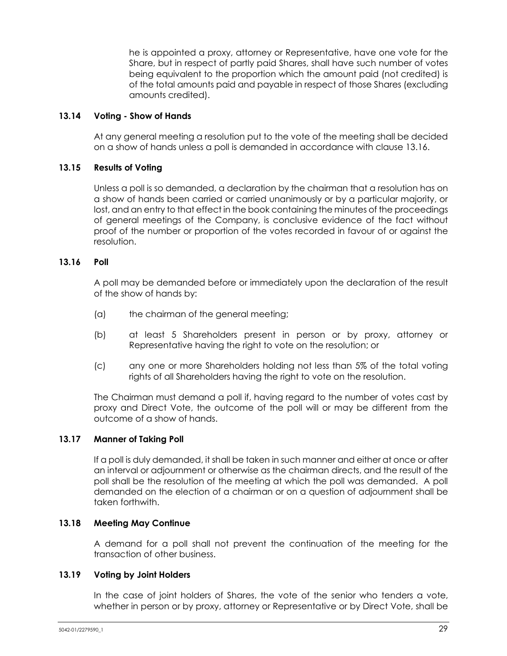he is appointed a proxy, attorney or Representative, have one vote for the Share, but in respect of partly paid Shares, shall have such number of votes being equivalent to the proportion which the amount paid (not credited) is of the total amounts paid and payable in respect of those Shares (excluding amounts credited).

# **13.14 Voting - Show of Hands**

At any general meeting a resolution put to the vote of the meeting shall be decided on a show of hands unless a poll is demanded in accordance with clause [13.16.](#page-35-0)

# **13.15 Results of Voting**

Unless a poll is so demanded, a declaration by the chairman that a resolution has on a show of hands been carried or carried unanimously or by a particular majority, or lost, and an entry to that effect in the book containing the minutes of the proceedings of general meetings of the Company, is conclusive evidence of the fact without proof of the number or proportion of the votes recorded in favour of or against the resolution.

# <span id="page-35-0"></span>**13.16 Poll**

A poll may be demanded before or immediately upon the declaration of the result of the show of hands by:

- (a) the chairman of the general meeting;
- (b) at least 5 Shareholders present in person or by proxy, attorney or Representative having the right to vote on the resolution; or
- (c) any one or more Shareholders holding not less than 5% of the total voting rights of all Shareholders having the right to vote on the resolution.

The Chairman must demand a poll if, having regard to the number of votes cast by proxy and Direct Vote, the outcome of the poll will or may be different from the outcome of a show of hands.

# **13.17 Manner of Taking Poll**

If a poll is duly demanded, it shall be taken in such manner and either at once or after an interval or adjournment or otherwise as the chairman directs, and the result of the poll shall be the resolution of the meeting at which the poll was demanded. A poll demanded on the election of a chairman or on a question of adjournment shall be taken forthwith.

# **13.18 Meeting May Continue**

A demand for a poll shall not prevent the continuation of the meeting for the transaction of other business.

#### **13.19 Voting by Joint Holders**

In the case of joint holders of Shares, the vote of the senior who tenders a vote, whether in person or by proxy, attorney or Representative or by Direct Vote, shall be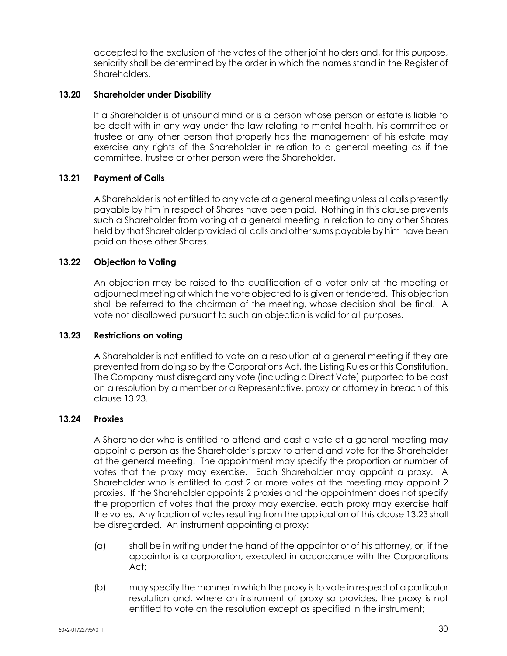accepted to the exclusion of the votes of the other joint holders and, for this purpose, seniority shall be determined by the order in which the names stand in the Register of Shareholders.

# **13.20 Shareholder under Disability**

If a Shareholder is of unsound mind or is a person whose person or estate is liable to be dealt with in any way under the law relating to mental health, his committee or trustee or any other person that properly has the management of his estate may exercise any rights of the Shareholder in relation to a general meeting as if the committee, trustee or other person were the Shareholder.

# **13.21 Payment of Calls**

A Shareholder is not entitled to any vote at a general meeting unless all calls presently payable by him in respect of Shares have been paid. Nothing in this clause prevents such a Shareholder from voting at a general meeting in relation to any other Shares held by that Shareholder provided all calls and other sums payable by him have been paid on those other Shares.

# **13.22 Objection to Voting**

An objection may be raised to the qualification of a voter only at the meeting or adjourned meeting at which the vote objected to is given or tendered. This objection shall be referred to the chairman of the meeting, whose decision shall be final. A vote not disallowed pursuant to such an objection is valid for all purposes.

# <span id="page-36-0"></span>**13.23 Restrictions on voting**

A Shareholder is not entitled to vote on a resolution at a general meeting if they are prevented from doing so by the Corporations Act, the Listing Rules or this Constitution. The Company must disregard any vote (including a Direct Vote) purported to be cast on a resolution by a member or a Representative, proxy or attorney in breach of this clause [13.23.](#page-36-0)

# <span id="page-36-1"></span>**13.24 Proxies**

A Shareholder who is entitled to attend and cast a vote at a general meeting may appoint a person as the Shareholder's proxy to attend and vote for the Shareholder at the general meeting. The appointment may specify the proportion or number of votes that the proxy may exercise. Each Shareholder may appoint a proxy. A Shareholder who is entitled to cast 2 or more votes at the meeting may appoint 2 proxies. If the Shareholder appoints 2 proxies and the appointment does not specify the proportion of votes that the proxy may exercise, each proxy may exercise half the votes. Any fraction of votes resulting from the application of this claus[e 13.23](#page-36-0) shall be disregarded. An instrument appointing a proxy:

- (a) shall be in writing under the hand of the appointor or of his attorney, or, if the appointor is a corporation, executed in accordance with the Corporations Act;
- (b) may specify the manner in which the proxy is to vote in respect of a particular resolution and, where an instrument of proxy so provides, the proxy is not entitled to vote on the resolution except as specified in the instrument;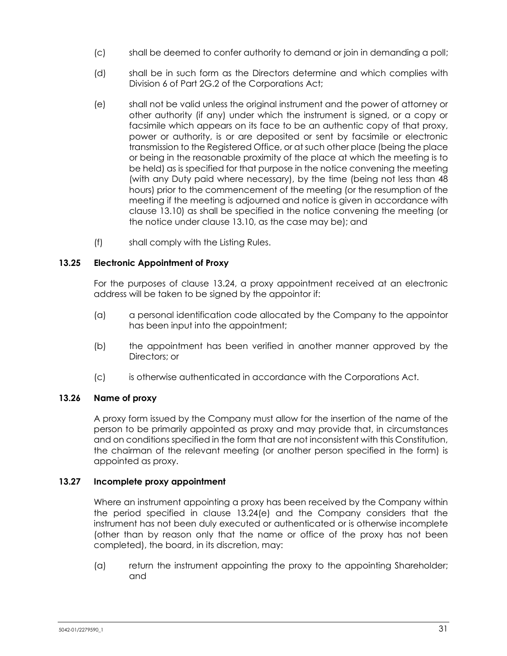- (c) shall be deemed to confer authority to demand or join in demanding a poll;
- (d) shall be in such form as the Directors determine and which complies with Division 6 of Part 2G.2 of the Corporations Act;
- <span id="page-37-0"></span>(e) shall not be valid unless the original instrument and the power of attorney or other authority (if any) under which the instrument is signed, or a copy or facsimile which appears on its face to be an authentic copy of that proxy, power or authority, is or are deposited or sent by facsimile or electronic transmission to the Registered Office, or at such other place (being the place or being in the reasonable proximity of the place at which the meeting is to be held) as is specified for that purpose in the notice convening the meeting (with any Duty paid where necessary), by the time (being not less than 48 hours) prior to the commencement of the meeting (or the resumption of the meeting if the meeting is adjourned and notice is given in accordance with clause [13.10\)](#page-34-0) as shall be specified in the notice convening the meeting (or the notice under clause [13.10,](#page-34-0) as the case may be); and
- (f) shall comply with the Listing Rules.

# **13.25 Electronic Appointment of Proxy**

For the purposes of clause [13.24,](#page-36-1) a proxy appointment received at an electronic address will be taken to be signed by the appointor if:

- (a) a personal identification code allocated by the Company to the appointor has been input into the appointment;
- (b) the appointment has been verified in another manner approved by the Directors; or
- (c) is otherwise authenticated in accordance with the Corporations Act.

# **13.26 Name of proxy**

A proxy form issued by the Company must allow for the insertion of the name of the person to be primarily appointed as proxy and may provide that, in circumstances and on conditions specified in the form that are not inconsistent with this Constitution, the chairman of the relevant meeting (or another person specified in the form) is appointed as proxy.

# **13.27 Incomplete proxy appointment**

Where an instrument appointing a proxy has been received by the Company within the period specified in clause [13.24\(e\)](#page-37-0) and the Company considers that the instrument has not been duly executed or authenticated or is otherwise incomplete (other than by reason only that the name or office of the proxy has not been completed), the board, in its discretion, may:

(a) return the instrument appointing the proxy to the appointing Shareholder; and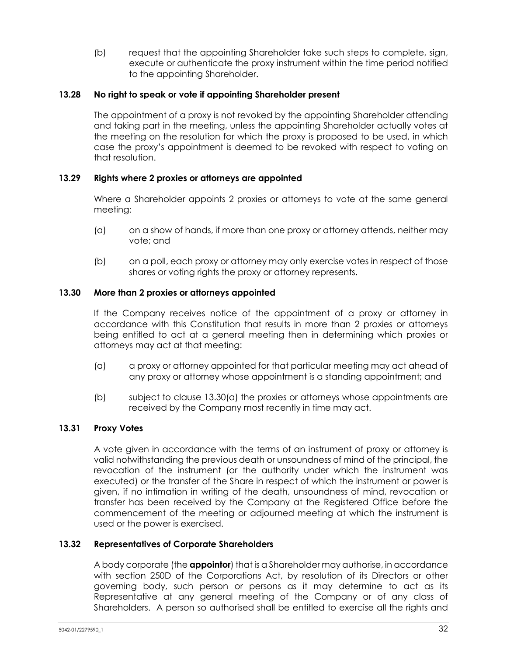(b) request that the appointing Shareholder take such steps to complete, sign, execute or authenticate the proxy instrument within the time period notified to the appointing Shareholder.

# **13.28 No right to speak or vote if appointing Shareholder present**

The appointment of a proxy is not revoked by the appointing Shareholder attending and taking part in the meeting, unless the appointing Shareholder actually votes at the meeting on the resolution for which the proxy is proposed to be used, in which case the proxy's appointment is deemed to be revoked with respect to voting on that resolution.

# **13.29 Rights where 2 proxies or attorneys are appointed**

Where a Shareholder appoints 2 proxies or attorneys to vote at the same general meeting:

- (a) on a show of hands, if more than one proxy or attorney attends, neither may vote; and
- (b) on a poll, each proxy or attorney may only exercise votes in respect of those shares or voting rights the proxy or attorney represents.

### **13.30 More than 2 proxies or attorneys appointed**

If the Company receives notice of the appointment of a proxy or attorney in accordance with this Constitution that results in more than 2 proxies or attorneys being entitled to act at a general meeting then in determining which proxies or attorneys may act at that meeting:

- <span id="page-38-0"></span>(a) a proxy or attorney appointed for that particular meeting may act ahead of any proxy or attorney whose appointment is a standing appointment; and
- (b) subject to clause [13.30\(a\)](#page-38-0) the proxies or attorneys whose appointments are received by the Company most recently in time may act.

# **13.31 Proxy Votes**

A vote given in accordance with the terms of an instrument of proxy or attorney is valid notwithstanding the previous death or unsoundness of mind of the principal, the revocation of the instrument (or the authority under which the instrument was executed) or the transfer of the Share in respect of which the instrument or power is given, if no intimation in writing of the death, unsoundness of mind, revocation or transfer has been received by the Company at the Registered Office before the commencement of the meeting or adjourned meeting at which the instrument is used or the power is exercised.

# <span id="page-38-1"></span>**13.32 Representatives of Corporate Shareholders**

A body corporate (the **appointor**) that is a Shareholder may authorise, in accordance with section 250D of the Corporations Act, by resolution of its Directors or other governing body, such person or persons as it may determine to act as its Representative at any general meeting of the Company or of any class of Shareholders. A person so authorised shall be entitled to exercise all the rights and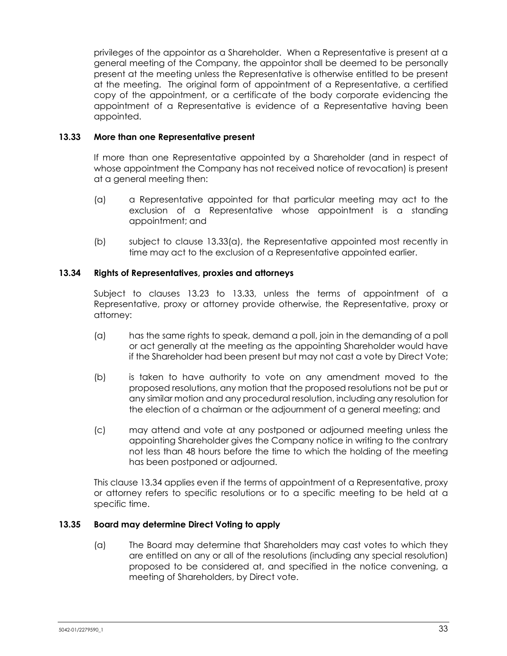privileges of the appointor as a Shareholder. When a Representative is present at a general meeting of the Company, the appointor shall be deemed to be personally present at the meeting unless the Representative is otherwise entitled to be present at the meeting. The original form of appointment of a Representative, a certified copy of the appointment, or a certificate of the body corporate evidencing the appointment of a Representative is evidence of a Representative having been appointed.

### <span id="page-39-1"></span>**13.33 More than one Representative present**

If more than one Representative appointed by a Shareholder (and in respect of whose appointment the Company has not received notice of revocation) is present at a general meeting then:

- <span id="page-39-0"></span>(a) a Representative appointed for that particular meeting may act to the exclusion of a Representative whose appointment is a standing appointment; and
- (b) subject to clause [13.33\(a\),](#page-39-0) the Representative appointed most recently in time may act to the exclusion of a Representative appointed earlier.

### <span id="page-39-2"></span>**13.34 Rights of Representatives, proxies and attorneys**

Subject to clauses [13.23](#page-36-0) to [13.33,](#page-39-1) unless the terms of appointment of a Representative, proxy or attorney provide otherwise, the Representative, proxy or attorney:

- (a) has the same rights to speak, demand a poll, join in the demanding of a poll or act generally at the meeting as the appointing Shareholder would have if the Shareholder had been present but may not cast a vote by Direct Vote;
- (b) is taken to have authority to vote on any amendment moved to the proposed resolutions, any motion that the proposed resolutions not be put or any similar motion and any procedural resolution, including any resolution for the election of a chairman or the adjournment of a general meeting; and
- (c) may attend and vote at any postponed or adjourned meeting unless the appointing Shareholder gives the Company notice in writing to the contrary not less than 48 hours before the time to which the holding of the meeting has been postponed or adjourned.

This clause [13.34](#page-39-2) applies even if the terms of appointment of a Representative, proxy or attorney refers to specific resolutions or to a specific meeting to be held at a specific time.

### <span id="page-39-3"></span>**13.35 Board may determine Direct Voting to apply**

(a) The Board may determine that Shareholders may cast votes to which they are entitled on any or all of the resolutions (including any special resolution) proposed to be considered at, and specified in the notice convening, a meeting of Shareholders, by Direct vote.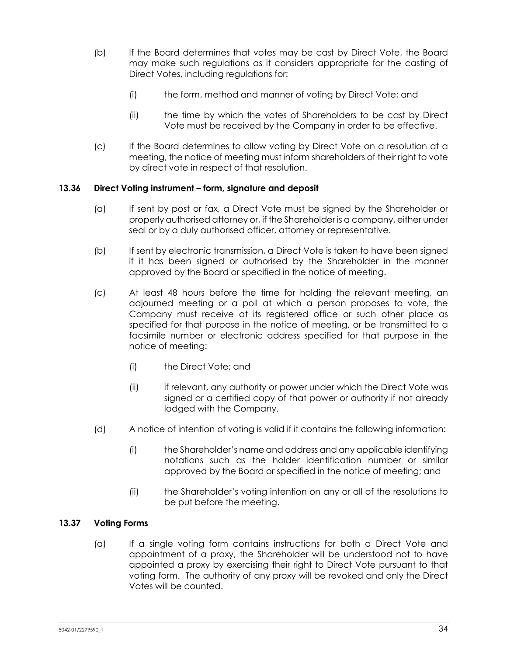- (b) If the Board determines that votes may be cast by Direct Vote, the Board may make such regulations as it considers appropriate for the casting of Direct Votes, including regulations for:
	- (i) the form, method and manner of voting by Direct Vote; and
	- (ii) the time by which the votes of Shareholders to be cast by Direct Vote must be received by the Company in order to be effective.
- (c) If the Board determines to allow voting by Direct Vote on a resolution at a meeting, the notice of meeting must inform shareholders of their right to vote by direct vote in respect of that resolution.

# **13.36 Direct Voting instrument – form, signature and deposit**

- (a) If sent by post or fax, a Direct Vote must be signed by the Shareholder or properly authorised attorney or, if the Shareholder is a company, either under seal or by a duly authorised officer, attorney or representative.
- (b) If sent by electronic transmission, a Direct Vote is taken to have been signed if it has been signed or authorised by the Shareholder in the manner approved by the Board or specified in the notice of meeting.
- (c) At least 48 hours before the time for holding the relevant meeting, an adjourned meeting or a poll at which a person proposes to vote, the Company must receive at its registered office or such other place as specified for that purpose in the notice of meeting, or be transmitted to a facsimile number or electronic address specified for that purpose in the notice of meeting:
	- (i) the Direct Vote; and
	- (ii) if relevant, any authority or power under which the Direct Vote was signed or a certified copy of that power or authority if not already lodged with the Company.
- (d) A notice of intention of voting is valid if it contains the following information:
	- (i) the Shareholder's name and address and any applicable identifying notations such as the holder identification number or similar approved by the Board or specified in the notice of meeting; and
	- (ii) the Shareholder's voting intention on any or all of the resolutions to be put before the meeting.

# **13.37 Voting Forms**

(a) If a single voting form contains instructions for both a Direct Vote and appointment of a proxy, the Shareholder will be understood not to have appointed a proxy by exercising their right to Direct Vote pursuant to that voting form. The authority of any proxy will be revoked and only the Direct Votes will be counted.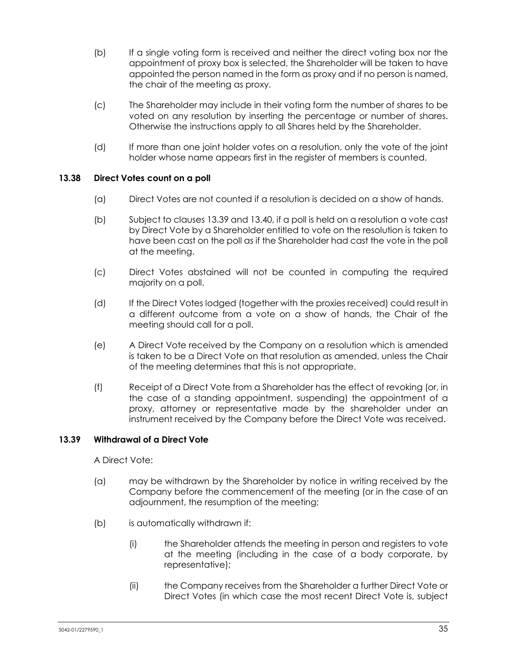- (b) If a single voting form is received and neither the direct voting box nor the appointment of proxy box is selected, the Shareholder will be taken to have appointed the person named in the form as proxy and if no person is named, the chair of the meeting as proxy.
- (c) The Shareholder may include in their voting form the number of shares to be voted on any resolution by inserting the percentage or number of shares. Otherwise the instructions apply to all Shares held by the Shareholder.
- (d) If more than one joint holder votes on a resolution, only the vote of the joint holder whose name appears first in the register of members is counted.

# **13.38 Direct Votes count on a poll**

- (a) Direct Votes are not counted if a resolution is decided on a show of hands.
- (b) Subject to clauses [13.39](#page-41-0) and [13.40,](#page-42-0) if a poll is held on a resolution a vote cast by Direct Vote by a Shareholder entitled to vote on the resolution is taken to have been cast on the poll as if the Shareholder had cast the vote in the poll at the meeting.
- (c) Direct Votes abstained will not be counted in computing the required majority on a poll.
- (d) If the Direct Votes lodged (together with the proxies received) could result in a different outcome from a vote on a show of hands, the Chair of the meeting should call for a poll.
- (e) A Direct Vote received by the Company on a resolution which is amended is taken to be a Direct Vote on that resolution as amended, unless the Chair of the meeting determines that this is not appropriate.
- (f) Receipt of a Direct Vote from a Shareholder has the effect of revoking (or, in the case of a standing appointment, suspending) the appointment of a proxy, attorney or representative made by the shareholder under an instrument received by the Company before the Direct Vote was received.

# <span id="page-41-0"></span>**13.39 Withdrawal of a Direct Vote**

A Direct Vote:

- (a) may be withdrawn by the Shareholder by notice in writing received by the Company before the commencement of the meeting (or in the case of an adjournment, the resumption of the meeting;
- (b) is automatically withdrawn if:
	- (i) the Shareholder attends the meeting in person and registers to vote at the meeting (including in the case of a body corporate, by representative);
	- (ii) the Company receives from the Shareholder a further Direct Vote or Direct Votes (in which case the most recent Direct Vote is, subject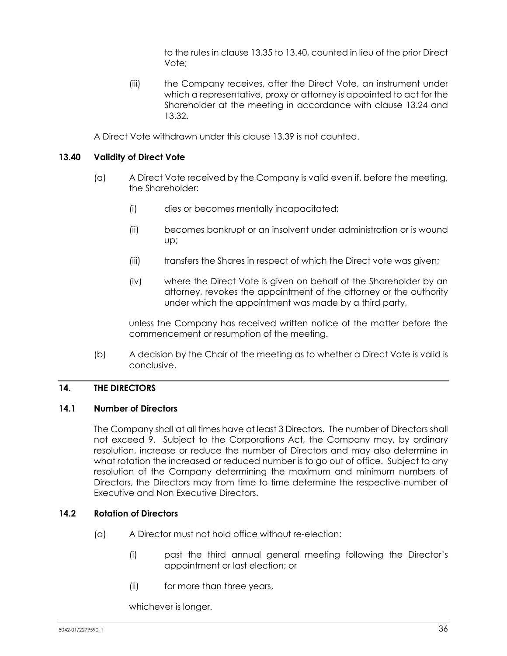to the rules in clause [13.35](#page-39-3) t[o 13.40,](#page-42-0) counted in lieu of the prior Direct Vote;

(iii) the Company receives, after the Direct Vote, an instrument under which a representative, proxy or attorney is appointed to act for the Shareholder at the meeting in accordance with clause [13.24](#page-36-1) and [13.32.](#page-38-1)

A Direct Vote withdrawn under this clause [13.39](#page-41-0) is not counted.

# <span id="page-42-0"></span>**13.40 Validity of Direct Vote**

- (a) A Direct Vote received by the Company is valid even if, before the meeting, the Shareholder:
	- (i) dies or becomes mentally incapacitated;
	- (ii) becomes bankrupt or an insolvent under administration or is wound up;
	- (iii) transfers the Shares in respect of which the Direct vote was given;
	- (iv) where the Direct Vote is given on behalf of the Shareholder by an attorney, revokes the appointment of the attorney or the authority under which the appointment was made by a third party,

unless the Company has received written notice of the matter before the commencement or resumption of the meeting.

(b) A decision by the Chair of the meeting as to whether a Direct Vote is valid is conclusive.

# **14. THE DIRECTORS**

# <span id="page-42-2"></span>**14.1 Number of Directors**

The Company shall at all times have at least 3 Directors. The number of Directors shall not exceed 9. Subject to the Corporations Act, the Company may, by ordinary resolution, increase or reduce the number of Directors and may also determine in what rotation the increased or reduced number is to go out of office. Subject to any resolution of the Company determining the maximum and minimum numbers of Directors, the Directors may from time to time determine the respective number of Executive and Non Executive Directors.

# <span id="page-42-3"></span><span id="page-42-1"></span>**14.2 Rotation of Directors**

- (a) A Director must not hold office without re-election:
	- (i) past the third annual general meeting following the Director's appointment or last election; or
	- (ii) for more than three years,

whichever is longer.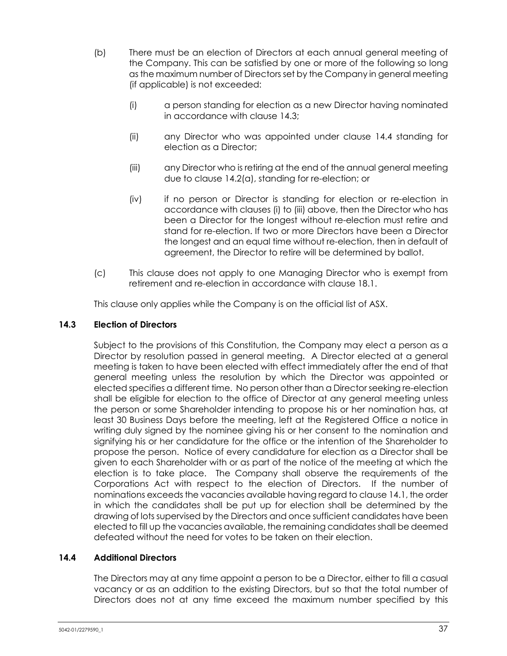- <span id="page-43-2"></span>(b) There must be an election of Directors at each annual general meeting of the Company. This can be satisfied by one or more of the following so long as the maximum number of Directors set by the Company in general meeting (if applicable) is not exceeded:
	- (i) a person standing for election as a new Director having nominated in accordance with clause [14.3;](#page-43-0)
	- (ii) any Director who was appointed under clause [14.4](#page-43-1) standing for election as a Director;
	- (iii) any Director who is retiring at the end of the annual general meeting due to clause [14.2\(a\),](#page-42-1) standing for re-election; or
	- (iv) if no person or Director is standing for election or re-election in accordance with clause[s \(i\)](#page-43-2) to [\(iii\)](#page-43-3) above, then the Director who has been a Director for the longest without re-election must retire and stand for re-election. If two or more Directors have been a Director the longest and an equal time without re-election, then in default of agreement, the Director to retire will be determined by ballot.
- <span id="page-43-3"></span>(c) This clause does not apply to one Managing Director who is exempt from retirement and re-election in accordance with clause [18.1.](#page-52-0)

This clause only applies while the Company is on the official list of ASX.

### <span id="page-43-0"></span>**14.3 Election of Directors**

Subject to the provisions of this Constitution, the Company may elect a person as a Director by resolution passed in general meeting. A Director elected at a general meeting is taken to have been elected with effect immediately after the end of that general meeting unless the resolution by which the Director was appointed or elected specifies a different time. No person other than a Director seeking re-election shall be eligible for election to the office of Director at any general meeting unless the person or some Shareholder intending to propose his or her nomination has, at least 30 Business Days before the meeting, left at the Registered Office a notice in writing duly signed by the nominee giving his or her consent to the nomination and signifying his or her candidature for the office or the intention of the Shareholder to propose the person. Notice of every candidature for election as a Director shall be given to each Shareholder with or as part of the notice of the meeting at which the election is to take place. The Company shall observe the requirements of the Corporations Act with respect to the election of Directors. If the number of nominations exceeds the vacancies available having regard to claus[e 14.1,](#page-42-2) the order in which the candidates shall be put up for election shall be determined by the drawing of lots supervised by the Directors and once sufficient candidates have been elected to fill up the vacancies available, the remaining candidates shall be deemed defeated without the need for votes to be taken on their election.

# <span id="page-43-1"></span>**14.4 Additional Directors**

The Directors may at any time appoint a person to be a Director, either to fill a casual vacancy or as an addition to the existing Directors, but so that the total number of Directors does not at any time exceed the maximum number specified by this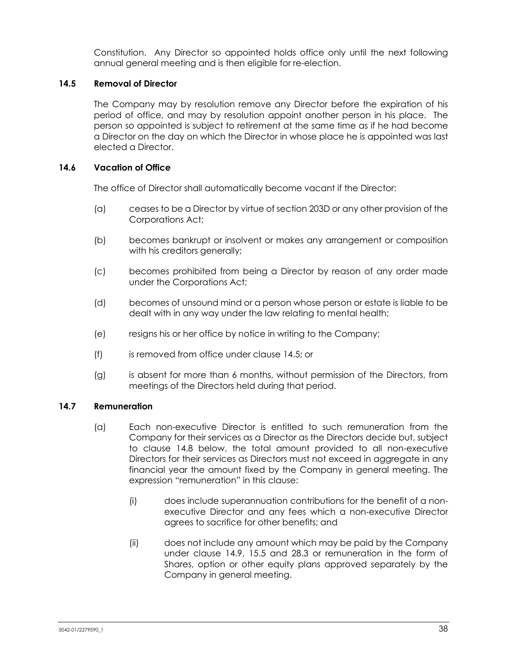Constitution. Any Director so appointed holds office only until the next following annual general meeting and is then eligible for re-election.

# <span id="page-44-0"></span>**14.5 Removal of Director**

The Company may by resolution remove any Director before the expiration of his period of office, and may by resolution appoint another person in his place. The person so appointed is subject to retirement at the same time as if he had become a Director on the day on which the Director in whose place he is appointed was last elected a Director.

# **14.6 Vacation of Office**

The office of Director shall automatically become vacant if the Director:

- (a) ceases to be a Director by virtue of section 203D or any other provision of the Corporations Act;
- (b) becomes bankrupt or insolvent or makes any arrangement or composition with his creditors generally;
- (c) becomes prohibited from being a Director by reason of any order made under the Corporations Act;
- (d) becomes of unsound mind or a person whose person or estate is liable to be dealt with in any way under the law relating to mental health;
- (e) resigns his or her office by notice in writing to the Company;
- (f) is removed from office under clause [14.5;](#page-44-0) or
- (g) is absent for more than 6 months, without permission of the Directors, from meetings of the Directors held during that period.

# <span id="page-44-1"></span>**14.7 Remuneration**

- (a) Each non-executive Director is entitled to such remuneration from the Company for their services as a Director as the Directors decide but, subject to clause [14.8](#page-45-0) below, the total amount provided to all non-executive Directors for their services as Directors must not exceed in aggregate in any financial year the amount fixed by the Company in general meeting. The expression "remuneration" in this clause:
	- (i) does include superannuation contributions for the benefit of a nonexecutive Director and any fees which a non-executive Director agrees to sacrifice for other benefits; and
	- (ii) does not include any amount which may be paid by the Company under clause [14.9,](#page-45-1) [15.5](#page-46-0) and [28.3](#page-62-0) or remuneration in the form of Shares, option or other equity plans approved separately by the Company in general meeting.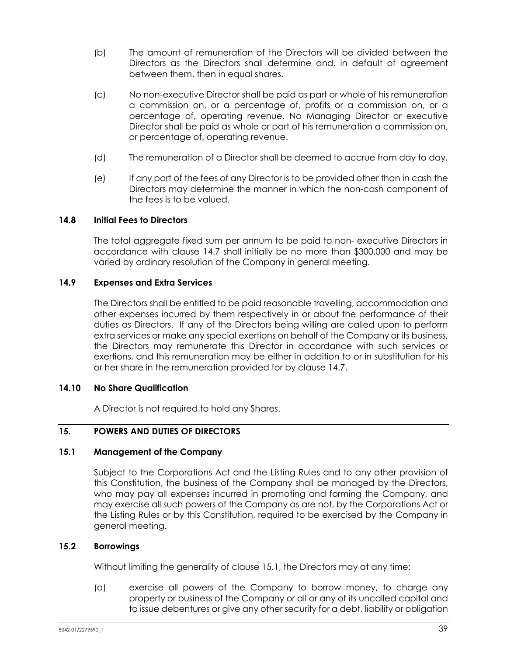- (b) The amount of remuneration of the Directors will be divided between the Directors as the Directors shall determine and, in default of agreement between them, then in equal shares.
- (c) No non-executive Director shall be paid as part or whole of his remuneration a commission on, or a percentage of, profits or a commission on, or a percentage of, operating revenue. No Managing Director or executive Director shall be paid as whole or part of his remuneration a commission on, or percentage of, operating revenue.
- (d) The remuneration of a Director shall be deemed to accrue from day to day.
- (e) If any part of the fees of any Director is to be provided other than in cash the Directors may determine the manner in which the non-cash component of the fees is to be valued.

### <span id="page-45-0"></span>**14.8 Initial Fees to Directors**

The total aggregate fixed sum per annum to be paid to non- executive Directors in accordance with clause [14.7](#page-44-1) shall initially be no more than \$300,000 and may be varied by ordinary resolution of the Company in general meeting.

### <span id="page-45-1"></span>**14.9 Expenses and Extra Services**

The Directors shall be entitled to be paid reasonable travelling, accommodation and other expenses incurred by them respectively in or about the performance of their duties as Directors. If any of the Directors being willing are called upon to perform extra services or make any special exertions on behalf of the Company or its business, the Directors may remunerate this Director in accordance with such services or exertions, and this remuneration may be either in addition to or in substitution for his or her share in the remuneration provided for by clause [14.7.](#page-44-1)

#### **14.10 No Share Qualification**

A Director is not required to hold any Shares.

# **15. POWERS AND DUTIES OF DIRECTORS**

#### <span id="page-45-2"></span>**15.1 Management of the Company**

Subject to the Corporations Act and the Listing Rules and to any other provision of this Constitution, the business of the Company shall be managed by the Directors, who may pay all expenses incurred in promoting and forming the Company, and may exercise all such powers of the Company as are not, by the Corporations Act or the Listing Rules or by this Constitution, required to be exercised by the Company in general meeting.

#### **15.2 Borrowings**

Without limiting the generality of clause [15.1,](#page-45-2) the Directors may at any time:

(a) exercise all powers of the Company to borrow money, to charge any property or business of the Company or all or any of its uncalled capital and to issue debentures or give any other security for a debt, liability or obligation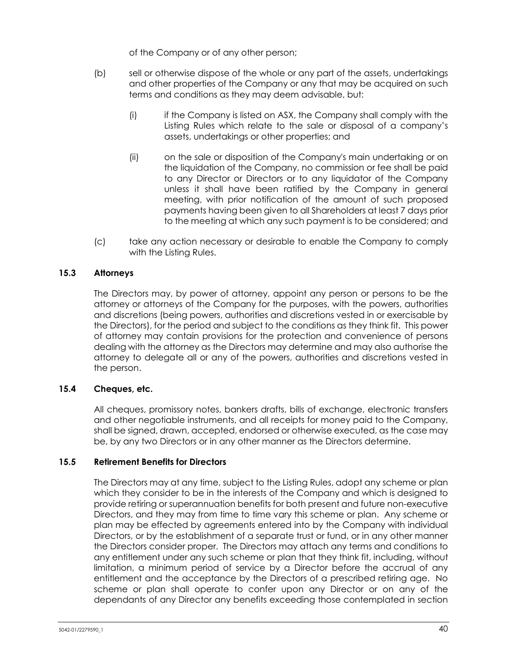of the Company or of any other person;

- (b) sell or otherwise dispose of the whole or any part of the assets, undertakings and other properties of the Company or any that may be acquired on such terms and conditions as they may deem advisable, but:
	- (i) if the Company is listed on ASX, the Company shall comply with the Listing Rules which relate to the sale or disposal of a company's assets, undertakings or other properties; and
	- (ii) on the sale or disposition of the Company's main undertaking or on the liquidation of the Company, no commission or fee shall be paid to any Director or Directors or to any liquidator of the Company unless it shall have been ratified by the Company in general meeting, with prior notification of the amount of such proposed payments having been given to all Shareholders at least 7 days prior to the meeting at which any such payment is to be considered; and
- (c) take any action necessary or desirable to enable the Company to comply with the Listing Rules.

# **15.3 Attorneys**

The Directors may, by power of attorney, appoint any person or persons to be the attorney or attorneys of the Company for the purposes, with the powers, authorities and discretions (being powers, authorities and discretions vested in or exercisable by the Directors), for the period and subject to the conditions as they think fit. This power of attorney may contain provisions for the protection and convenience of persons dealing with the attorney as the Directors may determine and may also authorise the attorney to delegate all or any of the powers, authorities and discretions vested in the person.

# **15.4 Cheques, etc.**

All cheques, promissory notes, bankers drafts, bills of exchange, electronic transfers and other negotiable instruments, and all receipts for money paid to the Company, shall be signed, drawn, accepted, endorsed or otherwise executed, as the case may be, by any two Directors or in any other manner as the Directors determine.

# <span id="page-46-0"></span>**15.5 Retirement Benefits for Directors**

The Directors may at any time, subject to the Listing Rules, adopt any scheme or plan which they consider to be in the interests of the Company and which is designed to provide retiring or superannuation benefits for both present and future non-executive Directors, and they may from time to time vary this scheme or plan. Any scheme or plan may be effected by agreements entered into by the Company with individual Directors, or by the establishment of a separate trust or fund, or in any other manner the Directors consider proper. The Directors may attach any terms and conditions to any entitlement under any such scheme or plan that they think fit, including, without limitation, a minimum period of service by a Director before the accrual of any entitlement and the acceptance by the Directors of a prescribed retiring age. No scheme or plan shall operate to confer upon any Director or on any of the dependants of any Director any benefits exceeding those contemplated in section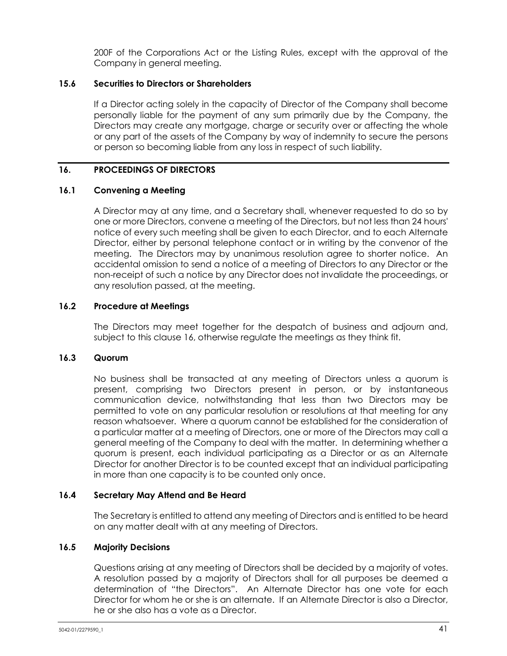200F of the Corporations Act or the Listing Rules, except with the approval of the Company in general meeting.

# **15.6 Securities to Directors or Shareholders**

If a Director acting solely in the capacity of Director of the Company shall become personally liable for the payment of any sum primarily due by the Company, the Directors may create any mortgage, charge or security over or affecting the whole or any part of the assets of the Company by way of indemnity to secure the persons or person so becoming liable from any loss in respect of such liability.

# <span id="page-47-0"></span>**16. PROCEEDINGS OF DIRECTORS**

# **16.1 Convening a Meeting**

A Director may at any time, and a Secretary shall, whenever requested to do so by one or more Directors, convene a meeting of the Directors, but not less than 24 hours' notice of every such meeting shall be given to each Director, and to each Alternate Director, either by personal telephone contact or in writing by the convenor of the meeting. The Directors may by unanimous resolution agree to shorter notice. An accidental omission to send a notice of a meeting of Directors to any Director or the non-receipt of such a notice by any Director does not invalidate the proceedings, or any resolution passed, at the meeting.

# **16.2 Procedure at Meetings**

The Directors may meet together for the despatch of business and adjourn and, subject to this clause [16,](#page-47-0) otherwise regulate the meetings as they think fit.

# **16.3 Quorum**

No business shall be transacted at any meeting of Directors unless a quorum is present, comprising two Directors present in person, or by instantaneous communication device, notwithstanding that less than two Directors may be permitted to vote on any particular resolution or resolutions at that meeting for any reason whatsoever. Where a quorum cannot be established for the consideration of a particular matter at a meeting of Directors, one or more of the Directors may call a general meeting of the Company to deal with the matter. In determining whether a quorum is present, each individual participating as a Director or as an Alternate Director for another Director is to be counted except that an individual participating in more than one capacity is to be counted only once.

# **16.4 Secretary May Attend and Be Heard**

The Secretary is entitled to attend any meeting of Directors and is entitled to be heard on any matter dealt with at any meeting of Directors.

# **16.5 Majority Decisions**

Questions arising at any meeting of Directors shall be decided by a majority of votes. A resolution passed by a majority of Directors shall for all purposes be deemed a determination of "the Directors". An Alternate Director has one vote for each Director for whom he or she is an alternate. If an Alternate Director is also a Director, he or she also has a vote as a Director.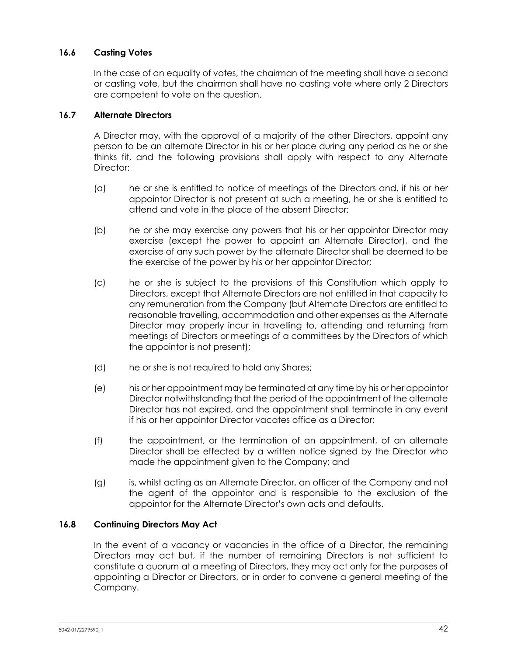# **16.6 Casting Votes**

In the case of an equality of votes, the chairman of the meeting shall have a second or casting vote, but the chairman shall have no casting vote where only 2 Directors are competent to vote on the question.

# **16.7 Alternate Directors**

A Director may, with the approval of a majority of the other Directors, appoint any person to be an alternate Director in his or her place during any period as he or she thinks fit, and the following provisions shall apply with respect to any Alternate Director:

- (a) he or she is entitled to notice of meetings of the Directors and, if his or her appointor Director is not present at such a meeting, he or she is entitled to attend and vote in the place of the absent Director;
- (b) he or she may exercise any powers that his or her appointor Director may exercise (except the power to appoint an Alternate Director), and the exercise of any such power by the alternate Director shall be deemed to be the exercise of the power by his or her appointor Director;
- (c) he or she is subject to the provisions of this Constitution which apply to Directors, except that Alternate Directors are not entitled in that capacity to any remuneration from the Company (but Alternate Directors are entitled to reasonable travelling, accommodation and other expenses as the Alternate Director may properly incur in travelling to, attending and returning from meetings of Directors or meetings of a committees by the Directors of which the appointor is not present);
- (d) he or she is not required to hold any Shares;
- (e) his or her appointment may be terminated at any time by his or her appointor Director notwithstanding that the period of the appointment of the alternate Director has not expired, and the appointment shall terminate in any event if his or her appointor Director vacates office as a Director;
- (f) the appointment, or the termination of an appointment, of an alternate Director shall be effected by a written notice signed by the Director who made the appointment given to the Company; and
- (g) is, whilst acting as an Alternate Director, an officer of the Company and not the agent of the appointor and is responsible to the exclusion of the appointor for the Alternate Director's own acts and defaults.

# **16.8 Continuing Directors May Act**

In the event of a vacancy or vacancies in the office of a Director, the remaining Directors may act but, if the number of remaining Directors is not sufficient to constitute a quorum at a meeting of Directors, they may act only for the purposes of appointing a Director or Directors, or in order to convene a general meeting of the Company.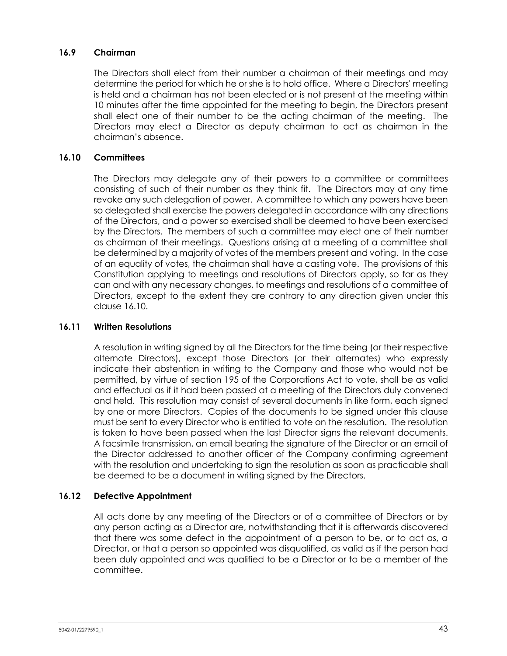# **16.9 Chairman**

The Directors shall elect from their number a chairman of their meetings and may determine the period for which he or she is to hold office. Where a Directors' meeting is held and a chairman has not been elected or is not present at the meeting within 10 minutes after the time appointed for the meeting to begin, the Directors present shall elect one of their number to be the acting chairman of the meeting. The Directors may elect a Director as deputy chairman to act as chairman in the chairman's absence.

### <span id="page-49-0"></span>**16.10 Committees**

The Directors may delegate any of their powers to a committee or committees consisting of such of their number as they think fit. The Directors may at any time revoke any such delegation of power. A committee to which any powers have been so delegated shall exercise the powers delegated in accordance with any directions of the Directors, and a power so exercised shall be deemed to have been exercised by the Directors. The members of such a committee may elect one of their number as chairman of their meetings. Questions arising at a meeting of a committee shall be determined by a majority of votes of the members present and voting. In the case of an equality of votes, the chairman shall have a casting vote. The provisions of this Constitution applying to meetings and resolutions of Directors apply, so far as they can and with any necessary changes, to meetings and resolutions of a committee of Directors, except to the extent they are contrary to any direction given under this clause [16.10.](#page-49-0)

### **16.11 Written Resolutions**

A resolution in writing signed by all the Directors for the time being (or their respective alternate Directors), except those Directors (or their alternates) who expressly indicate their abstention in writing to the Company and those who would not be permitted, by virtue of section 195 of the Corporations Act to vote, shall be as valid and effectual as if it had been passed at a meeting of the Directors duly convened and held. This resolution may consist of several documents in like form, each signed by one or more Directors. Copies of the documents to be signed under this clause must be sent to every Director who is entitled to vote on the resolution. The resolution is taken to have been passed when the last Director signs the relevant documents. A facsimile transmission, an email bearing the signature of the Director or an email of the Director addressed to another officer of the Company confirming agreement with the resolution and undertaking to sign the resolution as soon as practicable shall be deemed to be a document in writing signed by the Directors.

#### **16.12 Defective Appointment**

All acts done by any meeting of the Directors or of a committee of Directors or by any person acting as a Director are, notwithstanding that it is afterwards discovered that there was some defect in the appointment of a person to be, or to act as, a Director, or that a person so appointed was disqualified, as valid as if the person had been duly appointed and was qualified to be a Director or to be a member of the committee.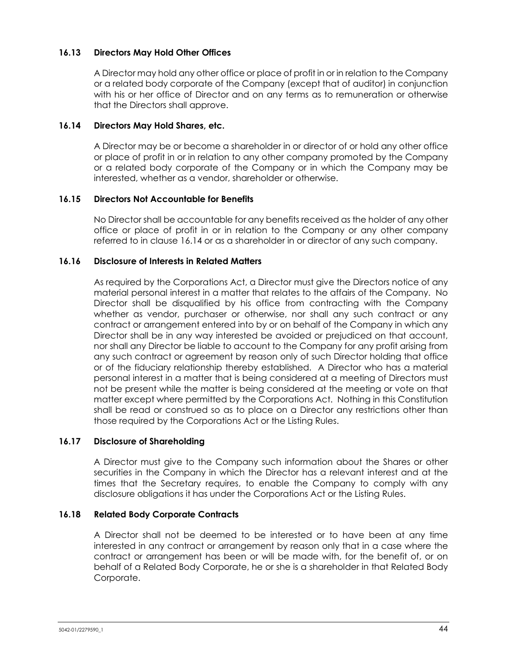# **16.13 Directors May Hold Other Offices**

A Director may hold any other office or place of profit in or in relation to the Company or a related body corporate of the Company (except that of auditor) in conjunction with his or her office of Director and on any terms as to remuneration or otherwise that the Directors shall approve.

### <span id="page-50-0"></span>**16.14 Directors May Hold Shares, etc.**

A Director may be or become a shareholder in or director of or hold any other office or place of profit in or in relation to any other company promoted by the Company or a related body corporate of the Company or in which the Company may be interested, whether as a vendor, shareholder or otherwise.

### **16.15 Directors Not Accountable for Benefits**

No Director shall be accountable for any benefits received as the holder of any other office or place of profit in or in relation to the Company or any other company referred to in clause [16.14](#page-50-0) or as a shareholder in or director of any such company.

### **16.16 Disclosure of Interests in Related Matters**

As required by the Corporations Act, a Director must give the Directors notice of any material personal interest in a matter that relates to the affairs of the Company. No Director shall be disqualified by his office from contracting with the Company whether as vendor, purchaser or otherwise, nor shall any such contract or any contract or arrangement entered into by or on behalf of the Company in which any Director shall be in any way interested be avoided or prejudiced on that account, nor shall any Director be liable to account to the Company for any profit arising from any such contract or agreement by reason only of such Director holding that office or of the fiduciary relationship thereby established. A Director who has a material personal interest in a matter that is being considered at a meeting of Directors must not be present while the matter is being considered at the meeting or vote on that matter except where permitted by the Corporations Act. Nothing in this Constitution shall be read or construed so as to place on a Director any restrictions other than those required by the Corporations Act or the Listing Rules.

# **16.17 Disclosure of Shareholding**

A Director must give to the Company such information about the Shares or other securities in the Company in which the Director has a relevant interest and at the times that the Secretary requires, to enable the Company to comply with any disclosure obligations it has under the Corporations Act or the Listing Rules.

# **16.18 Related Body Corporate Contracts**

A Director shall not be deemed to be interested or to have been at any time interested in any contract or arrangement by reason only that in a case where the contract or arrangement has been or will be made with, for the benefit of, or on behalf of a Related Body Corporate, he or she is a shareholder in that Related Body Corporate.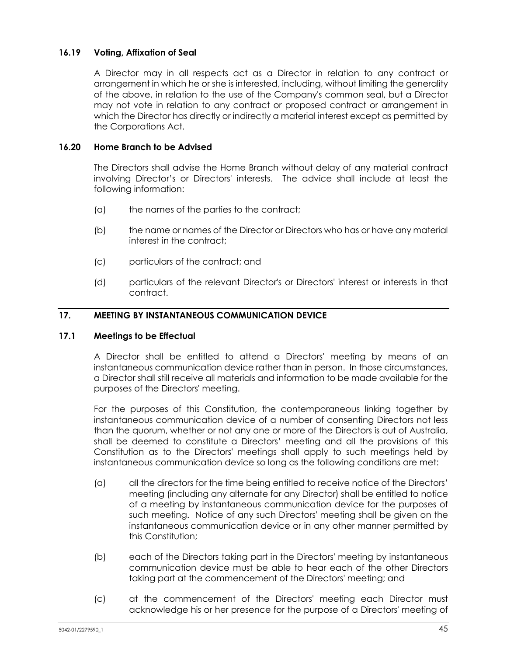# **16.19 Voting, Affixation of Seal**

A Director may in all respects act as a Director in relation to any contract or arrangement in which he or she is interested, including, without limiting the generality of the above, in relation to the use of the Company's common seal, but a Director may not vote in relation to any contract or proposed contract or arrangement in which the Director has directly or indirectly a material interest except as permitted by the Corporations Act.

# **16.20 Home Branch to be Advised**

The Directors shall advise the Home Branch without delay of any material contract involving Director's or Directors' interests. The advice shall include at least the following information:

- (a) the names of the parties to the contract;
- (b) the name or names of the Director or Directors who has or have any material interest in the contract;
- (c) particulars of the contract; and
- (d) particulars of the relevant Director's or Directors' interest or interests in that contract.

### **17. MEETING BY INSTANTANEOUS COMMUNICATION DEVICE**

#### <span id="page-51-0"></span>**17.1 Meetings to be Effectual**

A Director shall be entitled to attend a Directors' meeting by means of an instantaneous communication device rather than in person. In those circumstances, a Director shall still receive all materials and information to be made available for the purposes of the Directors' meeting.

For the purposes of this Constitution, the contemporaneous linking together by instantaneous communication device of a number of consenting Directors not less than the quorum, whether or not any one or more of the Directors is out of Australia, shall be deemed to constitute a Directors' meeting and all the provisions of this Constitution as to the Directors' meetings shall apply to such meetings held by instantaneous communication device so long as the following conditions are met:

- (a) all the directors for the time being entitled to receive notice of the Directors' meeting (including any alternate for any Director) shall be entitled to notice of a meeting by instantaneous communication device for the purposes of such meeting. Notice of any such Directors' meeting shall be given on the instantaneous communication device or in any other manner permitted by this Constitution;
- (b) each of the Directors taking part in the Directors' meeting by instantaneous communication device must be able to hear each of the other Directors taking part at the commencement of the Directors' meeting; and
- (c) at the commencement of the Directors' meeting each Director must acknowledge his or her presence for the purpose of a Directors' meeting of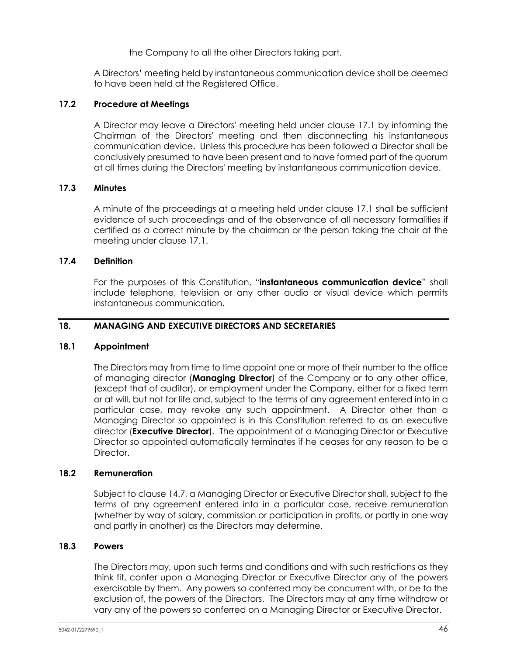the Company to all the other Directors taking part.

A Directors' meeting held by instantaneous communication device shall be deemed to have been held at the Registered Office.

# **17.2 Procedure at Meetings**

A Director may leave a Directors' meeting held under clause [17.1](#page-51-0) by informing the Chairman of the Directors' meeting and then disconnecting his instantaneous communication device. Unless this procedure has been followed a Director shall be conclusively presumed to have been present and to have formed part of the quorum at all times during the Directors' meeting by instantaneous communication device.

# **17.3 Minutes**

A minute of the proceedings at a meeting held under clause [17.1](#page-51-0) shall be sufficient evidence of such proceedings and of the observance of all necessary formalities if certified as a correct minute by the chairman or the person taking the chair at the meeting under clause [17.1.](#page-51-0)

# **17.4 Definition**

For the purposes of this Constitution, "**instantaneous communication device**" shall include telephone, television or any other audio or visual device which permits instantaneous communication.

# **18. MANAGING AND EXECUTIVE DIRECTORS AND SECRETARIES**

# <span id="page-52-0"></span>**18.1 Appointment**

The Directors may from time to time appoint one or more of their number to the office of managing director (**Managing Director**) of the Company or to any other office, (except that of auditor), or employment under the Company, either for a fixed term or at will, but not for life and, subject to the terms of any agreement entered into in a particular case, may revoke any such appointment. A Director other than a Managing Director so appointed is in this Constitution referred to as an executive director (**Executive Director**). The appointment of a Managing Director or Executive Director so appointed automatically terminates if he ceases for any reason to be a Director.

# **18.2 Remuneration**

Subject to clause [14.7,](#page-44-1) a Managing Director or Executive Director shall, subject to the terms of any agreement entered into in a particular case, receive remuneration (whether by way of salary, commission or participation in profits, or partly in one way and partly in another) as the Directors may determine.

# **18.3 Powers**

The Directors may, upon such terms and conditions and with such restrictions as they think fit, confer upon a Managing Director or Executive Director any of the powers exercisable by them. Any powers so conferred may be concurrent with, or be to the exclusion of, the powers of the Directors. The Directors may at any time withdraw or vary any of the powers so conferred on a Managing Director or Executive Director.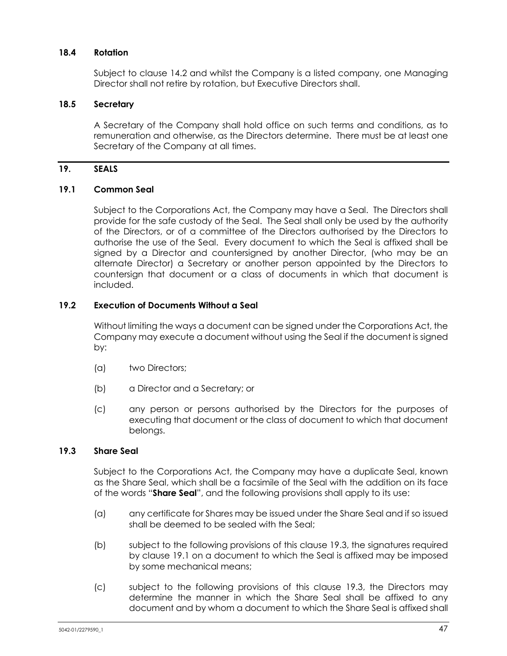# **18.4 Rotation**

Subject to clause [14.2](#page-42-3) and whilst the Company is a listed company, one Managing Director shall not retire by rotation, but Executive Directors shall.

### **18.5 Secretary**

A Secretary of the Company shall hold office on such terms and conditions, as to remuneration and otherwise, as the Directors determine. There must be at least one Secretary of the Company at all times.

### **19. SEALS**

### <span id="page-53-1"></span>**19.1 Common Seal**

Subject to the Corporations Act, the Company may have a Seal. The Directors shall provide for the safe custody of the Seal. The Seal shall only be used by the authority of the Directors, or of a committee of the Directors authorised by the Directors to authorise the use of the Seal. Every document to which the Seal is affixed shall be signed by a Director and countersigned by another Director, (who may be an alternate Director) a Secretary or another person appointed by the Directors to countersign that document or a class of documents in which that document is included.

# **19.2 Execution of Documents Without a Seal**

Without limiting the ways a document can be signed under the Corporations Act, the Company may execute a document without using the Seal if the document is signed by:

- (a) two Directors;
- (b) a Director and a Secretary; or
- (c) any person or persons authorised by the Directors for the purposes of executing that document or the class of document to which that document belongs.

### <span id="page-53-0"></span>**19.3 Share Seal**

Subject to the Corporations Act, the Company may have a duplicate Seal, known as the Share Seal, which shall be a facsimile of the Seal with the addition on its face of the words "**Share Seal**", and the following provisions shall apply to its use:

- (a) any certificate for Shares may be issued under the Share Seal and if so issued shall be deemed to be sealed with the Seal;
- (b) subject to the following provisions of this clause [19.3,](#page-53-0) the signatures required by clause [19.1](#page-53-1) on a document to which the Seal is affixed may be imposed by some mechanical means;
- (c) subject to the following provisions of this clause [19.3,](#page-53-0) the Directors may determine the manner in which the Share Seal shall be affixed to any document and by whom a document to which the Share Seal is affixed shall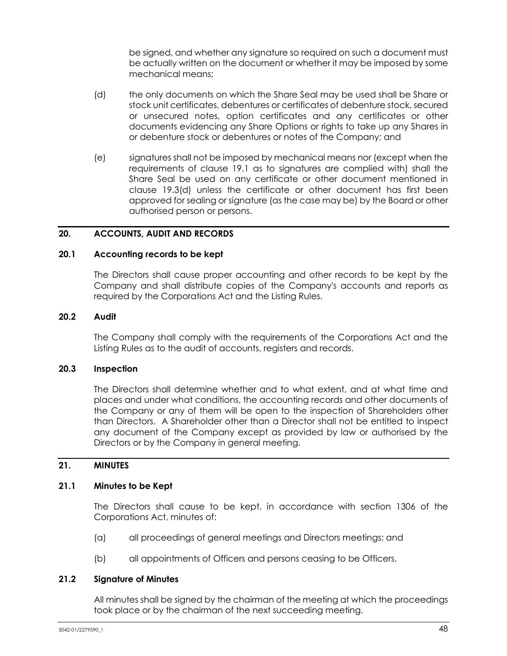be signed, and whether any signature so required on such a document must be actually written on the document or whether it may be imposed by some mechanical means;

- <span id="page-54-0"></span>(d) the only documents on which the Share Seal may be used shall be Share or stock unit certificates, debentures or certificates of debenture stock, secured or unsecured notes, option certificates and any certificates or other documents evidencing any Share Options or rights to take up any Shares in or debenture stock or debentures or notes of the Company; and
- (e) signatures shall not be imposed by mechanical means nor (except when the requirements of clause [19.1](#page-53-1) as to signatures are complied with) shall the Share Seal be used on any certificate or other document mentioned in clause [19.3\(d\)](#page-54-0) unless the certificate or other document has first been approved for sealing or signature (as the case may be) by the Board or other authorised person or persons.

# **20. ACCOUNTS, AUDIT AND RECORDS**

#### **20.1 Accounting records to be kept**

The Directors shall cause proper accounting and other records to be kept by the Company and shall distribute copies of the Company's accounts and reports as required by the Corporations Act and the Listing Rules.

### **20.2 Audit**

The Company shall comply with the requirements of the Corporations Act and the Listing Rules as to the audit of accounts, registers and records.

### **20.3 Inspection**

The Directors shall determine whether and to what extent, and at what time and places and under what conditions, the accounting records and other documents of the Company or any of them will be open to the inspection of Shareholders other than Directors. A Shareholder other than a Director shall not be entitled to inspect any document of the Company except as provided by law or authorised by the Directors or by the Company in general meeting.

### **21. MINUTES**

#### **21.1 Minutes to be Kept**

The Directors shall cause to be kept, in accordance with section 1306 of the Corporations Act, minutes of:

- (a) all proceedings of general meetings and Directors meetings; and
- (b) all appointments of Officers and persons ceasing to be Officers.

#### **21.2 Signature of Minutes**

All minutes shall be signed by the chairman of the meeting at which the proceedings took place or by the chairman of the next succeeding meeting.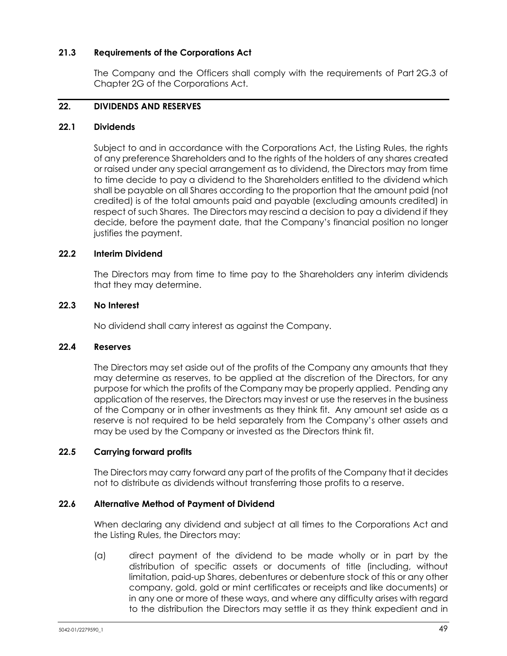# **21.3 Requirements of the Corporations Act**

The Company and the Officers shall comply with the requirements of Part 2G.3 of Chapter 2G of the Corporations Act.

# <span id="page-55-0"></span>**22. DIVIDENDS AND RESERVES**

### **22.1 Dividends**

Subject to and in accordance with the Corporations Act, the Listing Rules, the rights of any preference Shareholders and to the rights of the holders of any shares created or raised under any special arrangement as to dividend, the Directors may from time to time decide to pay a dividend to the Shareholders entitled to the dividend which shall be payable on all Shares according to the proportion that the amount paid (not credited) is of the total amounts paid and payable (excluding amounts credited) in respect of such Shares. The Directors may rescind a decision to pay a dividend if they decide, before the payment date, that the Company's financial position no longer justifies the payment.

# **22.2 Interim Dividend**

The Directors may from time to time pay to the Shareholders any interim dividends that they may determine.

# **22.3 No Interest**

No dividend shall carry interest as against the Company.

# **22.4 Reserves**

The Directors may set aside out of the profits of the Company any amounts that they may determine as reserves, to be applied at the discretion of the Directors, for any purpose for which the profits of the Company may be properly applied. Pending any application of the reserves, the Directors may invest or use the reserves in the business of the Company or in other investments as they think fit. Any amount set aside as a reserve is not required to be held separately from the Company's other assets and may be used by the Company or invested as the Directors think fit.

# **22.5 Carrying forward profits**

The Directors may carry forward any part of the profits of the Company that it decides not to distribute as dividends without transferring those profits to a reserve.

# **22.6 Alternative Method of Payment of Dividend**

When declaring any dividend and subject at all times to the Corporations Act and the Listing Rules, the Directors may:

(a) direct payment of the dividend to be made wholly or in part by the distribution of specific assets or documents of title (including, without limitation, paid-up Shares, debentures or debenture stock of this or any other company, gold, gold or mint certificates or receipts and like documents) or in any one or more of these ways, and where any difficulty arises with regard to the distribution the Directors may settle it as they think expedient and in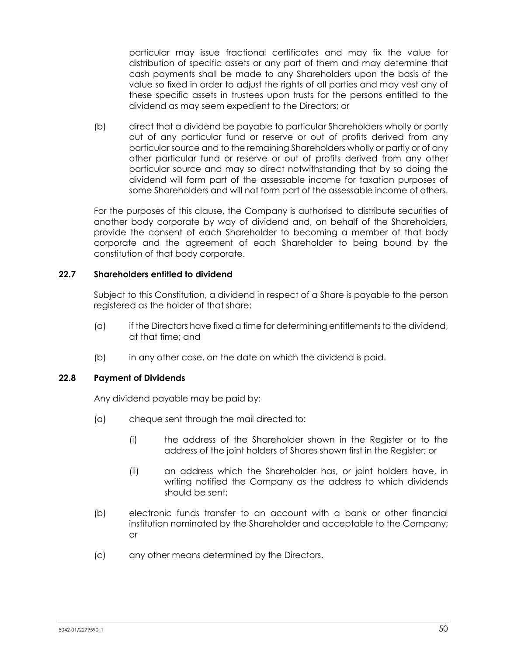particular may issue fractional certificates and may fix the value for distribution of specific assets or any part of them and may determine that cash payments shall be made to any Shareholders upon the basis of the value so fixed in order to adjust the rights of all parties and may vest any of these specific assets in trustees upon trusts for the persons entitled to the dividend as may seem expedient to the Directors; or

(b) direct that a dividend be payable to particular Shareholders wholly or partly out of any particular fund or reserve or out of profits derived from any particular source and to the remaining Shareholders wholly or partly or of any other particular fund or reserve or out of profits derived from any other particular source and may so direct notwithstanding that by so doing the dividend will form part of the assessable income for taxation purposes of some Shareholders and will not form part of the assessable income of others.

For the purposes of this clause, the Company is authorised to distribute securities of another body corporate by way of dividend and, on behalf of the Shareholders, provide the consent of each Shareholder to becoming a member of that body corporate and the agreement of each Shareholder to being bound by the constitution of that body corporate.

### **22.7 Shareholders entitled to dividend**

Subject to this Constitution, a dividend in respect of a Share is payable to the person registered as the holder of that share:

- (a) if the Directors have fixed a time for determining entitlements to the dividend, at that time; and
- (b) in any other case, on the date on which the dividend is paid.

# **22.8 Payment of Dividends**

Any dividend payable may be paid by:

- (a) cheque sent through the mail directed to:
	- (i) the address of the Shareholder shown in the Register or to the address of the joint holders of Shares shown first in the Register; or
	- (ii) an address which the Shareholder has, or joint holders have, in writing notified the Company as the address to which dividends should be sent;
- (b) electronic funds transfer to an account with a bank or other financial institution nominated by the Shareholder and acceptable to the Company; or
- (c) any other means determined by the Directors.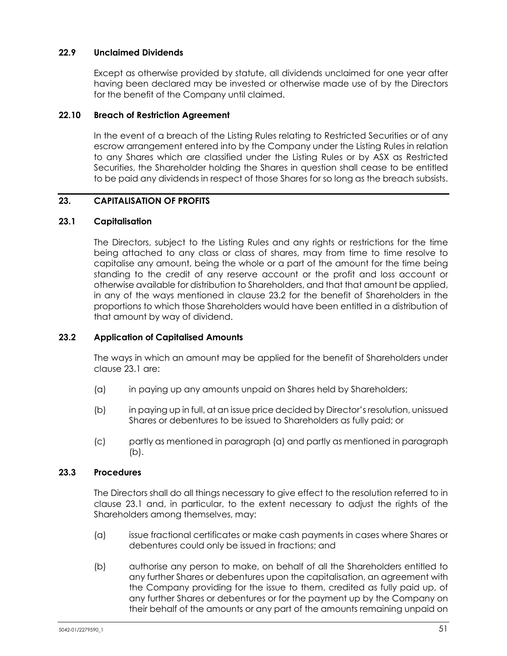# **22.9 Unclaimed Dividends**

Except as otherwise provided by statute, all dividends unclaimed for one year after having been declared may be invested or otherwise made use of by the Directors for the benefit of the Company until claimed.

# **22.10 Breach of Restriction Agreement**

In the event of a breach of the Listing Rules relating to Restricted Securities or of any escrow arrangement entered into by the Company under the Listing Rules in relation to any Shares which are classified under the Listing Rules or by ASX as Restricted Securities, the Shareholder holding the Shares in question shall cease to be entitled to be paid any dividends in respect of those Shares for so long as the breach subsists.

# **23. CAPITALISATION OF PROFITS**

# <span id="page-57-1"></span>**23.1 Capitalisation**

The Directors, subject to the Listing Rules and any rights or restrictions for the time being attached to any class or class of shares, may from time to time resolve to capitalise any amount, being the whole or a part of the amount for the time being standing to the credit of any reserve account or the profit and loss account or otherwise available for distribution to Shareholders, and that that amount be applied, in any of the ways mentioned in clause [23.2](#page-57-0) for the benefit of Shareholders in the proportions to which those Shareholders would have been entitled in a distribution of that amount by way of dividend.

# <span id="page-57-0"></span>**23.2 Application of Capitalised Amounts**

The ways in which an amount may be applied for the benefit of Shareholders under claus[e 23.1](#page-57-1) are:

- <span id="page-57-2"></span>(a) in paying up any amounts unpaid on Shares held by Shareholders;
- <span id="page-57-3"></span>(b) in paying up in full, at an issue price decided by Director's resolution, unissued Shares or debentures to be issued to Shareholders as fully paid; or
- (c) partly as mentioned in paragraph [\(a\)](#page-57-2) and partly as mentioned in paragraph [\(b\).](#page-57-3)

# **23.3 Procedures**

The Directors shall do all things necessary to give effect to the resolution referred to in clause [23.1](#page-57-1) and, in particular, to the extent necessary to adjust the rights of the Shareholders among themselves, may:

- (a) issue fractional certificates or make cash payments in cases where Shares or debentures could only be issued in fractions; and
- <span id="page-57-4"></span>(b) authorise any person to make, on behalf of all the Shareholders entitled to any further Shares or debentures upon the capitalisation, an agreement with the Company providing for the issue to them, credited as fully paid up, of any further Shares or debentures or for the payment up by the Company on their behalf of the amounts or any part of the amounts remaining unpaid on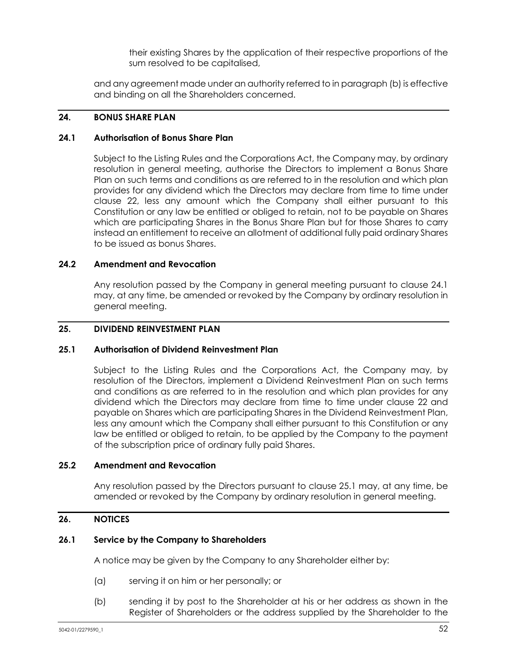their existing Shares by the application of their respective proportions of the sum resolved to be capitalised,

and any agreement made under an authority referred to in paragraph [\(b\)](#page-57-4) is effective and binding on all the Shareholders concerned.

### **24. BONUS SHARE PLAN**

### <span id="page-58-0"></span>**24.1 Authorisation of Bonus Share Plan**

Subject to the Listing Rules and the Corporations Act, the Company may, by ordinary resolution in general meeting, authorise the Directors to implement a Bonus Share Plan on such terms and conditions as are referred to in the resolution and which plan provides for any dividend which the Directors may declare from time to time under clause [22,](#page-55-0) less any amount which the Company shall either pursuant to this Constitution or any law be entitled or obliged to retain, not to be payable on Shares which are participating Shares in the Bonus Share Plan but for those Shares to carry instead an entitlement to receive an allotment of additional fully paid ordinary Shares to be issued as bonus Shares.

### **24.2 Amendment and Revocation**

Any resolution passed by the Company in general meeting pursuant to clause [24.1](#page-58-0) may, at any time, be amended or revoked by the Company by ordinary resolution in general meeting.

### **25. DIVIDEND REINVESTMENT PLAN**

# <span id="page-58-1"></span>**25.1 Authorisation of Dividend Reinvestment Plan**

Subject to the Listing Rules and the Corporations Act, the Company may, by resolution of the Directors, implement a Dividend Reinvestment Plan on such terms and conditions as are referred to in the resolution and which plan provides for any dividend which the Directors may declare from time to time under clause [22](#page-55-0) and payable on Shares which are participating Shares in the Dividend Reinvestment Plan, less any amount which the Company shall either pursuant to this Constitution or any law be entitled or obliged to retain, to be applied by the Company to the payment of the subscription price of ordinary fully paid Shares.

### **25.2 Amendment and Revocation**

Any resolution passed by the Directors pursuant to clause [25.1](#page-58-1) may, at any time, be amended or revoked by the Company by ordinary resolution in general meeting.

# **26. NOTICES**

# **26.1 Service by the Company to Shareholders**

A notice may be given by the Company to any Shareholder either by:

- (a) serving it on him or her personally; or
- (b) sending it by post to the Shareholder at his or her address as shown in the Register of Shareholders or the address supplied by the Shareholder to the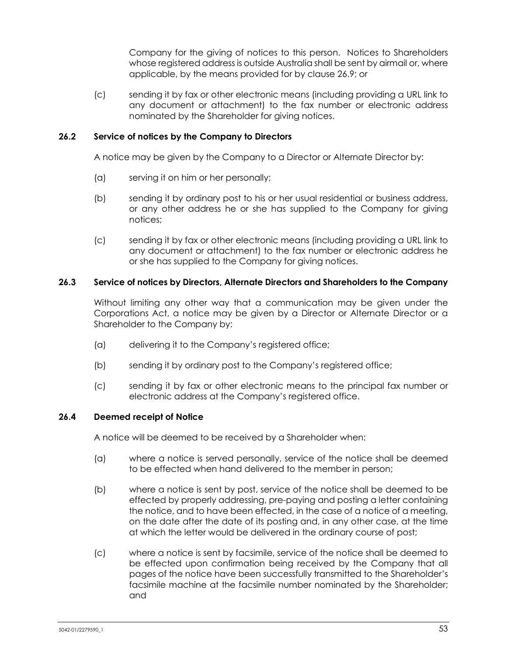Company for the giving of notices to this person. Notices to Shareholders whose registered address is outside Australia shall be sent by airmail or, where applicable, by the means provided for by clause [26.9;](#page-60-0) or

(c) sending it by fax or other electronic means (including providing a URL link to any document or attachment) to the fax number or electronic address nominated by the Shareholder for giving notices.

# **26.2 Service of notices by the Company to Directors**

A notice may be given by the Company to a Director or Alternate Director by:

- (a) serving it on him or her personally;
- (b) sending it by ordinary post to his or her usual residential or business address, or any other address he or she has supplied to the Company for giving notices;
- (c) sending it by fax or other electronic means (including providing a URL link to any document or attachment) to the fax number or electronic address he or she has supplied to the Company for giving notices.

# **26.3 Service of notices by Directors, Alternate Directors and Shareholders to the Company**

Without limiting any other way that a communication may be given under the Corporations Act, a notice may be given by a Director or Alternate Director or a Shareholder to the Company by:

- (a) delivering it to the Company's registered office;
- (b) sending it by ordinary post to the Company's registered office;
- (c) sending it by fax or other electronic means to the principal fax number or electronic address at the Company's registered office.

#### **26.4 Deemed receipt of Notice**

A notice will be deemed to be received by a Shareholder when:

- (a) where a notice is served personally, service of the notice shall be deemed to be effected when hand delivered to the member in person;
- (b) where a notice is sent by post, service of the notice shall be deemed to be effected by properly addressing, pre-paying and posting a letter containing the notice, and to have been effected, in the case of a notice of a meeting, on the date after the date of its posting and, in any other case, at the time at which the letter would be delivered in the ordinary course of post;
- (c) where a notice is sent by facsimile, service of the notice shall be deemed to be effected upon confirmation being received by the Company that all pages of the notice have been successfully transmitted to the Shareholder's facsimile machine at the facsimile number nominated by the Shareholder; and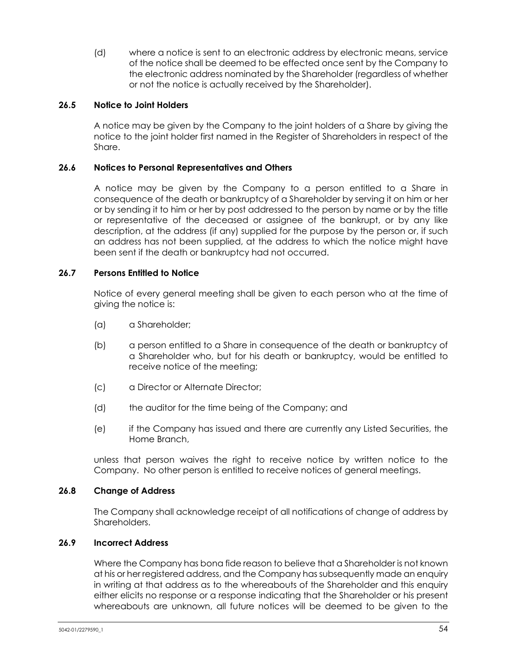(d) where a notice is sent to an electronic address by electronic means, service of the notice shall be deemed to be effected once sent by the Company to the electronic address nominated by the Shareholder (regardless of whether or not the notice is actually received by the Shareholder).

### **26.5 Notice to Joint Holders**

A notice may be given by the Company to the joint holders of a Share by giving the notice to the joint holder first named in the Register of Shareholders in respect of the Share.

### **26.6 Notices to Personal Representatives and Others**

A notice may be given by the Company to a person entitled to a Share in consequence of the death or bankruptcy of a Shareholder by serving it on him or her or by sending it to him or her by post addressed to the person by name or by the title or representative of the deceased or assignee of the bankrupt, or by any like description, at the address (if any) supplied for the purpose by the person or, if such an address has not been supplied, at the address to which the notice might have been sent if the death or bankruptcy had not occurred.

### **26.7 Persons Entitled to Notice**

Notice of every general meeting shall be given to each person who at the time of giving the notice is:

- (a) a Shareholder;
- (b) a person entitled to a Share in consequence of the death or bankruptcy of a Shareholder who, but for his death or bankruptcy, would be entitled to receive notice of the meeting;
- (c) a Director or Alternate Director;
- (d) the auditor for the time being of the Company; and
- (e) if the Company has issued and there are currently any Listed Securities, the Home Branch,

unless that person waives the right to receive notice by written notice to the Company. No other person is entitled to receive notices of general meetings.

### **26.8 Change of Address**

The Company shall acknowledge receipt of all notifications of change of address by Shareholders.

#### <span id="page-60-0"></span>**26.9 Incorrect Address**

Where the Company has bona fide reason to believe that a Shareholder is not known at his or her registered address, and the Company has subsequently made an enquiry in writing at that address as to the whereabouts of the Shareholder and this enquiry either elicits no response or a response indicating that the Shareholder or his present whereabouts are unknown, all future notices will be deemed to be given to the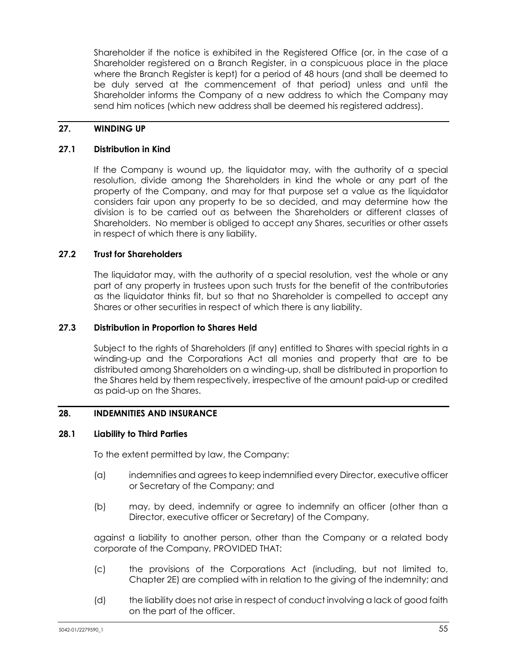Shareholder if the notice is exhibited in the Registered Office (or, in the case of a Shareholder registered on a Branch Register, in a conspicuous place in the place where the Branch Register is kept) for a period of 48 hours (and shall be deemed to be duly served at the commencement of that period) unless and until the Shareholder informs the Company of a new address to which the Company may send him notices (which new address shall be deemed his registered address).

# **27. WINDING UP**

#### **27.1 Distribution in Kind**

If the Company is wound up, the liquidator may, with the authority of a special resolution, divide among the Shareholders in kind the whole or any part of the property of the Company, and may for that purpose set a value as the liquidator considers fair upon any property to be so decided, and may determine how the division is to be carried out as between the Shareholders or different classes of Shareholders. No member is obliged to accept any Shares, securities or other assets in respect of which there is any liability.

### **27.2 Trust for Shareholders**

The liquidator may, with the authority of a special resolution, vest the whole or any part of any property in trustees upon such trusts for the benefit of the contributories as the liquidator thinks fit, but so that no Shareholder is compelled to accept any Shares or other securities in respect of which there is any liability.

### **27.3 Distribution in Proportion to Shares Held**

Subject to the rights of Shareholders (if any) entitled to Shares with special rights in a winding-up and the Corporations Act all monies and property that are to be distributed among Shareholders on a winding-up, shall be distributed in proportion to the Shares held by them respectively, irrespective of the amount paid-up or credited as paid-up on the Shares.

# <span id="page-61-0"></span>**28. INDEMNITIES AND INSURANCE**

#### **28.1 Liability to Third Parties**

To the extent permitted by law, the Company:

- (a) indemnifies and agrees to keep indemnified every Director, executive officer or Secretary of the Company; and
- (b) may, by deed, indemnify or agree to indemnify an officer (other than a Director, executive officer or Secretary) of the Company,

against a liability to another person, other than the Company or a related body corporate of the Company, PROVIDED THAT:

- (c) the provisions of the Corporations Act (including, but not limited to, Chapter 2E) are complied with in relation to the giving of the indemnity; and
- (d) the liability does not arise in respect of conduct involving a lack of good faith on the part of the officer.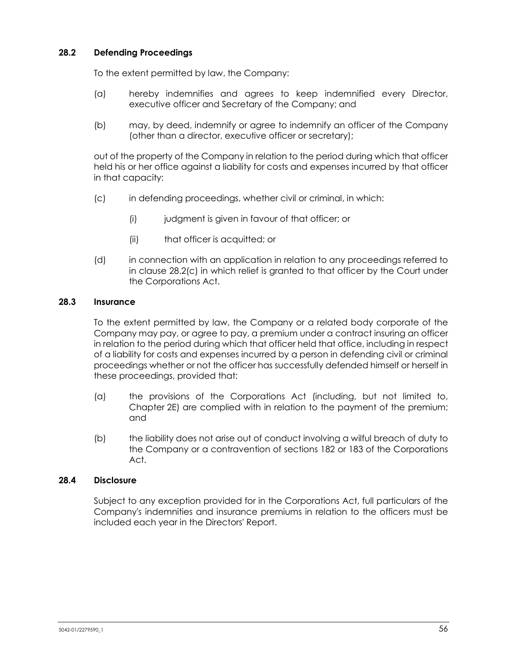# **28.2 Defending Proceedings**

To the extent permitted by law, the Company:

- (a) hereby indemnifies and agrees to keep indemnified every Director, executive officer and Secretary of the Company; and
- (b) may, by deed, indemnify or agree to indemnify an officer of the Company (other than a director, executive officer or secretary);

out of the property of the Company in relation to the period during which that officer held his or her office against a liability for costs and expenses incurred by that officer in that capacity:

- <span id="page-62-1"></span>(c) in defending proceedings, whether civil or criminal, in which:
	- (i) judgment is given in favour of that officer; or
	- (ii) that officer is acquitted; or
- (d) in connection with an application in relation to any proceedings referred to in clause [28.2\(c\)](#page-62-1) in which relief is granted to that officer by the Court under the Corporations Act.

### <span id="page-62-0"></span>**28.3 Insurance**

To the extent permitted by law, the Company or a related body corporate of the Company may pay, or agree to pay, a premium under a contract insuring an officer in relation to the period during which that officer held that office, including in respect of a liability for costs and expenses incurred by a person in defending civil or criminal proceedings whether or not the officer has successfully defended himself or herself in these proceedings, provided that:

- (a) the provisions of the Corporations Act (including, but not limited to, Chapter 2E) are complied with in relation to the payment of the premium; and
- (b) the liability does not arise out of conduct involving a wilful breach of duty to the Company or a contravention of sections 182 or 183 of the Corporations Act.

# **28.4 Disclosure**

Subject to any exception provided for in the Corporations Act, full particulars of the Company's indemnities and insurance premiums in relation to the officers must be included each year in the Directors' Report.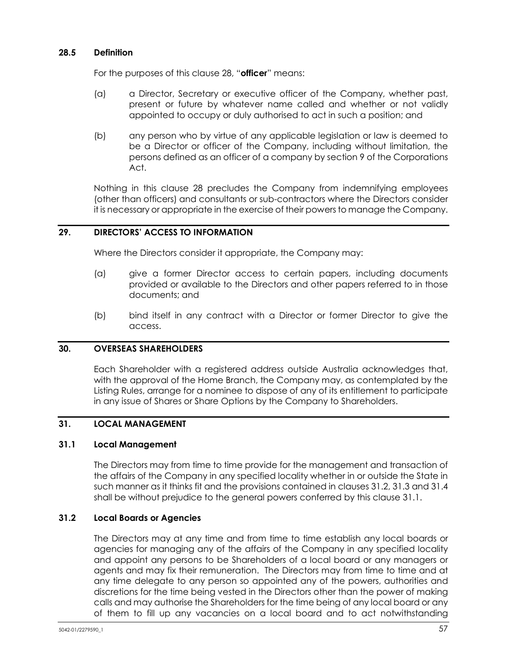### **28.5 Definition**

For the purposes of this clause [28,](#page-61-0) "**officer**" means:

- (a) a Director, Secretary or executive officer of the Company, whether past, present or future by whatever name called and whether or not validly appointed to occupy or duly authorised to act in such a position; and
- (b) any person who by virtue of any applicable legislation or law is deemed to be a Director or officer of the Company, including without limitation, the persons defined as an officer of a company by section 9 of the Corporations Act.

Nothing in this clause [28](#page-61-0) precludes the Company from indemnifying employees (other than officers) and consultants or sub-contractors where the Directors consider it is necessary or appropriate in the exercise of their powers to manage the Company.

# **29. DIRECTORS' ACCESS TO INFORMATION**

Where the Directors consider it appropriate, the Company may:

- (a) give a former Director access to certain papers, including documents provided or available to the Directors and other papers referred to in those documents; and
- (b) bind itself in any contract with a Director or former Director to give the access.

#### **30. OVERSEAS SHAREHOLDERS**

Each Shareholder with a registered address outside Australia acknowledges that, with the approval of the Home Branch, the Company may, as contemplated by the Listing Rules, arrange for a nominee to dispose of any of its entitlement to participate in any issue of Shares or Share Options by the Company to Shareholders.

# **31. LOCAL MANAGEMENT**

#### <span id="page-63-1"></span>**31.1 Local Management**

The Directors may from time to time provide for the management and transaction of the affairs of the Company in any specified locality whether in or outside the State in such manner as it thinks fit and the provisions contained in clauses [31.2,](#page-63-0) [31.3](#page-64-0) an[d 31.4](#page-64-1) shall be without prejudice to the general powers conferred by this clause [31.1.](#page-63-1)

#### <span id="page-63-0"></span>**31.2 Local Boards or Agencies**

The Directors may at any time and from time to time establish any local boards or agencies for managing any of the affairs of the Company in any specified locality and appoint any persons to be Shareholders of a local board or any managers or agents and may fix their remuneration. The Directors may from time to time and at any time delegate to any person so appointed any of the powers, authorities and discretions for the time being vested in the Directors other than the power of making calls and may authorise the Shareholders for the time being of any local board or any of them to fill up any vacancies on a local board and to act notwithstanding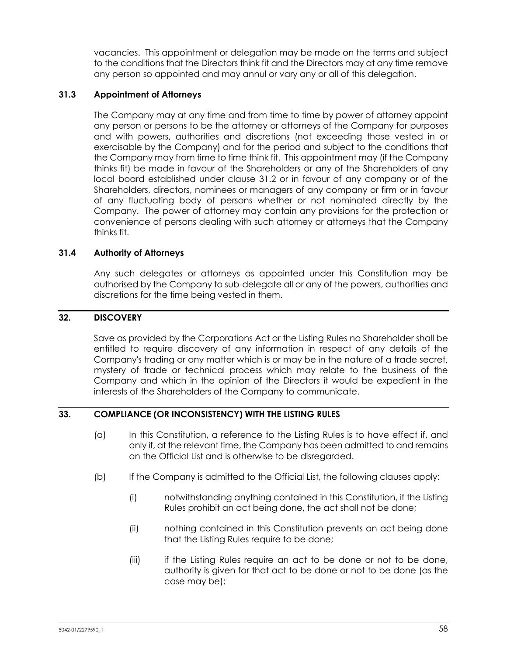vacancies. This appointment or delegation may be made on the terms and subject to the conditions that the Directors think fit and the Directors may at any time remove any person so appointed and may annul or vary any or all of this delegation.

### <span id="page-64-0"></span>**31.3 Appointment of Attorneys**

The Company may at any time and from time to time by power of attorney appoint any person or persons to be the attorney or attorneys of the Company for purposes and with powers, authorities and discretions (not exceeding those vested in or exercisable by the Company) and for the period and subject to the conditions that the Company may from time to time think fit. This appointment may (if the Company thinks fit) be made in favour of the Shareholders or any of the Shareholders of any local board established under clause [31.2](#page-63-0) or in favour of any company or of the Shareholders, directors, nominees or managers of any company or firm or in favour of any fluctuating body of persons whether or not nominated directly by the Company. The power of attorney may contain any provisions for the protection or convenience of persons dealing with such attorney or attorneys that the Company thinks fit.

# <span id="page-64-1"></span>**31.4 Authority of Attorneys**

Any such delegates or attorneys as appointed under this Constitution may be authorised by the Company to sub-delegate all or any of the powers, authorities and discretions for the time being vested in them.

### **32. DISCOVERY**

Save as provided by the Corporations Act or the Listing Rules no Shareholder shall be entitled to require discovery of any information in respect of any details of the Company's trading or any matter which is or may be in the nature of a trade secret, mystery of trade or technical process which may relate to the business of the Company and which in the opinion of the Directors it would be expedient in the interests of the Shareholders of the Company to communicate.

#### **33. COMPLIANCE (OR INCONSISTENCY) WITH THE LISTING RULES**

- (a) In this Constitution, a reference to the Listing Rules is to have effect if, and only if, at the relevant time, the Company has been admitted to and remains on the Official List and is otherwise to be disregarded.
- (b) If the Company is admitted to the Official List, the following clauses apply:
	- (i) notwithstanding anything contained in this Constitution, if the Listing Rules prohibit an act being done, the act shall not be done;
	- (ii) nothing contained in this Constitution prevents an act being done that the Listing Rules require to be done;
	- (iii) if the Listing Rules require an act to be done or not to be done, authority is given for that act to be done or not to be done (as the case may be);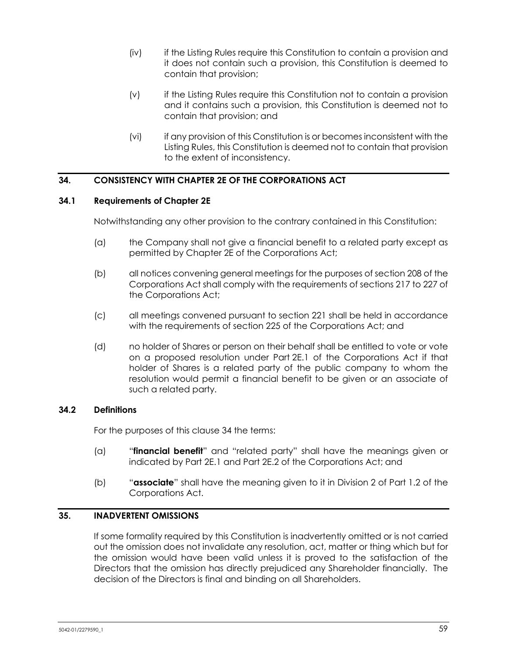- (iv) if the Listing Rules require this Constitution to contain a provision and it does not contain such a provision, this Constitution is deemed to contain that provision;
- (v) if the Listing Rules require this Constitution not to contain a provision and it contains such a provision, this Constitution is deemed not to contain that provision; and
- (vi) if any provision of this Constitution is or becomes inconsistent with the Listing Rules, this Constitution is deemed not to contain that provision to the extent of inconsistency.

# <span id="page-65-0"></span>**34. CONSISTENCY WITH CHAPTER 2E OF THE CORPORATIONS ACT**

### **34.1 Requirements of Chapter 2E**

Notwithstanding any other provision to the contrary contained in this Constitution:

- (a) the Company shall not give a financial benefit to a related party except as permitted by Chapter 2E of the Corporations Act;
- (b) all notices convening general meetings for the purposes of section 208 of the Corporations Act shall comply with the requirements of sections 217 to 227 of the Corporations Act;
- (c) all meetings convened pursuant to section 221 shall be held in accordance with the requirements of section 225 of the Corporations Act; and
- (d) no holder of Shares or person on their behalf shall be entitled to vote or vote on a proposed resolution under Part 2E.1 of the Corporations Act if that holder of Shares is a related party of the public company to whom the resolution would permit a financial benefit to be given or an associate of such a related party.

# **34.2 Definitions**

For the purposes of this clause [34](#page-65-0) the terms:

- (a) "**financial benefit**" and "related party" shall have the meanings given or indicated by Part 2E.1 and Part 2E.2 of the Corporations Act; and
- (b) "**associate**" shall have the meaning given to it in Division 2 of Part 1.2 of the Corporations Act.

# **35. INADVERTENT OMISSIONS**

If some formality required by this Constitution is inadvertently omitted or is not carried out the omission does not invalidate any resolution, act, matter or thing which but for the omission would have been valid unless it is proved to the satisfaction of the Directors that the omission has directly prejudiced any Shareholder financially. The decision of the Directors is final and binding on all Shareholders.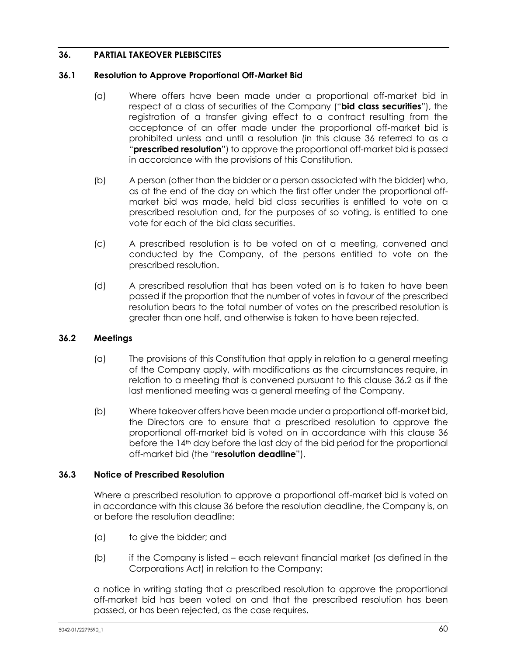# <span id="page-66-0"></span>**36. PARTIAL TAKEOVER PLEBISCITES**

### **36.1 Resolution to Approve Proportional Off-Market Bid**

- (a) Where offers have been made under a proportional off-market bid in respect of a class of securities of the Company ("**bid class securities**"), the registration of a transfer giving effect to a contract resulting from the acceptance of an offer made under the proportional off-market bid is prohibited unless and until a resolution (in this clause [36](#page-66-0) referred to as a "**prescribed resolution**") to approve the proportional off-market bid is passed in accordance with the provisions of this Constitution.
- (b) A person (other than the bidder or a person associated with the bidder) who, as at the end of the day on which the first offer under the proportional offmarket bid was made, held bid class securities is entitled to vote on a prescribed resolution and, for the purposes of so voting, is entitled to one vote for each of the bid class securities.
- (c) A prescribed resolution is to be voted on at a meeting, convened and conducted by the Company, of the persons entitled to vote on the prescribed resolution.
- (d) A prescribed resolution that has been voted on is to taken to have been passed if the proportion that the number of votes in favour of the prescribed resolution bears to the total number of votes on the prescribed resolution is greater than one half, and otherwise is taken to have been rejected.

# <span id="page-66-1"></span>**36.2 Meetings**

- (a) The provisions of this Constitution that apply in relation to a general meeting of the Company apply, with modifications as the circumstances require, in relation to a meeting that is convened pursuant to this clause [36.2](#page-66-1) as if the last mentioned meeting was a general meeting of the Company.
- (b) Where takeover offers have been made under a proportional off-market bid, the Directors are to ensure that a prescribed resolution to approve the proportional off-market bid is voted on in accordance with this clause [36](#page-66-0) before the 14<sup>th</sup> day before the last day of the bid period for the proportional off-market bid (the "**resolution deadline**").

# **36.3 Notice of Prescribed Resolution**

Where a prescribed resolution to approve a proportional off-market bid is voted on in accordance with this clause [36](#page-66-0) before the resolution deadline, the Company is, on or before the resolution deadline:

- (a) to give the bidder; and
- (b) if the Company is listed each relevant financial market (as defined in the Corporations Act) in relation to the Company;

a notice in writing stating that a prescribed resolution to approve the proportional off-market bid has been voted on and that the prescribed resolution has been passed, or has been rejected, as the case requires.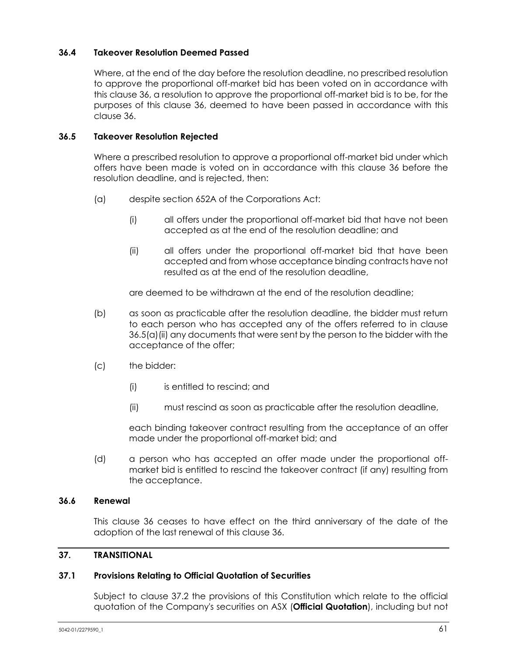# **36.4 Takeover Resolution Deemed Passed**

Where, at the end of the day before the resolution deadline, no prescribed resolution to approve the proportional off-market bid has been voted on in accordance with this clause [36,](#page-66-0) a resolution to approve the proportional off-market bid is to be, for the purposes of this clause [36,](#page-66-0) deemed to have been passed in accordance with this clause [36.](#page-66-0)

### **36.5 Takeover Resolution Rejected**

Where a prescribed resolution to approve a proportional off-market bid under which offers have been made is voted on in accordance with this clause [36](#page-66-0) before the resolution deadline, and is rejected, then:

- <span id="page-67-0"></span>(a) despite section 652A of the Corporations Act:
	- (i) all offers under the proportional off-market bid that have not been accepted as at the end of the resolution deadline; and
	- (ii) all offers under the proportional off-market bid that have been accepted and from whose acceptance binding contracts have not resulted as at the end of the resolution deadline,

are deemed to be withdrawn at the end of the resolution deadline;

- (b) as soon as practicable after the resolution deadline, the bidder must return to each person who has accepted any of the offers referred to in clause [36.5\(a\)\(ii\)](#page-67-0) any documents that were sent by the person to the bidder with the acceptance of the offer;
- (c) the bidder:
	- (i) is entitled to rescind; and
	- (ii) must rescind as soon as practicable after the resolution deadline,

each binding takeover contract resulting from the acceptance of an offer made under the proportional off-market bid; and

(d) a person who has accepted an offer made under the proportional offmarket bid is entitled to rescind the takeover contract (if any) resulting from the acceptance.

### **36.6 Renewal**

This clause [36](#page-66-0) ceases to have effect on the third anniversary of the date of the adoption of the last renewal of this claus[e 36.](#page-66-0)

#### **37. TRANSITIONAL**

#### <span id="page-67-1"></span>**37.1 Provisions Relating to Official Quotation of Securities**

Subject to clause [37.2](#page-68-0) the provisions of this Constitution which relate to the official quotation of the Company's securities on ASX (**Official Quotation**), including but not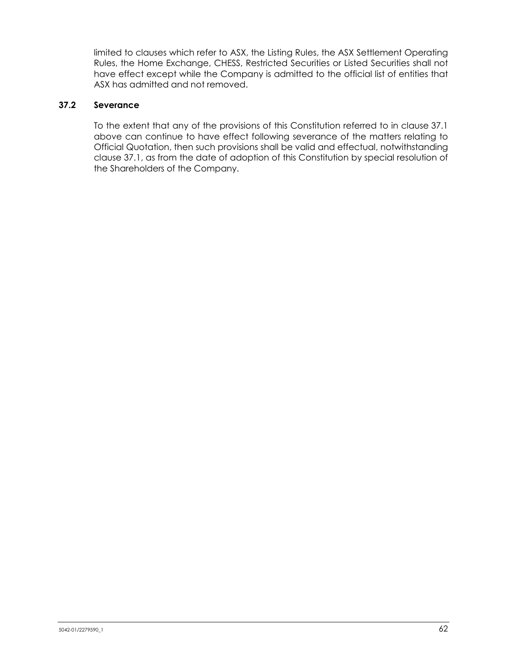limited to clauses which refer to ASX, the Listing Rules, the ASX Settlement Operating Rules, the Home Exchange, CHESS, Restricted Securities or Listed Securities shall not have effect except while the Company is admitted to the official list of entities that ASX has admitted and not removed.

# <span id="page-68-0"></span>**37.2 Severance**

To the extent that any of the provisions of this Constitution referred to in clause [37.1](#page-67-1) above can continue to have effect following severance of the matters relating to Official Quotation, then such provisions shall be valid and effectual, notwithstanding clause [37.1,](#page-67-1) as from the date of adoption of this Constitution by special resolution of the Shareholders of the Company.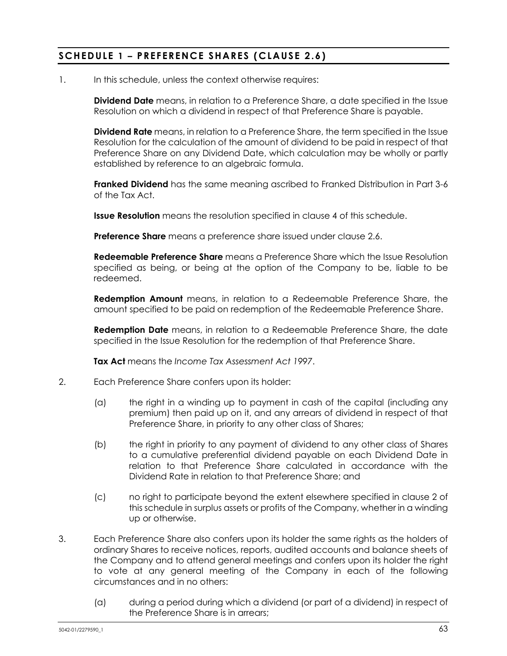# **SCHEDULE 1 – PREFERENCE SHARES (CLAUSE [2.6\)](#page-12-0)**

1. In this schedule, unless the context otherwise requires:

**Dividend Date** means, in relation to a Preference Share, a date specified in the Issue Resolution on which a dividend in respect of that Preference Share is payable.

**Dividend Rate** means, in relation to a Preference Share, the term specified in the Issue Resolution for the calculation of the amount of dividend to be paid in respect of that Preference Share on any Dividend Date, which calculation may be wholly or partly established by reference to an algebraic formula.

**Franked Dividend** has the same meaning ascribed to Franked Distribution in Part 3-6 of the Tax Act.

**Issue Resolution** means the resolution specified in clause [4](#page-70-0) of this schedule.

**Preference Share** means a preference share issued under clause [2.6.](#page-12-0)

**Redeemable Preference Share** means a Preference Share which the Issue Resolution specified as being, or being at the option of the Company to be, liable to be redeemed.

**Redemption Amount** means, in relation to a Redeemable Preference Share, the amount specified to be paid on redemption of the Redeemable Preference Share.

**Redemption Date** means, in relation to a Redeemable Preference Share, the date specified in the Issue Resolution for the redemption of that Preference Share.

**Tax Act** means the *Income Tax Assessment Act 1997*.

- <span id="page-69-0"></span>2. Each Preference Share confers upon its holder:
	- (a) the right in a winding up to payment in cash of the capital (including any premium) then paid up on it, and any arrears of dividend in respect of that Preference Share, in priority to any other class of Shares;
	- (b) the right in priority to any payment of dividend to any other class of Shares to a cumulative preferential dividend payable on each Dividend Date in relation to that Preference Share calculated in accordance with the Dividend Rate in relation to that Preference Share; and
	- (c) no right to participate beyond the extent elsewhere specified in clause [2](#page-69-0) of this schedule in surplus assets or profits of the Company, whether in a winding up or otherwise.
- <span id="page-69-1"></span>3. Each Preference Share also confers upon its holder the same rights as the holders of ordinary Shares to receive notices, reports, audited accounts and balance sheets of the Company and to attend general meetings and confers upon its holder the right to vote at any general meeting of the Company in each of the following circumstances and in no others:
	- (a) during a period during which a dividend (or part of a dividend) in respect of the Preference Share is in arrears;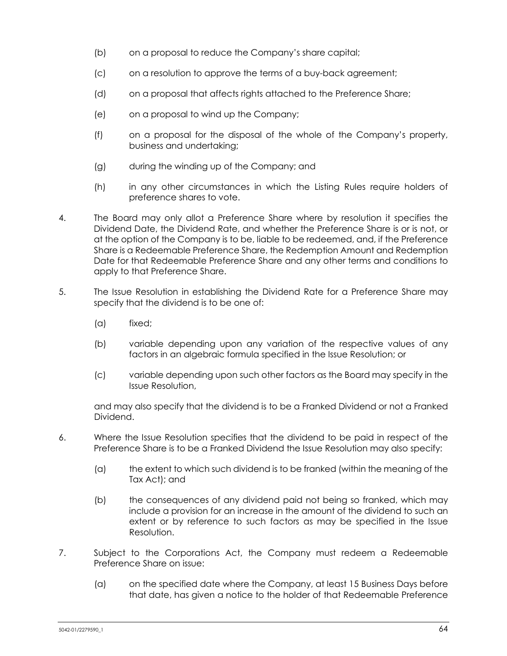- (b) on a proposal to reduce the Company's share capital;
- (c) on a resolution to approve the terms of a buy-back agreement;
- (d) on a proposal that affects rights attached to the Preference Share;
- (e) on a proposal to wind up the Company;
- (f) on a proposal for the disposal of the whole of the Company's property, business and undertaking;
- (g) during the winding up of the Company; and
- (h) in any other circumstances in which the Listing Rules require holders of preference shares to vote.
- <span id="page-70-0"></span>4. The Board may only allot a Preference Share where by resolution it specifies the Dividend Date, the Dividend Rate, and whether the Preference Share is or is not, or at the option of the Company is to be, liable to be redeemed, and, if the Preference Share is a Redeemable Preference Share, the Redemption Amount and Redemption Date for that Redeemable Preference Share and any other terms and conditions to apply to that Preference Share.
- 5. The Issue Resolution in establishing the Dividend Rate for a Preference Share may specify that the dividend is to be one of:
	- (a) fixed;
	- (b) variable depending upon any variation of the respective values of any factors in an algebraic formula specified in the Issue Resolution; or
	- (c) variable depending upon such other factors as the Board may specify in the Issue Resolution,

and may also specify that the dividend is to be a Franked Dividend or not a Franked Dividend.

- 6. Where the Issue Resolution specifies that the dividend to be paid in respect of the Preference Share is to be a Franked Dividend the Issue Resolution may also specify:
	- (a) the extent to which such dividend is to be franked (within the meaning of the Tax Act); and
	- (b) the consequences of any dividend paid not being so franked, which may include a provision for an increase in the amount of the dividend to such an extent or by reference to such factors as may be specified in the Issue Resolution.
- 7. Subject to the Corporations Act, the Company must redeem a Redeemable Preference Share on issue:
	- (a) on the specified date where the Company, at least 15 Business Days before that date, has given a notice to the holder of that Redeemable Preference